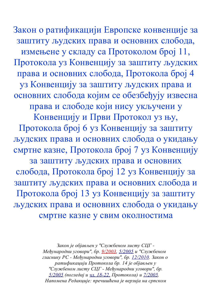Закон о ратификацији Европске конвенције за заштиту људских права и основних слобода, измењене у складу са Протоколом број 11, Протокола уз Конвенцију за заштиту људских права и основних слобода, Протокола број 4 уз Конвенцију за заштиту људских права и основних слобода којим се обезбеђују извесна права и слободе који нису укључени у Конвенцију и Први Протокол уз њу, Протокола број 6 уз Конвенцију за заштиту људских права и основних слобода о укидању смртне казне, Протокола број 7 уз Конвенцију за заштиту људских права и основних слобода, Протокола број 12 уз Конвенцију за заштиту људских права и основних слобода и Протокола број 13 уз Конвенцију за заштиту људских права и основних слобода о укидању смртне казне у свим околностима

> *Закон је објављен у "Службеном листу СЦГ - Међународни уговори", бр. 9/2003, 5/2005 и "Службеном гласнику РС - Међународни уговори", бр. 12/2010. Закон о ратификацији Протокола бр. 14 је објављен у "Службеном листу СЦГ - Међународни уговори", бр. 5/2005 (погледај и чл. 18-22. Протокола) и 7/2005. Напомена Редакције: пречишћена је верзија на српском*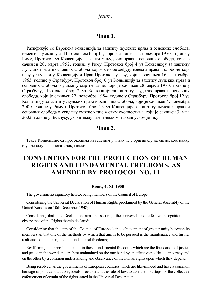# **Члан 1.**

Ратификује се Европска конвенција за заштиту људских права и основних слобода, измењена у складу са Протоколом број 11, која је сачињена 4. новембра 1950. године у Риму, Протокол уз Конвенцију за заштиту људских права и основних слобода, који је сачињен 20. марта 1952. године у Риму, Протокол број 4 уз Конвенцију за заштиту људских права и основних слобода којим се обезбеђују извесна права и слободе који нису укључени у Конвенцију и Први Протокол уз њу, који је сачињен 16. септембра 1963. године у Стразбуру, Протокол број 6 уз Конвенцију за заштиту људских права и основних слобода о укидању смртне казне, који је сачињен 28. априла 1983. године у Стразбуру, Протокол број 7 уз Конвенцију за заштиту људских права и основних слобода, који је сачињен 22. новембра 1984. године у Стразбуру, Протокол број 12 уз Конвенцију за заштиту људских права и основних слобода, који је сачињен 4. новембра 2000. године у Риму и Протокол број 13 уз Конвенцију за заштиту људских права и основних слобода о укидању смртне казне у свим околностима, који је сачињен 3. маја 2002. године у Виљнусу, у оригиналу на енглеском ифранцуском језику.

## **Члан 2.**

Текст Конвенције са протоколима наведеним у члану 1, у оригиналу на енглеском језику и у преводу на српски језик, гласи:

# **CONVENTION FOR THE PROTECTION OF HUMAN RIGHTS AND FUNDAMENTAL FREEDOMS, AS AMENDED BY PROTOCOL NO. 11**

#### **Rome, 4. XI. 1950**

The governments signatory hereto, being members of the Council of Europe,

Considering the Universal Declaration of Human Rights proclaimed by the General Assembly of the United Nations on 10th December 1948;

Considering that this Declaration aims at securing the universal and effective recognition and observance of the Rights therein declared;

Considering that the aim of the Council of Europe is the achievement of greater unity between its members an that one of the methods by which that aim is to be pursued is the maintenance and further realisation of human rights and fundamental freedoms;

Reaffirming their profound belief in those fundamental freedoms which are the foundation of justice and peace in the world and are best maintained on the one hand by an effective political democracy and on the other by a common understanding and observance of the human rights upon which they depend;

Being resolved, as the governments of European countries which are like-minded and have a common heritage of political traditions, ideals, freedom and the rule of law, to take the first steps for the collective enforcement of certain of the rights stated in the Universal Declaration,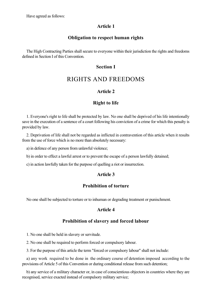# **Article 1**

# **Obligation to respect human rights**

The High Contracting Parties shall secure to everyone within their jurisdiction the rights and freedoms defined in Section I of this Convention.

# **Section I**

# RIGHTS AND FREEDOMS

# **Article 2**

# **Right to life**

1. Everyone's right to life shall be protected by law. No one shall be deprived of his life intentionally save in the execution of a sentence of a court following his conviction of a crime for which this penalty is provided by law.

2. Deprivation of life shall not be regarded as inflicted in contravention of this article when it results from the use of force which is no more than absolutely necessary:

a) in defence of any person from unlawful violence;

b) in order to effect a lawful arrest or to prevent the escape of a person lawfully detained;

c) in action lawfully taken for the purpose of quelling a riot or insurrection.

# **Article 3**

# **Prohibition of torture**

No one shall be subjected to torture or to inhuman or degrading treatment or punischment.

## **Article 4**

# **Prohibition of slavery and forced labour**

1. No one shall be held in slavery or servitude.

2. No one shall be required to perform forced or compulsory labour.

3. For the purpose of this article the term "forced or compulsory labour" shall not include:

a) any work required to be done in the ordinary course of detention imposed according to the provisions of Article 5 of this Convention or during conditional release from such detention;

b) any service of a military character or, in case of conscientious objectors in countries where they are recognised, service exacted instead of compulsory military service;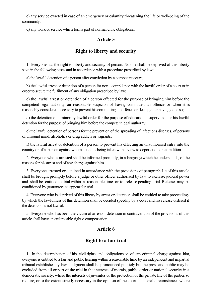c) any service exacted in case of an emergency or calamity threatening the life or well-being of the community;

d) any work or service which forms part of normal civic obligations.

## **Article 5**

# **Right to liberty and security**

1. Everyone has the right to liberty and security of person. No one shall be deprived of this liberty save in the following cases and in accordance with a procedure prescribed by law:

a) the lawful detention of a person after conviction by a competent court;

b) the lawful arrest or detention of a person for non - compliance with the lawful order of a court or in order to secure the fulfilment of any obligation prescribed by law;

c) the lawful arrest or detention of a person effected for the purpose of bringing him before the competent legal authority on reasonable suspicion of having committed an offence or when it is reasonably considered necessary to prevent his committing an offence or fleeing after having done so;

d) the detention of a minor by lawful order for the purpose of educational supervision or his lawful detention for the purpose of bringing him before the competent legal authority;

e) the lawful detention of persons for the prevention of the spreading of infections diseases, of persons of unsound mind, alcoholics or drug addicts or vagrants;

f) the lawful arrest or detention of a person to prevent his effecting an unauthorised entry into the country or of a person against whom action is being taken with a view to deportation or extradition.

2. Everyone who is arrested shall be informed promptly, in a language which he understands, of the reasons for his arrest and of any charge against him.

3. Everyone arrested or detained in accordance with the provisions of paragraph 1.e of this article shall be brought promptly before a judge or other officer authorised by law to exercise judicial power and shall be entitled to trial within a reasonable time or to release pending trial. Release may be conditioned by guarantees to appear for trial.

4. Everyone who is deprived of this liberty by arrest or detention shall be entitled to take proceedings by which the lawfulness of this detention shall be decided speedily by a court and his release ordered if the detention is not lawful.

5. Everyone who has been the victim of arrest or detention in contravention of the provisions of this article shall have an enforceable right o compensation.

## **Article 6**

# **Right to a fair trial**

1. In the determination of his civil rights and obligations or of any criminal charge against him, everyone is entitled to a fair and public hearing within a reasonable time by an independent and impartial tribunal establishes by law. Judgment shall be pronounced publicly but the press and public may be excluded from all or part of the trial in the interests of morals, public order or national security in a democratic society, where the interests of juveniles or the protection of the private life of the parties so require, or to the extent strictly necessary in the opinion of the court in special circumstances where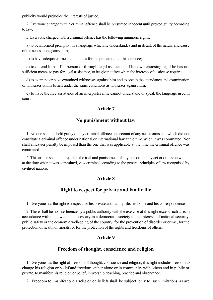publicity would prejudice the interests of justice.

2. Everyone charged with a criminal offence shall be presumed innocent until proved guilty according to law.

3. Everyone charged with a criminal offence has the following minimum rights:

a) to be informed promptly, in a language which he understandes and in detail, of the nature and cause of the accusation against him;

b) to have adequate time and facilities for the preparation of his defence;

c) to defend himself in person or through legal assistance of his own choosing or, if he has not sufficient means to pay for legal assistance, to be given it free when the interests of justice so require;

d) to examine or have examined withnesses against him and to obtain the attendance and examination of witnesses on his behalf under the same conditions as witnesses against him;

e) to have the free assistance of an interpreter if he cannot understand or speak the language used in court.

## **Article 7**

## **No punishment without law**

1. No one shall be held guilty of any criminal offence on account of any act or omission which did not constitute a criminal offence under national or international law at the time when it was committed. Nor shall a heavier penalty be imposed than the one that was applicable at the time the criminal offence was committed.

2. This article shall not prejudice the trial and punishment of any person for any act or omission which, at the time when it was committed, vaw criminal according to the general principles of law recognised by civilised nations.

## **Article 8**

# **Right to respect for private and family life**

1. Everyone has the right to respect for his private and family life, his home and his correspondence.

2. There shall be no interference by a public authority with the exercise of this right except such as is in accordance with the law and is necessary in a democratic society in the interests of national security, public safety or the economic well-being of the country, for the prevention of disorder or crime, for the protection of health or morals, or for the protection of the rights and freedoms of others.

## **Article 9**

#### **Freedom of thought, conscience and religion**

1. Everyone has the right of freedom of thought, conscience and religion; this right includes freedom to change his religion or belief and freedom, either alone or in community with others and in public or private, to manifest his religion or belief, in worship, teaching, practice and observance.

2. Freedom to manifest one's religion or beliefs shall be subject only to such limitations as are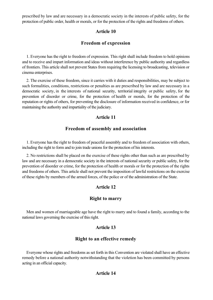prescribed by law and are necessary in a democratic society in the interests of public safety, for the protection of public order, health or morals, or for the protection of the rights and freedoms of others.

## **Article 10**

# **Freedom of expression**

1. Everyone has the right to freedom of expression. This right shall include freedom to hold opinions and to receive and impart information and ideas without interference by public authority and regardless of frontiers. This article shall not prevent States from requiring the licensing to broadcasting, television or cinema enterprises.

2. The exercise of these freedom, since it carries with it duties and responsibilities, may be subject to such formalities, conditions, restrictions or penalties as are prescribed by law and are necessary in a democratic society, in the interests of national security, territorial integrity or public safety, for the prevention of disorder or crime, for the protection of health or morals, for the protection of the reputation or rights of others, for preventing the disclosure of information received in confidence, or for maintaining the authority and impartiality of the judiciary.

## **Article 11**

## **Freedom of assembly and association**

1. Everyone has the right to freedom of peaceful assembly and to freedom of association with others, including the right to form and to join trade unions for the protection of his interests.

2. No restrictions shall be placed on the exercise of these rights other than such as are prescribed by law and are necessary in a democratic society in the interests of national security or public safety, for the prevention of disorder or crime, for the protection of health or morals or for the protection of the rights and freedoms of others. This article shall not prevent the imposition of lawful restrictions on the exercise of these rights by members of the armed forces, of the police or of the administration of the State.

## **Article 12**

## **Right to marry**

Men and women of marriageable age have the right to marry and to found a family, according to the national laws governing the exercise of this right.

#### **Article 13**

# **Right to an effective remedy**

Everyone whose rights and freedoms as set forth in this Convention are violated shall have an effective remedy before a national authority notwithstanding that the violetion has been committed by persons acting in an official capacity.

## **Article 14**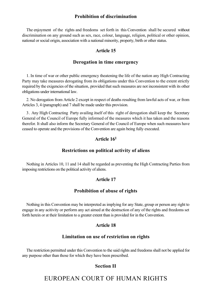## **Prohibition of discrimination**

The enjoyment of the rights and freedoms set forth in this Convention shall be secured without discrimination on any ground such as sex, race, colour, language, religion, political or other opinion, national or social origin, association with a national minority, property, birth or other status.

## **Article 15**

#### **Derogation in time emergency**

1. In time of war or other public emergency theatening the life of the nation any High Contracting Party may take measures derogating from its obligations under this Convention to the extent strictly required by the exigencies of the situation, provided that such measures are not inconsistent with its other obligations under international law.

2. No derogation from Article 2 except in respect of deaths resulting from lawful acts of war, or from Articles 3, 4 (paragraph) and 7 shall be made under this provision.

3. Any High Contracting Party availing itself of this right of derogation shall keep the Secretary General of the Council of Europe fully informed of the measures which it has taken and the reasons therefor. It shall also inform the Secretary General of the Council of Europe when such measures have ceased to operate and the provisions of the Convention are again being fully executed.

## **Article 161**

#### **Restrictions on political activity of aliens**

Nothing in Articles 10, 11 and 14 shall be regarded as preventing the High Contracting Parties from imposing restrictions on the political activity of aliens.

#### **Article 17**

#### **Prohibition of abuse of rights**

Nothing in this Convention may be interpreted as implying for any State, group or person any right to engage in any acitivity or perform any act aimed at the destruction of any of the rights and freedoms set forth herein or at their limitation to a greater extent than is provided for in the Convention.

#### **Article 18**

## **Limitation on use of restriction on rights**

The restriction permitted under this Convention to the said rights and freedoms shall not be applied for any purpose other than those for which they have been prescribed.

#### **Section II**

# EUROPEAN COURT OF HUMAN RIGHTS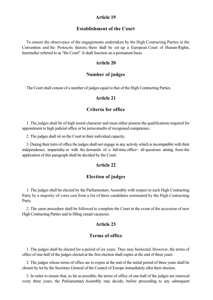#### **Article 19**

#### **Establishment of the Court**

To ensure the observance of the engagements undertaken by the High Contracting Parties in the Convention and the Protocols thereto, there shall be set up a European Court of Human Rights, hereinafter referred to as "the Court". It shall function on a permanent basis.

## **Article 20**

## **Number of judges**

The Court shall consist of a number of judges equal to that of the High Contracting Parties.

#### **Article 21**

## **Criteria for office**

1. The judges shall be of high moral character and must either possess the qualifications required for appointment to high judicial office or be jurisconsults of recognised competence.

2. The judges shall sit on the Court in their individual capacity.

3. During their term of office the judges shall not engage in any activity which is incompatible with their independence, impariality or with the demands of a full-time office< all questions arising from the application of this paragraph shall be decided by the Court.

## **Article 22**

## **Election of judges**

1. The judges shall be elected by the Parliamentary Assembly with respect to each High Contracting Party by a majority of votes cast from a list of three candidates nominated by the High Contracting Party.

2. The same procedure shall be followed to complete the Court in the event of the accession of new High Contracting Parties and in filling casual vacancies.

### **Article 23**

#### **Terms of office**

1. The judges shall be elected for a period of six years. They may beelected. However, the terms of office of one-half of the judges elected at the first election shall expire at the end of three years.

2. The judges whose terms of office are to expire at the end of the initial period of three years shall be chosen by lot by the Secretary General of the Council of Europe immediately after their election.

3. In order to ensure that, as far as possible, the terms of office of one-half of the judges are renewed every three years, the Parliamentary Assembly may decide, before proceeding to any subsequent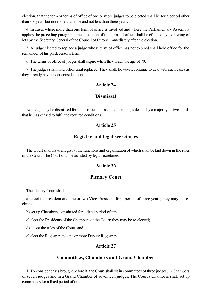election, that the term or terms of office of one or more judges to be elected shall be for a period other than six years but not more than nine and not less than three years.

4. In cases where more than one term of office is involved and where the Parliamentary Assembly applies the preceding paragraph, the allocation of the terms of office shall be effected by a drawing of lots by the Secretary General of the Council of Europe immediately after the election.

5. A judge elected to replace a judge whose term of office has not expired shall hold office for the remainder of his predecessor's term.

6. The terms of office of judges shall expire when they reach the age of 70.

7. The judges shall hold office until replaced. They shall, however, continue to deal with such cases as they already have under consideration.

# **Article 24**

## **Dismissal**

No judge may be dismissed form his office unless the other judges decide by a majority of two-thirds that he has ceased to fulfil the required conditions.

## **Article 25**

## **Registry and legal secretaries**

The Court shall have a registry, the functions and organisation of which shall be laid down in the rules of the Court. The Court shall be assisted by legal secretaries.

## **Article 26**

# **Plenary Court**

The plenary Court shall

a) elect its President and one or two Vice-President for a period of three years; they may be reelected;

b) set up Chambers, constituted for a fixed period of time;

c) elect the Presidents of the Chambers of the Court; they may be re-elected;

d) adopt the rules of the Court, and

e) elect the Registrar and one or more Deputy Registrars.

#### **Article 27**

## **Committees, Chambers and Grand Chamber**

1. To consider cases brought before it, the Court shall sit in committees of three judges, in Chambers of seven judges and in a Grand Chamber of seventeen judges. The Court's Chambers shall set up committees for a fixed period of time.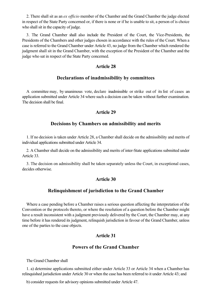2. There shall sit as an *ex officio* member of the Chamber and the Grand Chamber the judge elected in respect of the State Party concerned or, if there is none or if he is unable to sit, a person of is choice who shall sit in the capacity of judge.

3. The Grand Chamber shall also include the President of the Court, the Vice-Presidents, the Presidents of the Chambers and other judges chosen in accordance with the rules of the Court. When a case is referred to the Grand Chamber under Article 43, no judge from the Chamber which rendered the judgment shall sit in the Grand Chamber, with the exception of the President of the Chamber and the judge who sat in respect of the State Party concerned.

## **Article 28**

## **Declarations of inadmissibility by committees**

A committee may, by unanimous vote, declare inadmissible or strike out of its list of cases an application submitted under Article 34 where such a decision can be taken without further examination. The decision shall be final.

#### **Article 29**

## **Decisions by Chambers on admissibility and merits**

1. If no decision is taken under Article 28, a Chamber shall decide on the admissibility and merits of individual applications submitted under Article 34.

2. A Chamber shall decide on the admissibility and merits of inter-State applications submitted under Article 33.

3. The decision on admissibility shall be taken separately unless the Court, in exceptional cases, decides otherwise.

#### **Article 30**

## **Relinquishment of jurisdiction to the Grand Chamber**

Where a case pending before a Chamber raises a serious question affecting the interpretation of the Convention or the protocols thereto, or where the resolution of a question before the Chamber might have a result inconsistent with a judgment previously delivered by the Court, the Chamber may, at any time before it has rendered its judgment, relinquish jurisdiction in favour of the Grand Chamber, unless one of the parties to the case objects.

#### **Article 31**

#### **Powers of the Grand Chamber**

The Grand Chamber shall

1. a) determine applications submitted either under Article 33 or Article 34 when a Chamber has relinquished jurisdiction under Article 30 or when the case has been referred to it under Article 43; and

b) consider requests for advisory opinions submitted under Article 47.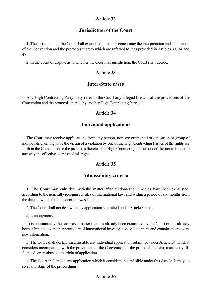# **Article 32**

# **Jurisdiction of the Court**

1. The jurisdiction of the Court shall extend to all matters concerning the interpretation and application of the Convention and the protocols thereto which are referred to it as provided in Articles 33, 34 and 47.

2. In the event of dispute as to whether the Court has jurisdiction, the Court shall decide.

## **Article 33**

## **Inter-State cases**

Any High Contracting Party may refer to the Court any alleged breach of the provisions of the Convention and the protocols thereto by another High Contracting Party.

#### **Article 34**

## **Individual applications**

The Court may receive applications from any person, non-governmental organisation or group of individuals claiming to be the victim of a violation by one of the High Contracting Parties of the rights ser forth in the Convention or the protocols thereto. The High Contracting Parties undertake not to hinder in any way the effective exercise of this right.

## **Article 35**

#### **Admissibility criteria**

1. The Court may only deal with the matter after all domestic remedies have been exhausted, according to the generally recognised rules of international law, and within a period of six months from the date on which the final decision was taken.

2. The Court shall not deal with any application submitted under Article 34 that

a) is anonymous; or

b) is substantially the same as a matter that has already been examined by the Court or has already been submitted to another procedure of international investigation or settlement and contains no relevent new information.

3. The Court shall declare inadmissible any individual application submitted under Article 34 which it considers incompatible with the provisions of the Convention or the protocols thereto, manifestly illfounded, or an abuse of the right of application.

4. The Court shall reject any application which it considers inadmissible under this Article. It may do so at any stage of the proceedings.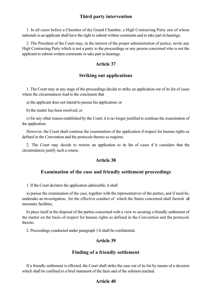# **Third party intervention**

1. In all cases before a Chamber of the Grand Chamber, a High Contracting Party one of whose nationals is an applicant shall have the right to submit written comments and to take part in hearings.

2. The President of the Court may, in the interest of the proper administration of justice, invite any High Contracting Party which is not a party to the proceedings or any person concerned who is not the applicant to submit written comments or take part in hearings.

## **Article 37**

## **Striking out applications**

1. The Court may at any stage of the proceedings decide to strike an application out of its list of cases where the circumstances lead to the conclusion that

a) the applicant does not intend to pursue his application; or

b) the matter has been resolved; or

c) for any other reason established by the Court, it is no longer justified to continue the examination of the application.

However, the Court shall continue the examination of the application if respect for human rights as defined in the Convention and the protocols thereto so requires.

2. The Court may decide to restore an application to its list of cases if it considers that the circumstances justify such a course.

## **Article 38**

#### **Examination of the case and friendly settlement proceedings**

1. If the Court declares the application admissible, it shall

a) pursue the examination of the case, together with the representatives of the parties, and if need be, undertake an investigation, for the effective conduct of which the States concerned shall furnish all necessary facilities;

b) place itself at the disposal of the parties concerned with a view to securing a friendly settlement of the matter on the basis of respect for human rights as defined in the Convention and the protocols thereto.

2. Proceedings conducted under paragraph 1.b shall be confidential.

## **Article 39**

## **Finding of a friendly settlement**

If a friendly settlement is effected, the Court shall strike the case out of its list by means of a decision which shall be confined to a brief statement of the facts and of the solution reached.

#### **Article 40**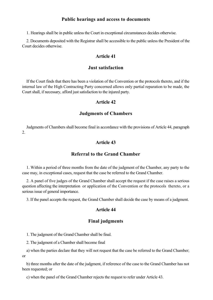#### **Public hearings and access to documents**

1. Hearings shall be in public unless the Court in exceptional circumstances decides otherwise.

2. Documents deposited with the Registrar shall be accessible to the public unless the President of the Court decides otherwise.

#### **Article 41**

## **Just satisfaction**

If the Court finds that there has been a violation of the Convention or the protocols thereto, and if the internal law of the High Contracting Party concerned allows only partial reparation to be made, the Court shall, if necessary, afford just satisfaction to the injured party.

#### **Article 42**

### **Judgments of Chambers**

Judgments of Chambers shall become final in accordance with the provisions of Article 44, paragraph 2.

## **Article 43**

#### **Referral to the Grand Chamber**

1. Within a period of three months from the date of the judgment of the Chamber, any party to the case may, in exceptional cases, request that the case be referred to the Grand Chamber.

2. A panel of five judges of the Grand Chamber shall accept the request if the case raises a serious question affecting the interpretation or application of the Convention or the protocols thereto, or a serious issue of general importance.

3. If the panel accepts the request, the Grand Chamber shall decide the case by means of a judgment.

## **Article 44**

## **Final judgments**

1. The judgment of the Grand Chamber shall be final.

2. The judgment of a Chamber shall become final

a) when the parties declare that they will not request that the case be referred to the Grand Chamber; or

b) three months after the date of the judgment, if reference of the case to the Grand Chamber has not been requested; or

c) when the panel of the Grand Chamber rejects the request to refer under Article 43.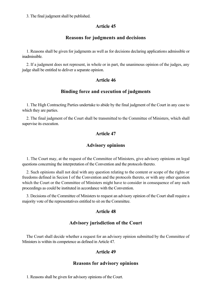3. The final judgment shall be published.

## **Article 45**

## **Reasons for judgments and decisions**

1. Reasons shall be given for judgments as well as for decisions declaring applications admissible or inadmissible.

2. If a judgment does not represent, in whole or in part, the unanimous opinion of the judges, any judge shall be entitled to deliver a separate opinion.

#### **Article 46**

## **Binding force and execution of judgments**

1. The High Contracting Parties undertake to abide by the final judgment of the Court in any case to which they are parties.

2. The final judgment of the Court shall be transmitted to the Committee of Ministers, which shall supervise its execution.

## **Article 47**

#### **Advisory opinions**

1. The Court may, at the request of the Committee of Ministers, give advisory opinions on legal questions concerning the interpretation of the Convention and the protocols thereto.

2. Such opinions shall not deal with any question relating to the content or scope of the rights or freedoms defined in Secion I of the Convention and the protocols thereto, or with any other question which the Court or the Committee of Ministers might have to consider in consequence of any such proceedings as could be instituted in accordance with the Convention.

3. Decisions of the Committee of Ministers to request an advisory opinion of the Court shall require a majority vote of the representatives entitled to sit on the Committee.

#### **Article 48**

#### **Advisory jurisdiction of the Court**

The Court shall decide whether a request for an advisory opinion submitted by the Committee of Ministers is within its competence as defined in Article 47.

## **Article 49**

### **Reasons for advisory opinions**

1. Reasons shall be given for advisory opinions of the Court.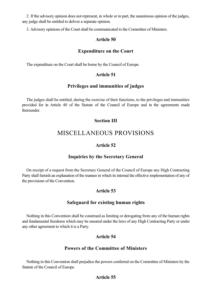2. If the advisory opinion does not represent, in whole or in part, the unanimous opinion of the judges, any judge shall be entitled to deliver a separate opinion.

3. Advisory opinions of the Court shall be communicated to the Committee of Ministers.

# **Article 50**

# **Expenditure on the Court**

The expenditure on the Court shall be borne by the Council of Europe.

# **Article 51**

# **Privileges and immunities of judges**

The judges shall be entitled, during the exercise of their functions, to the privileges and immunities provided for in Article 40 of the Statute of the Council of Europe and in the agreements made thereunder.

# **Section III**

# MISCELLANEOUS PROVISIONS

# **Article 52**

# **Inquiries by the Secretary General**

On receipt of a request from the Secretary General of the Council of Europe any High Contracting Party shall furnish an explanation of the manner in which its internal the effective implementation of any of the provisions of the Convention.

# **Article 53**

# **Safeguard for existing human rights**

Nothing in this Convention shall be construed as limiting or derogating from any of the human rights and fundamental freedoms which may be ensured under the laws of any High Contracting Party or under any other agreement to which it is a Party.

# **Article 54**

# **Powers of the Committee of Ministers**

Nothing in this Convention shall prejudice the powers conferred on the Committee of Ministers by the Statute of the Council of Europe.

# **Article 55**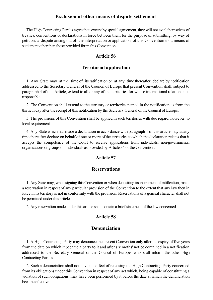#### **Exclusion of other means of dispute settlement**

The High Contracting Parties agree that, except by special agreement, they will not avail themselves of treaties, conventions or declarations in force between them for the purpose of submitting, by way of petition, a dispute arising out of the interpretation or application of this Convention to a means of settlement other than those provided for in this Convention.

#### **Article 56**

#### **Territorial application**

1. Any State may at the time of its ratification or at any time thereafter declare by notification addressed to the Secretary General of the Council of Europe that present Convention shall, subject to paragraph 4 of this Article, extend to all or any of the territories for whose international relations it is responsible.

2. The Convention shall extend to the territory or territories named in the notification as from the thirtieth day after the receipt of this notification by the Secretary General of the Council of Europe.

3. The provisions of this Convention shall be applied in such territories with due regard, however, to local requirements.

4. Any State which has made a declaration in accordance with paragraph 1 of this article may at any time thereafter declare on behalf of one or more of the territories to which the declaration relates that it accepts the competence of the Court to receive applications from individuals, non-governmental organisations or groups of individuals as provided by Article 34 of the Convention.

#### **Article 57**

#### **Reservations**

1. Any State may, when signing this Convention or when depositing its instrument of ratification, make a reservation in respect of any particular provision of the Convention to the extent that any law then in force in its territory is not in conformity with the provision. Reservations of a general character shall not be permitted under this article.

2. Any reservation made under this article shall contain a brief statement of the law concerned.

## **Article 58**

## **Denunciation**

1. A High Contracting Party may denounce the present Convention only after the expiry of five years from the date on which it became a party to it and after six moths' notice contained in a notification addressed to the Secretary General of the Council of Europe, who shall inform the other High Contracting Parties.

2. Such a denunciation shall not have the effect of releasing the High Contracting Party concerned from its obligations under this Convention in respect of any act which, being capable of constituting a violation of such obligations, may have been performed by it before the date at which the denunciation became effective.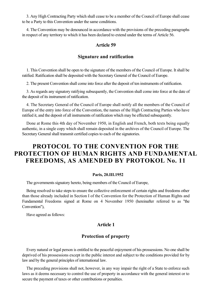3. Any High Contracting Party which shall cease to be a member of the Council of Europe shall cease to be a Party to this Convention under the same conditions.

4. The Convention may be denounced in accordance with the provisions of the preceding paragraphs in respect of any territory to which it has been declared to extend under the terms of Article 56.

#### **Article 59**

# **Signature and ratification**

1. This Convention shall be open to the signature of the members of the Council of Europe. It shall be ratified. Ratification shall be deposited with the Secretary General of the Council of Europe.

2. The present Convention shall come into force after the deposit of ten instruments of ratification.

3. As regards any signatory ratifying subsequently, the Convention shall come into force at the date of the deposit of its instrument of ratification.

4. The Secretary General of the Council of Europe shall notify all the members of the Council of Europe of the entry into force of the Convention, the names of the High Contracting Parties who have ratified it, and the deposit of all instruments of ratification which may be effected subsequently.

Done at Rome this 4th day of November 1950, in English and French, both texts being equally authentic, in a single copy which shall remain deposited in the archives of the Council of Europe. The Secretary General shall transmit certified copies to each of the signatories.

# **PROTOCOL TO THE CONVENTION FOR THE PROTECTION OF HUMAN RIGHTS AND FUNDAMENTAL FREEDOMS, AS AMENDED BY PROTOKOL No. 11**

#### **Paris, 20.III.1952**

The governments signatory hereto, being members of the Council of Europe,

Being resolved to take steps to ensure the collective enforcement of certain rights and freedoms other than those already included in Section I of the Convention for the Protection of Human Rights and Fundamental Freedoms signed at Rome on 4 November 1950 (hereinafter referred to as "the Convention"),

Have agreed as follows:

## **Article 1**

# **Protection of property**

Every natural or legal person is entitled to the peaceful enjoyment of his prossessions. No one shall be deprived of his prossessions except in the public interest and subject to the conditions provided for by law and by the general principles of international law.

The preceding provisions shall not, however, in any way impair the right of a State to enforce such laws as it deems necessary to control the use of property in accordance with the general interest or to secure the payment of taxes or other contributions or penalties.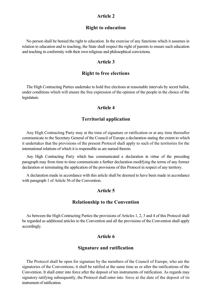#### **Article 2**

#### **Right to education**

No person shall be benied the right to education. In the exercise of any functions which it assumes in relation to education and to teaching, the State shall respect the right of parents to ensure such education and teaching in conformity with their own religious and philosophical convictions.

#### **Article 3**

## **Right to free elections**

The High Contracting Parties undertake to hold free elections at reasonable intervals by secret ballot, under conditions which will ensure the free expression of the opinion of the people in the choice of the legislature.

## **Article 4**

#### **Territorial application**

Any High Contracting Party may at the time of signature or ratification or at any time thereafter communicate to the Secretary General of the Council of Europe a declaration stating the extent to which it undertakes that the provisions of the present Protocol shall apply to such of the territories for the international relations of which it is responsible as are named therein.

Any High Contracting Party which has communicated a declaration in virtue of the preceding paragraph may from time to time communicate a further declaration modifying the terms of any former declaration or terminating the application of the provisions of this Protocol in respect of any territory.

A declaration made in accordance with this article shall be deemed to have been made in accordance with paragraph 1 of Article 56 of the Convention.

### **Article 5**

#### **Relationship to the Convention**

As between the High Contracting Parties the provisions of Articles 1, 2, 3 and 4 of this Protocol shall be regarded as additional articles to the Convention and all the provisions of the Convention shall apply accordingly.

## **Article 6**

#### **Signature and ratification**

The Protocol shall be open for signature by the members of the Council of Europe, who are the signatories of the Conventions; it shall be ratified at the same time as or after the ratifications of the Convention. It shall enter into force after the deposit of ten instruments of ratification. As regards may signatory ratifying subsequently, the Protocol shall enter into force at the date of the deposit of its instrument of ratification.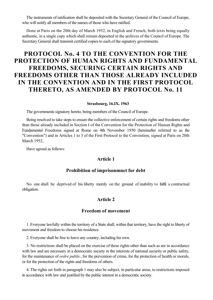The instruments of ratification shall be deposited with the Secretary General of the Council of Europe, who will notify all members of the names of those who have ratified.

Done at Paris on the 20th day of March 1952, in English and French, both texts being equally authentic, in a single copy which shall remain deposited in the archives of the Council of Europe. The Secretary General shall transmit certified copies to each of the signatory governments.

# **PROTOCOL No. 4 TO THE CONVENTION FOR THE PROTECTION OF HUMAN RIGHTS AND FUNDAMENTAL FREEDOMS, SECURING CERTAIN RIGHTS AND FREEDOMS OTHER THAN THOSE ALREADY INCLUDED IN THE CONVENTION AND IN THE FIRST PROTOCOL THERETO, AS AMENDED BY PROTOCOL No. 11**

#### **Strasbourg, 16.IX. 1963**

The governments signatory hereto, being members of the Council of Europe.

Being resolved to take steps to ensure the collective enforcement of certain rights and freedoms other than those already included in Section I of the Convention for the Protection of Human Rights and Fundamental Freedoms signed at Rome on 4th November 1950 (hereinafter referred to as the "Convention") and in Articles 1 to 3 of the First Protocol to the Convention, signed at Paris on 20th March 1952,

Have agreed as follows:

### **Article 1**

#### **Prohibition of imprisonmnet for debt**

No one shall be deprived of his liberty merely on the ground of inability to fulfil a contractual obligation.

#### **Article 2**

## **Freedom of movement**

1. Everyone lawfully within the territory of a State shall, within that territory, have the right to liberty of movement and freedom to choose his residence.

2. Everyone shall be free to leave any country, including his own.

3. No restrictions shall be placed on the exercise of these rights other than such as are in accordance with law and are necessary in a democratic society in the interests of national security or public safety, for the maintenance of *ordre public*, for the prevention of crime, for the protection of health or morals, or for the protection of the rights and freedoms of others.

4. The rights set forth in paragraph 1 may also be subject, in particular areas, to restrictions imposed in accordance with law and justified by the public interest in a democratic society.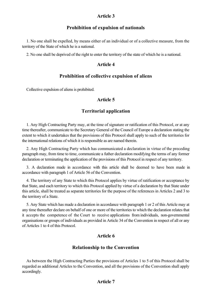## **Article 3**

## **Prohibition of expulsion of nationals**

1. No one shall be expelled, by means either of an individual or of a collective measure, from the territory of the State of which he is a national.

2. No one shall be deprived of the right to enter the territory of the state of which he is a national.

## **Article 4**

#### **Prohibition of collective expulsion of aliens**

Collective expulsion of aliens is prohibited.

## **Article 5**

## **Territorial application**

1. Any High Contracting Party may, at the time of signature or ratification of this Protocol, or at any time thereafter, communicate to the Secretary General of the Council of Europe a declaration stating the extent to which it undertakes that the provisions of this Protocol shall apply to such of the territories for the international relations of which it is responsible as are named therein.

2. Any High Contracting Party which has communicated a declaration in virtue of the preceding paragraph may, from time to time, communicate a futher declaration modifying the terms of any former declaration or terminating the application of the provisions of this Protocol in respect of any territory.

3. A declaration made in accordance with this article shall be deemed to have been made in accordance with paragraph 1 of Article 56 of the Convention.

4. The territory of any State to which this Protocol applies by virtue of ratification or acceptance by that State, and each territory to which this Protocol applied by virtue of a declaration by that State under this article, shall be treated as separate territories for the purpose of the references in Articles 2 and 3 to the territory of a State.

5. Any State which has made a declaration in accordance with paragraph 1 or 2 of this Article may at any time thereafter declare on behalf of one or more of the territories to which the declaration relates that it accepts the competence of the Court to receive applications from individuals, non-governmental organisations or groups of individuals as provided in Article 34 of the Convention in respect of all or any of Articles 1 to 4 of this Protocol.

## **Article 6**

## **Relationship to the Convention**

As between the High Contracting Parties the provisions of Articles 1 to 5 of this Protocol shall be regarded as additional Articles to the Convention, and all the provisions of the Convention shall apply accordingly.

## **Article 7**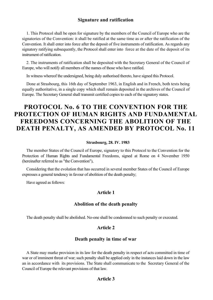## **Signature and ratification**

1. This Protocol shall be open for signature by the members of the Council of Europe who are the signatories of the Convention: it shall be ratified at the same time as or after the ratification of the Convention. It shall enter into force after the deposit of five instruments of ratification. As regards any signatory ratifying subsequently, the Protocol shall enter into force at the date of the deposit of its instrument of ratification.

2. The instruments of ratification shall be deposited with the Secretary General of the Council of Europe, who will notify all members of the names of those who have ratified.

In witness whereof the undersigned, being duly authorised thereto, have signed this Protocol.

Done at Strasbourg, this 16th day of September 1963, in English and in French, both texts being equally authoritative, in a single copy which shall remain deposited in the archives of the Council of Europe. The Secretary General shall transmit certified copies to each of the signatory states.

# **PROTOCOL No. 6 TO THE CONVENTION FOR THE PROTECTION OF HUMAN RIGHTS AND FUNDAMENTAL FREEDOMS CONCERNING THE ABOLITION OF THE DEATH PENALTY, AS AMENDED BY PROTOCOL No. 11**

#### **Strasbourg, 28. IV. 1983**

The member States of the Council of Europe, signatory to this Protocol to the Convention for the Protection of Human Rights and Fundamental Freedoms, signed at Rome on 4 November 1950 (hereinafter referred to as "the Convention"),

Considering that the evolution that has occurred in several member States of the Council of Europe expresses a general tendency in favour of abolition of the death penalty;

Have agreed as follows:

#### **Article 1**

#### **Abolition of the death penalty**

The death penalty shall be abolished. No-one shall be condemned to such penalty or executed.

#### **Article 2**

#### **Death penalty in time of war**

A State may marke provision in its law for the death penalty in respect of acts committed in time of war or of imminent threat of war; such penalty shall be applied only in the instances laid down in the law an in accordance with its provisions. The State shall communicate to the Secretary General of the Council of Europe the relevant provisions of that law.

#### **Article 3**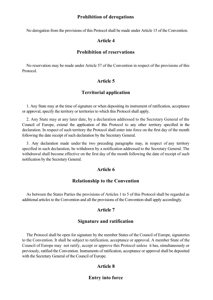#### **Prohibition of derogations**

No derogation from the provisions of this Protocol shall be made under Article 15 of the Convention.

#### **Article 4**

## **Prohibition of reservations**

No reservation may be made under Article 57 of the Convention in respect of the provisions of this Protocol.

#### **Article 5**

## **Territorial application**

1. Any State may at the time of signature or when depositing its instrument of ratification, acceptance or approval, specify the territory or territories to which this Protocol shall apply.

2. Any State may at any later date, by a declaration addressed to the Secretary General of the Council of Europe, extend the application of this Protocol to any other territory specified in the declaration. In respect of such territory the Protocol shall enter into force on the first day of the month following the date receipt of such declaration by the Secretary General.

3. Any declaration made under the two preceding paragraphs may, in respect of any territory specified in such declaration, be withdrawn by a notification addressed to the Secretary General. The withdrawal shall become effective on the first day of the month following the date of receipt of such notification by the Secretary General.

#### **Article 6**

#### **Relationship to the Convention**

As between the States Parties the provisions of Articles 1 to 5 of this Protocol shall be regarded as additional articles to the Convention and all the provisions of the Convention shall apply accordingly.

#### **Article 7**

## **Signature and ratification**

The Protocol shall be open for signature by the member States of the Council of Europe, signatories to the Convention. It shall be subject to ratification, acceptance or approval. A member State of the Council of Europe may not ratify, accept or approve this Protocol unless it has, simultaneously or previously, ratified the Convention. Instruments of ratification, acceptance or approval shall be deposited with the Secretary General of the Council of Europe.

## **Article 8**

#### **Entry into force**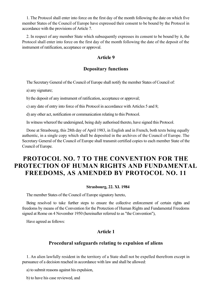1. The Protocol shall enter into force on the first day of the month following the date on which five member States of the Council of Europe have expressed their consent to be bound by the Protocol in accordance with the provisions of Article 7.

2. In respect of any member State which subsequently expresses its consent to be bound by it, the Protocol shall enter into force on the first day of the month following the date of the deposit of the instrument of ratification, acceptance or approval.

#### **Article 9**

## **Depositary functions**

The Secretary General of the Council of Europe shall notify the member States of Council of:

a) any signature;

b) the deposit of any instrument of ratification, acceptance or approval;

c) any date of entry into force of this Protocol in accordance with Articles 5 and 8;

d) any other act, notification or communication relating to this Protocol.

In witness whereof the undersigned, being duly authorised thereto, have signed this Protocol.

Done at Strasbourg, this 28th day of April 1983, in English and in French, both texts being equally authentic, in a single copy which shall be deposited in the archives of the Council of Europe. The Secretary General of the Council of Europe shall transmit certified copies to each member State of the Council of Europe.

# **PROTOCOL NO. 7 TO THE CONVENTION FOR THE PROTECTION OF HUMAN RIGHTS AND FUNDAMENTAL FREEDOMS, AS AMENDED BY PROTOCOL NO. 11**

#### **Strasbourg, 22. XI. 1984**

The member States of the Council of Europe signatory hereto,

Being resolved to take further steps to ensure the collective enforcement of certain rights and freedoms by means of the Convention for the Protection of Human Rights and Fundamental Freedoms signed at Rome on 4 November 1950 (hereinafter referred to as "the Convention"),

Have agreed as follows:

#### **Article 1**

#### **Procedural safeguards relating to expulsion of aliens**

1. An alien lawfully resident in the territory of a State shall not be expelled therefrom except in pursuance of a decision reached in accordance with law and shall be allowed:

a) to submit reasons against his expulsion,

b) to have his case reviewed, and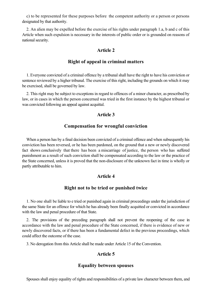c) to be represented for these purposes before the competent authority or a person or persons designated by that authority.

2. An alien may be expelled before the exercise of his rights under paragraph 1.a, b and c of this Article when such expulsion is necessary in the interests of public order or is grounded on reasons of national security.

## **Article 2**

# **Right of appeal in criminal matters**

1. Everyone convicted of a criminal offence by a tribunal shall have the right to have his conviction or sentence reviewed by a higher tribunal. The exercise of this right, including the grounds on which it may be exercised, shall be governed by law.

2. This right may be subject to exceptions in regard to offences of a minor character, as prescribed by law, or in cases in which the person concerned was tried in the first instance by the highest tribunal or was convicted following an appeal against acquittal.

## **Article 3**

#### **Compensation for wrongful conviction**

When a person has by a final decision been convicted of a criminal offence and when subsequently his conviction has been reversed, or he has been pardoned, on the ground that a new or newly discovered fact shows conclusively that there has been a miscarriage of justice, the person who has suffered punishment as a result of such conviction shall be compensated according to the law or the practice of the State concerned, unless it is proved that the non-disclosure of the unknown fact in time is wholly or partly attributable to him.

## **Article 4**

### **Right not to be tried or punished twice**

1. No one shall be liable to e tried or punished again in criminal proceedings under the jurisdiction of the same State for an offence for which he has already been finally acquitted or convicted in accordance with the law and penal procedure of that State.

2. The provisions of the preceding paragraph shall not prevent the reopening of the case in accordance with the law and penal procedure of the State concerned, if there is evidence of new or newly discovered facts, or if there has been a fundamental defect in the previous proceedings, which could affect the outcome of the case.

3. No derogation from this Article shall be made under Article 15 of the Convention.

#### **Article 5**

#### **Equality between spouses**

Spouses shall enjoy equality of rights and responsibilities of a private law character between them, and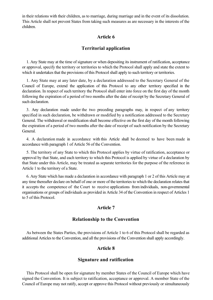in their relations with their children, as to marriage, during marriage and in the event of its dissolution. This Article shall not prevent States from taking such measures as are necessary in the interests of the children.

## **Article 6**

# **Territorial application**

1. Any State may at the time of signature or when depositing its instrument of ratification, acceptance or approval, specify the territory or territories to which the Protocol shall apply and state the extent to which it undertakes that the provisions of this Protocol shall apply to such territory or territories.

1. Any State may at any later date, by a declaration addressed to the Secretary General of the Council of Europe, extend the application of this Protocol to any other territory specified in the declaration. In respect of such territory the Protocol shall enter into force on the first day of the month following the expiration of a period of two months after the date of receipt by the Secretary General of such declaration.

3. Any declaration made under the two preceding paragraphs may, in respect of any territory specified in such declaration, be withdrawn or modified by a notification addressed to the Secretary General. The withdrawal or modification shall become effective on the first day of the month following the expiration of a period of two months after the date of receipt of such notification by the Secretary General.

4. A declaration made in accordance with this Article shall be deemed to have been made in accordance with paragraph 1 of Article 56 of the Convention.

5. The territory of any State to which this Protocol applies by virtue of ratification, acceptance or approval by that State, and each territory to which this Protocol is applied by virtue of a declaration by that State under this Article, may be treated as separate territories for the purpose of the reference in Article 1 to the territory of a State.

6. Any State which has made a declaration in accordance with paragraph 1 or 2 of this Article may at any time thereafter declare on behalf of one or more of the territories to which the declaration relates that it accepts the competence of the Court to receive applications from individuals, non-governmental organisations or groups of individuals as provided in Article 34 of the Convention in respect of Articles 1 to 5 of this Protocol.

## **Article 7**

# **Relationship to the Convention**

As between the States Parties, the provisions of Article 1 to 6 of this Protocol shall be regarded as additional Articles to the Convention, and all the provisions of the Convention shall apply accordingly.

#### **Article 8**

# **Signature and ratification**

This Protocol shall be open for signature by member States of the Council of Europe which have signed the Convention. It is subject to ratification, acceptance or approval. A member State of the Council of Europe may not ratify, accept or approve this Protocol without previously or simultaneously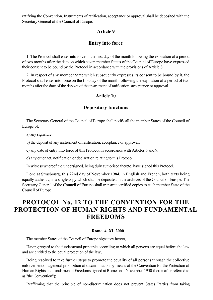ratifying the Convention. Instruments of ratification, acceptance or approval shall be deposited with the Secretary General of the Council of Europe.

### **Article 9**

## **Entry into force**

1. The Protocol shall enter into force in the first day of the month following the expiration of a period of two months after the date on which seven member States of the Council of Europe have expressed their consent to be bound by the Protocol in accordance with the provisions of Article 8.

2. In respect of any member State which subsquently expresses its consent to be bound by it, the Protocol shall enter into force on the first day of the month following the expiration of a period of two months after the date of the deposit of the instrument of ratification, acceptance or approval.

## **Article 10**

## **Depositary functions**

The Secretary General of the Council of Europe shall notify all the member States of the Council of Europe of:

a) any signature;

b) the deposit of any instrument of ratification, acceptance or approval;

c) any date of entry into force of this Protocol in accordance with Articles 6 and 9;

d) any other act, notification or declaration relating to this Protocol.

In witness whereof the undersigned, being duly authorised thereto, have signed this Protocol.

Done at Strasbourg, this 22nd day of November 1984, in English and French, both texts being equally authentic, in a single copy which shall be deposited in the archives of the Council of Europe. The Secretary General of the Council of Europe shall transmit certified copies to each member State of the Council of Europe.

# **PROTOCOL No. 12 TO THE CONVENTION FOR THE PROTECTION OF HUMAN RIGHTS AND FUNDAMENTAL FREEDOMS**

#### **Rome, 4. XI. 2000**

The member States of the Council of Europe signatory hereto,

Having regard to the fundamental principle according to which all persons are equal before the law and are entitled to the equal protection of the law;

Being resolved to take further steps to promote the equality of all persons through the collective enforcement of a general prohibition of discrimination by means of the Convention for the Protection of Human Rights and fundamental Freedoms signed at Rome on 4 November 1950 (hereinafter referred to as "the Convention");

Reaffirming that the principle of non-discrimination does not prevent States Parties from taking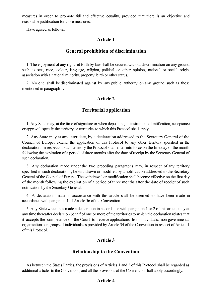measures in order to promote full and effective equality, provided that there is an objective and reasonable justification for those measures.

Have agreed as follows:

## **Article 1**

## **General prohibition of discrimination**

1. The enjoyment of any right set forth by law shall be secured without discrimination on any ground such as sex, race, colour, language, religion, political or other opinion, national or social origin, association with a national minority, property, birth or other status.

2. No one shall be discriminated against by any public authority on any ground such as those mentioned in paragraph 1.

#### **Article 2**

# **Territorial application**

1. Any State may, at the time of signature or when depositing its instrument of ratification, acceptance or approval, specify the territory or territories to which this Protocol shall apply.

2. Any State may at any later date, by a declaration addressed to the Secretary General of the Council of Europe, extend the application of this Protocol to any other territory specified in the declaration. In respect of such territory the Protocol shall enter into force on the first day of the month following the expiration of a period of three months after the date of receipt by the Secretary General of such declaration.

3. Any declaration made under the two preceding paragraphs may, in respect of any territory specified in such declarations, be withdrawn or modified by a notification addressed to the Secretary General of the Council of Europe. The withdrawal or modification shall become effective on the first day of the month following the expiration of a period of three months after the date of receipt of such notification by the Secretary General.

4. A declaration made in accordance with this article shall be deemed to have been made in accordance with paragraph 1 of Article 56 of the Convention.

5. Any State which has made a declaration in accordance with paragraph 1 or 2 of this article may at any time thereafter declare on behalf of one or more of the territories to which the declaration relates that it accepts the competence of the Court to receive applications from individuals, non-governmental organisations or groups of individuals as provided by Article 34 of the Convention in respect of Article 1 of this Protocol.

## **Article 3**

## **Relationship to the Convention**

As between the States Parties, the provisions of Articles 1 and 2 of this Protocol shall be regarded as additional articles to the Convention, and all the provisions of the Convention shall apply accordingly.

## **Article 4**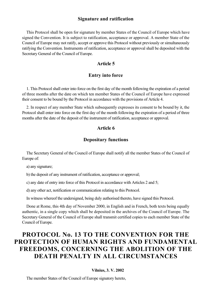# **Signature and ratification**

This Protocol shall be open for signature by member States of the Council of Europe which have signed the Convention. It is subject to ratification, acceptance or approval. A member State of the Council of Europe may not ratify, accept or approve this Protocol without previously or simultaneously ratifying the Convention. Instruments of ratification, acceptance or approval shall be deposited with the Secretary General of the Council of Europe.

## **Article 5**

## **Entry into force**

1. This Protocol shall enter into force on the first day of the month following the expiration of a period of three months after the date on which ten member States of the Council of Europe have expressed their consent to be bound by the Protocol in accordance with the provisions of Article 4.

2. In respect of any member State which subsequently expresses its consent to be bound by it, the Protocol shall enter into force on the first day of the month following the expiration of a period of three months after the date of the deposit of the instrument of ratification, acceptance or approval.

## **Article 6**

## **Depositary functions**

The Secretary General of the Council of Europe shall notify all the member States of the Council of Europe of:

a) any signature;

b) the deposit of any instrument of ratification, acceptance or approval;

c) any date of entry into force of this Protocol in accordance with Articles 2 and 5;

d) any other act, notification or communication relating to this Protocol.

In witness whereof the undersigned, being duly authorised thereto, have signed this Protocol.

Done at Rome, this 4th day of November 2000, in English and in French, both texts being equally authentic, in a single copy which shall be deposited in the archives of the Council of Europe. The Secretary General of the Council of Europe shall transmit certified copies to each member State of the Council of Europe.

# **PROTOCOL No. 13 TO THE CONVENTION FOR THE PROTECTION OF HUMAN RIGHTS AND FUNDAMENTAL FREEDOMS, CONCERNING THE ABOLITION OF THE DEATH PENALTY IN ALL CIRCUMSTANCES**

#### **Vilnius, 3. V. 2002**

The member States of the Council of Europe signatory hereto,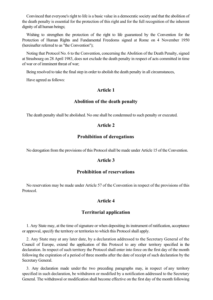Convinced that everyone's right to life is a basic value in a democratic society and that the abolition of the death penalty is essential for the protection of this right and for the full recognition of the inherent dignity of all human beings;

Wishing to strengthen the protection of the right to life guaranteed by the Convention for the Protection of Human Rights and Fundamental Freedoms signed at Rome on 4 November 1950 (hereinafter referred to as "the Convention");

Noting that Protocol No. 6 to the Convention, concerning the Abolition of the Death Penalty, signed at Strasbourg on 28 April 1983, does not exclude the death penalty in respect of acts committed in time of war or of imminent threat of war;

Being resolved to take the final step in order to abolish the death penalty in all circumstances,

Have agreed as follows:

## **Article 1**

## **Abolition of the death penalty**

The death penalty shall be abolished. No one shall be condemned to such penalty or executed.

## **Article 2**

# **Prohibition of derogations**

No derogation from the provisions of this Protocol shall be made under Article 15 of the Convention.

#### **Article 3**

# **Prohibition of reservations**

No reservation may be made under Article 57 of the Convention in respect of the provisions of this Protocol.

## **Article 4**

## **Territorial application**

1. Any State may, at the time of signature or when depositing its instrument of ratification, acceptance or approval, specify the territory or territories to which this Protocol shall apply.

2. Any State may at any later date, by a declaration addressed to the Secretary General of the Council of Europe, extend the application of this Protocol to any other territory specified in the declaration. In respect of such territory the Protocol shall enter into force on the first day of the month following the expiration of a period of three months after the date of receipt of such declaration by the Secretary General.

3. Any declaration made under the two preceding paragraphs may, in respect of any territory specified in such declaration, be withdrawn or modified by a notification addressed to the Secretary General. The withdrawal or modification shall become effective on the first day of the month following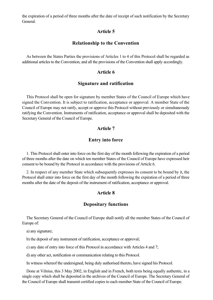the expiration of a period of three months after the date of receipt of such notification by the Secretary **General** 

# **Article 5**

## **Relationship to the Convention**

As between the States Parties the provisions of Articles 1 to 4 of this Protocol shall be regarded as additional articles to the Convention, and all the provisions of the Convention shall apply accordingly.

## **Article 6**

## **Signature and ratification**

This Protocol shall be open for signature by member States of the Council of Europe which have signed the Convention. It is subject to ratification, acceptance or approval. A member State of the Council of Europe may not ratify, accept or approve this Protocol without previously or simultaneously ratifying the Convention. Instruments of ratification, acceptance or approval shall be deposited with the Secretary General of the Council of Europe.

#### **Article 7**

## **Entry into force**

1. This Protocol shall enter into force on the first day of the month following the expiration of a period of three months after the date on which ten member States of the Council of Europe have expressed heir consent to be bound by the Protocol in accordance with the provisions of Article 6.

2. In respect of any member State which subsequently expresses its consent to be bound by it, the Protocol shall enter into force on the first day of the month following the expiration of a period of three months after the date of the deposit of the instrument of ratification, acceptance or approval.

## **Article 8**

#### **Depositary functions**

The Secretary General of the Council of Europe shall notify all the member States of the Council of Europe of:

a) any signature;

b) the deposit of any instrument of ratification, acceptance or approval;

c) any date of entry into force of this Protocol in accordance with Articles 4 and 7;

d) any other act, notification or communication relating to this Protocol.

In witness whereof the undersigned, being duly authorised thereto, have signed his Protocol.

Done at Vilnius, this 3 May 2002, in English and in French, both texts being equally authentic, in a single copy which shall be deposited in the archives of the Council of Europe. The Secretary General of the Council of Europe shall transmit certified copies to each member State of the Council of Europe.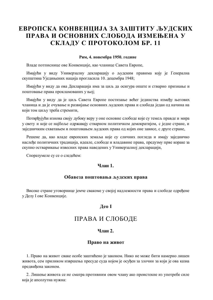# **ЕВРОПСКА КОНВЕНЦИЈА ЗА ЗАШТИТУ ЉУДСКИХ ПРАВА И ОСНОВНИХ СЛОБОДА ИЗМЕЊЕНА У СКЛАДУ С ПРОТОКОЛОМ БР. 11**

#### **Рим, 4. новембра 1950. године**

Владе потписнице ове Конвенције, као чланице Савета Европе,

Имајући у виду Универзалну декларацију о људским правима коју је Генерална скупштина Уједињених нација прогласила 10. децембра 1948;

Имајући у виду да ова Декларација има за циљ да осигура опште и стварно признање и поштовање права прокламованих у њој;

Имајући у виду да је циљ Савета Европе постизање већег јединства између његових чланица и да је очување и развијање основних људских права и слобода један од начина на који том циљу треба стремити,

Потврђујући изнова своју дубоку веру у оне основне слободе које су темељ правде и мира у свету и које се најбоље одржавају стварном политичком демократијом, с једне стране, и заједничким схватањем и поштовањем људских права од којих оне зависе, с друге стране,

Решене да, као владе европских земаља које су сличних погледа и имају заједничко наслеђе политичких традиција, идеале, слободе и владавине права, предузму прве кораке за скупно остваривање извесних права наведених у Универзалној декларацији,

Споразумеле су се о следећем:

#### **Члан 1.**

#### **Обавеза поштовања људских права**

Високе стране уговорнице јемче свакоме у својој надлежности права и слободе одређене у Делу I ове Конвенције.

## **Део I**

# ПРАВА И СЛОБОДЕ

#### **Члан 2.**

#### **Право на живот**

1. Право на живот сваке особе заштићено је законом. Нико не може бити намерно лишен живота, сем приликом извршења пресуде суда којом је осуђен за злочин за који је ова казна предвиђена законом.

2. Лишење живота се не сматра противним овом члану ако проистекне из употребе силе која је апсолутна нужна: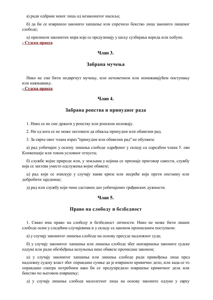а) ради одбране неког лица од незаконитог насиља;

б) да би се извршило законито хапшење или спречило бекство лица законито лишеног слободе;

ц) приликом законитих мера које се предузимају у циљу сузбијања нереда или побуне. **<sup>+</sup> Судска пракса**

## **Члан 3.**

#### **Забрана мучења**

Нико не сме бити подвргнут мучењу, или нечовечном или понижавајућем поступању или кажњавању.

**<sup>+</sup> Судска пракса**

#### **Члан 4.**

# **Забрана ропства и принудног рада**

1. Нико се не сме држати у ропству или ропском положају.

2. Ни од кога се не може захтевати да обавља принудни или обавезни рад.

3. За сврхе овог члана израз "принудни или обавезни рад" не обухвата:

а) рад уобичајен у склопу лишења слободе одређеног у складу са одредбом члана 5. ове Конвенције или током условног отпуста;

б) службе војне природе или, у земљама у којима се признаје приговор савести, службу која се захтева уместо одслужења војне обавезе;

ц) рад који се изискује у случају какве кризе или несреће која прети опстанку или добробити заједнице;

д) рад или службу који чине саставни део уобичајених грађанских дужности.

## **Члан 5.**

# **Право на слободу и безбедност**

1. Свако има право на слободу и безбедност личности. Нико не може бити лишен слободе осим у следећим случајевима и у складу са законом прописаним поступком:

а) у случају законитог лишења слободе на основу пресуде надлежног суда;

б) у случају законитог хапшења или лишења слободе због неизвршења законите судске одлуке или ради обезбеђења испуњења неке обавезе прописане законом;

ц) у случају законитог хапшења или лишења слободе ради привођења лица пред надлежну судску власт због оправдане сумње да је извршило кривично дело, или када се то оправдано сматра потребним како би се предупредило извршење кривичног дела или бекство по његовом извршењу;

д) у случају лишења слободе малолетног лица на основу законите одлуке у сврху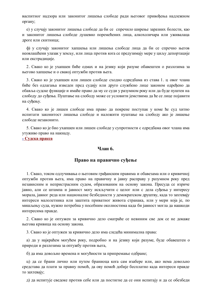васпитног надзора или законитог лишења слободе ради његовог привођења надлежном органу;

е) у случају законитог лишења слободе да би се спречило ширење заразних болести, као и законитог лишења слободе душевно поремећених лица, алкохоличара или уживалаца дроге или скитница;

ф) у случају законитог хапшења или лишења слободе лица да би се спречио његов неовлашћени улазак у земљу, или лица против кога се предузимају мере у циљу депортације или екстрадиције.

2. Свако ко је ухапшен биће одмах и на језику који разуме обавештен о разлозима за његово хапшење и о свакој оптужби против њега.

3. Свако ко је ухапшен или лишен слободе сходно одредбама из става 1. ц овог члана биће без одлагања изведен пред судију или друго службено лице законом одређено да обавља судске функције и имаће право да му се суди у разумном року или да буде пуштен на слободу до суђења. Пуштање на слободу може се условити јемствима да ће се лице појавити на суђењу.

4. Свако ко је лишен слободе има право да покрене поступак у коме ће суд хитно испитати законитост лишења слободе и наложити пуштање на слободу ако је лишење слободе незаконито.

5. Свако ко је био ухапшен или лишен слободе у супротности с одредбама овог члана има утуживо право на накнаду.

**<sup>+</sup> Судска пракса**

#### **Члан 6.**

#### **Право на правично суђење**

1. Свако, током одлучивања о његовим грађанским правима и обавезама или о кривичној оптужби против њега, има право на правичну и јавну расправу у разумном року пред независним и непристрасним судом, образованим на основу закона. Пресуда се изриче јавно, али се штампа и јавност могу искључити с целог или с дела суђења у интересу морала, јавног реда или националне безбедности у демократском друштву, када то захтевају интереси малолетника или заштита приватног живота странака, или у мери која је, по мишљењу суда, нужно потребна у посебним околностима када би јавност могла да нашкоди интересима правде.

2. Свако ко је оптужен за кривично дело сматраће се невиним све док се не докаже његова кривица на основу закона.

3. Свако ко је оптужен за кривично дело има следећа минимална права:

а) да у најкраћем могућем року, подробно и на језику који разуме, буде обавештен о природи и разлозима за оптужбу против њега,

б) да има довољно времена и могућности за припремање одбране;

ц) да се брани лично или путем браниоца кога сам изабере или, ако нема довољно средстава да плати за правну помоћ, да ову помоћ добије бесплатно када интереси правде то захтевају;

д) да испитује сведоке против себе или да постигне да се они испитају и да се обезбеди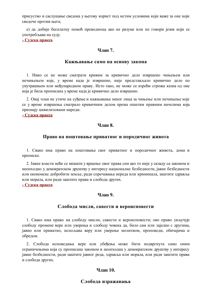присуство и саслушање сведока у његову корист под истим условима који важе за оне који сведоче против њега;

е) да добије бесплатну помоћ преводиоца ако не разуме или не говори језик који се употребљава на суду.

#### **<sup>+</sup> Судска пракса**

## **Члан 7.**

#### **Кажњавање само на основу закона**

1. Нико се не може сматрати кривим за кривично дело извршено чињењем или нечињењем које, у време када је извршено, није представљало кривично дело по унутрашњем или међународном праву. Исто тако, не може се изрећи строжа казна од оне која је била прописана у време када је кривично дело извршено.

2. Овај члан не утиче на суђење и кажњавање неког лица за чињење или нечињење које се у време извршења сматрало кривичним делом према општим правним начелима која признају цивилизовани народи.

**<sup>+</sup> Судска пракса**

#### **Члан 8.**

#### **Право на поштовање приватног и породичног живота**

1. Свако има право на поштовање свог приватног и породичног живота, дома и преписке.

2. Јавне власти неће се мешати у вршење овог права сем ако то није у складу са законом и неопходно у демократском друштву у интересу националне безбедности, јавне безбедности или економске добробити земље, ради спречавања нереда или криминала, заштите здравља или морала, или ради заштите права и слобода других.

**<sup>+</sup> Судска пракса**

## **Члан 9.**

#### **Слобода мисли, савести и вероисповести**

1. Свако има право на слободу мисли, савести и вероисповести; ово право укључује слободу промене вере или уверења и слободу човека да, било сам или заједно с другима, јавно или приватно, испољава веру или уверење молитвом, проповеди, обичајима и обредом.

2. Слобода исповедања вере или убеђења може бити подвргнута само оним ограничењима која су прописана законом и неопходна у демократском друштву у интересу јавне безбедности, ради заштите јавног реда, здравља или морала, или ради заштите права и слобода других.

#### **Члан 10.**

#### **Слобода изражавања**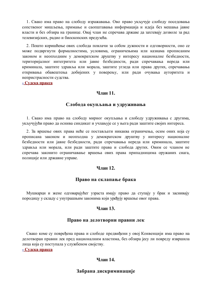1. Свако има право на слободу изражавања. Ово право укључује слободу поседовања сопственог мишљења, примање и саопштавања информација и идеја без мешања јавне власти и без обзира на границе. Овај члан не спречава државе да захтевају дозволе за рад телевизијских, радио и биоскопских предузећа.

2. Пошто коришћење ових слобода повлачи за собом дужности и одговорности, оно се може подвргнути формалностима, условима, ограничењима или казнама прописаним законом и неопходним у демократском друштву у интересу националне безбедности, територијалног интегритета или јавне безбедности, ради спречавања нереда или криминала, заштите здравља или морала, заштите угледа или права других, спречавања откривања обавештења добијених у поверењу, или ради очувања ауторитета и непристрасности судства.

**<sup>+</sup> Судска пракса**

#### **Члан 11.**

#### **Слобода окупљања и удруживања**

1. Свако има право на слободу мирног окупљања и слободу удруживања с другима, укључујући право да оснива синдикат и учлањује се у њега ради заштите својих интереса.

2. За вршење ових права неће се постављати никаква ограничења, осим оних која су прописана законом и неопходна у демократском друштву у интересу националне безбедности или јавне безбедности, ради спречавања нереда или криминала, заштите здравља или морала, или ради заштите права и слобода других. Овим се чланом не спречава законито ограничавање вршења ових права припадницима оружаних снага, полиције или државне управе.

#### **Члан 12.**

#### **Право на склапање брака**

Мушкарци и жене одговарајућег узраста имају право да ступају у брак и заснивају породицу у складу с унутрашњим законима који уређују вршење овог права.

## **Члан 13.**

#### **Право на делотворни правни лек**

Свако коме су повређена права и слободе предвиђени у овој Конвенцији има право на делотворан правни лек пред националним властима, без обзира јесу ли повреду извршила лица која су поступала у службеном својству.

**<sup>+</sup> Судска пракса**

## **Члан 14.**

#### **Забрана дискриминације**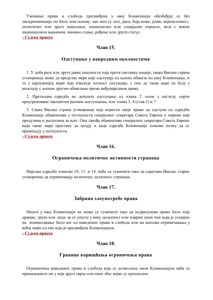Уживање права и слобода предвиђена у овој Конвенцији обезбеђује се без дискриминације по било ком основу, као што су пол, раса, боја коже, језик, вероисповест, политичко или друго мишљење, национално или социјално порекло, веза с неком националном мањином, имовно стање, рођење или други статус.

**<sup>+</sup> Судска пракса**

## **Члан 15.**

#### **Одступање у ванредним околностима**

1. У доба рата или друге јавне опасности која прети опстанку нације, свака Висока страна уговорница може да предузме мере које одступају од њених обавеза по овој Конвенцији, и то у најнужнијој мери коју изискује хитност ситуације, с тим да такве мере не буду у нескладу с њеним другим обавезама према међународном праву.

2. Претходна одредба не допушта одступање од члана 2. осим у погледу смрти проузроковане законитим ратним поступцима, или члана 3, 4 (став 1) и 7.

3. Свака Висока страна уговорница која користи своје право да одступи од одредби Конвенције обавештава у потпуности генералног секретара Савета Европе о мерама које предузима и разлозима за њих. Она такође обавештава генералног секретара Савета Европе када такве мере престану да делују и када одредбе Конвенције поново почну да се примењују у потпуности.

**<sup>+</sup> Судска пракса**

# **Члан 16.**

#### **Ограничења политичке активности странаца**

Ниједна одредба чланова 10, 11. и 14. неће се тумачити тако да спречава Високе старне уговорнице да ограничавају политичку делатност странаца.

## **Члан 17.**

# **Забрана злоупотребе права**

Ништа у овој Конвенцији не може се тумачити тако да подразумева право било које државе, групе или лица да се упусте у неку делатност или изврше неки чин који је усмерен на поништавање било ког од наведених права и слобода или на њихово ограничавање у већој мери од оне која је предвиђена Конвенцијом.

**<sup>+</sup> Судска пракса**

## **Члан 18.**

#### **Границе коришћења ограничења права**

Ограничења наведених права и слобода која су дозвољена овом Конвенцијом неће се примењивати ни у које друге сврхе сем оних због којих су прописани.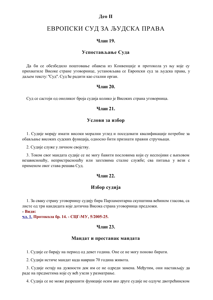# **Део II**

# ЕВРОПСКИ СУД ЗА ЉУДСКА ПРАВА

#### **Члан 19.**

#### **Успостављање Суда**

Да би се обезбедило поштовање обавеза из Конвенције и протокола уз њу које су прихватиле Високе стране уговорнице, установљава се Европски суд за људска права, у даљем тексту: "Суд". Суд ће радити као стални орган.

#### **Члан 20.**

Суд се састоји од оноликог броја судија колико је Високих страна уговорница.

#### **Члан 21.**

#### **Услови за избор**

1. Судије морају имати високи морални углед и поседовати квалификације потребне за обављање високих судских функција, односно бити признати правни стручњаци.

2. Судије служе у личном својству.

3. Током свог мандата судије се не могу бавити пословима који су неспојиви с њиховом независношћу, непристрасношћу или захтевима сталне службе; сва питања у вези с применом овог става решава Суд.

#### **Члан 22.**

#### **Избор судија**

1. За сваку страну уговорницу судију бира Парламентарна скупштина већином гласова, са листе од три кандидата које дотична Висока страна уговорница предложи.

**<sup>+</sup> Види:**

**чл. 1. Протокола бр. 14. - СЦГ-МУ, 5/2005-25.**

# **Члан 23.**

#### **Мандат и престанак мандата**

1. Судије се бирају на период од девет година. Оне се не могу поново бирати.

2. Судији истиче мандат када наврши 70 година живота.

3. Судије остају на дужности док им се не одреди замена. Међутим, они настављају да раде на предметима које су већ узели у разматрање.

4. Судија се не може разрешити функције осим ако друге судије не одлуче двотрећинском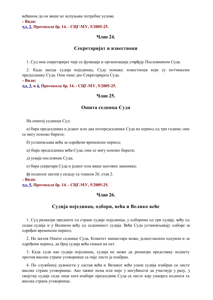већином да он више не испуњава потребне услове. **<sup>+</sup> Види:**

**чл. 2. Протокола бр. 14. - СЦГ-МУ, 5/2005-25.**

# **Члан 24.**

# **Секретаријат и известиоци**

1. Суд има секретаријат чије се функције и организација утврђују Пословником Суда.

2. Када заседа судија појединац, Суду помажу известиоци који су потчињени председнику Суда. Они чине део Секретаријата Суда.

**<sup>+</sup> Види:**

**чл. 3. и 4. Протокола бр. 14. - СЦГ-МУ, 5/2005-25.**

# **Члан 25.**

# **Општа седница Суда**

На општој седници Суд:

а) бира председника и једног или два потпредседника Суда на период од три године; они се могу поново бирати;

б) установљава већа за одређени временски период;

ц) бира председника већа Суда; они се могу поново бирати;

д) усваја пословник Суда;

е) бира секретара Суда и једног или више његових заменика;

ф) подноси захтев у складу са чланом 26. став 2.

**<sup>+</sup> Види:**

**чл. 5. Протокола бр. 14. - СЦГ-МУ, 5/2005-25.**

# **Члан 26.**

# **Судија појединац, одбори, већа и Велико веће**

1. Суд разматра предмете од стране судије појединца, у одборима од три судије, већу од седам судија и у Великом већу од седамнаест судија. Већа Суда установљавају одборе за одређен временски период.

2. На захтев Опште седнице Суда, Комитет министара може, једногласном одлуком и за одређени период, да број судија већа смањи на пет.

3. Када суди као судија појединац, судија не може да разматра представку поднету против високе стране уговорнице са чије листе је изабран.

4. По службеној дужности у састав већа и Великог већа улази судија изабран са листе високе стране уговорнице. Ако таквог нема или није у могућности да учествује у раду, у својству судије седи лице кога изабере председник Суда са листе коју унапред подноси та висока страна уговорница.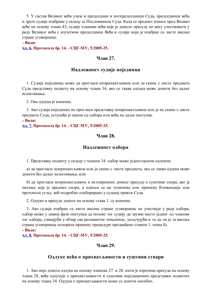5. У састав Великог већа улазе и председник и потпредседници Суда, председници већа и друге судије изабране у складу са Пословником Суда. Када се предмет изнесе пред Велико веће на основу члана 43, судије чланови већа које је донело пресуду не могу учествовати у раду Великог већа с изузетком председника Већа и судије који је изабран са листе високе стране уговорнице.

#### **<sup>+</sup> Види:**

**чл. 6. Протокола бр. 14. - СЦГ-МУ, 5/2005-25.**

# **Члан 27.**

# **Надлежност судије појединца**

1. Судија појединац може да прогласи неприхватљивом или да скине с листе предмета Суда представку поднету на основу члана 34, ако се таква одлука може донети без даљег испитивања.

2. Ова одлука је коначна.

3. Ако судија појединац не прогласи представку неприхватљивом или је не скине с листе предмета Суда, уступиће је неком од одбора или већа на даљи поступак.

**<sup>+</sup> Види:**

**чл. 7. Протокола бр. 14. - СЦГ-МУ, 5/2005-25.**

#### **Члан 28.**

#### **Надлежност одбора**

1. Представку поднету у складу с чланом 34. одбор може једногласном одлуком:

а) да прогласи неприхватљивом или је скине с листе предмета, ако се таква одлука може донети без даљег испитивања; или

б) да прогласи неприхватљивом и истовремено донесе пресуду о суштини спора, ако је питање које је предмет спора, а односи се на тумачење или примену Конвенције или протокола уз њу, већ подробно елаборирано у судској пракси Суда.

2. Одлуке и пресуде донете на основу става 1. су коначне.

3. Ако судија изабран са листе високе стране уговорнице не учествује у раду одбора, одбор може у свакој фази поступка да позове тог судију да заузме место једног од чланова тог одбора, узимајући у обзир све релевантне чињенице, укључујући и то да ли је та висока страна уговорница оспорила примену процедуре предвиђене ставом 1. тачка б). **<sup>+</sup> Види:**

**чл. 8. Протокола бр. 14. - СЦГ-МУ, 5/2005-25.**

#### **Члан 29.**

#### **Одлуке већа о прихватљивости и суштини ствари**

1. Ако није донета одлука на основу чланова 27. и 28, нити је изречена пресуда на основу члана 28, веће одлучује о прихватљивости и суштини појединачних представки поднетих на основу члана 34. Одлука о прихватљивости може се донети посебно.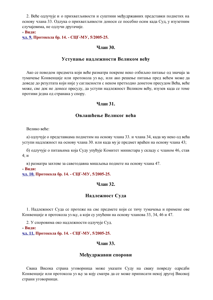2. Веће одлучује и о прихватљивости и суштини међудржавних представки поднетих на основу члана 33. Одлука о прихватљивости доноси се посебно осим када Суд, у изузетним случајевима, не одлучи другачије.

**<sup>+</sup> Види:**

**чл. 9. Протокола бр. 14. - СЦГ-МУ, 5/2005-25.**

#### **Члан 30.**

# **Уступање надлежности Великом већу**

Ако се поводом предмета који веће разматра покрене неко озбиљно питање од значаја за тумачење Конвенције или протокола уз њу, или ако решење питања пред већем може да доведе до резултата који није у сагласности с неком претходно донетом пресудом Већа, веће може, све док не донесе пресуду, да уступи надлежност Великом већу, изузев када се томе противи једна од странака у спору.

#### **Члан 31.**

# **Овлашћење Великог већа**

Велико веће:

а) одлучује о представкама поднетим на основу члана 33. и члана 34, када му неко од већа уступи надлежност на основу члана 30. или када му је предмет враћен на основу члана 43;

б) одлучује о питањима која Суду упућује Комитет министара у складу с чланом 46, став 4; и

в) разматра захтеве за саветодавна мишљења поднете на основу члана 47. **<sup>+</sup> Види:**

**чл. 10. Протокола бр. 14. - СЦГ-МУ, 5/2005-25.**

#### **Члан 32.**

#### **Надлежност Суда**

1. Надлежност Суда се протеже на све предмете који се тичу тумачења и примене ове Конвенције и протокола уз њу, а који су упућени на основу чланова 33, 34, 46 и 47.

2. У споровима око надлежности одлучује Суд.

**<sup>+</sup> Види:**

**чл. 11. Протокола бр. 14. - СЦГ-МУ, 5/2005-25.**

#### **Члан 33.**

# **Међудржавни спорови**

Свака Висока страна уговорница може указати Суду на сваку повреду одредби Конвенције или протокола уз њу за коју сматра да се може приписати некој другој Високој страни уговорници.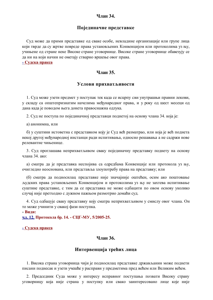#### **Члан 34.**

#### **Појединачне представке**

Суд може да прими представке од сваке особе, невладине организације или групе лица који тврде да су жртве повреде права установљених Конвенцијом или протоколима уз њу, учињене од стране неке Високе стране уговорнице. Високе стране уговорнице обавезују се да ни на који начин не ометају стварно вршење овог права.

#### **<sup>+</sup> Судска пракса**

# **Члан 35.**

# **Услови прихватљивости**

1. Суд може узети предмет у поступак тек када се исцрпу сви унутрашњи правни лекови, у складу са општепризнатим начелима међународног права, и у року од шест месеци од дана када је поводом њега донета правоснажна одлука.

2. Суд не поступа по појединачној представци поднетој на основу члана 34. која је:

а) анонимна, или

б) у суштини истоветна с представком коју је Суд већ разматрао, или која је већ поднета некој другој међународној инстанци ради испитивања, односно решавања а не садржи нове релевантне чињенице.

3. Суд проглашава неприхватљивом сваку појединачну представку поднету на основу члана 34. ако:

а) сматра да је представка неспојива са одредбама Конвенције или протокола уз њу, очигледно неоснована, или представља злоупотребу права на представку; или

(б) сматра да подносилац представке није значајније оштећен, осим ако поштовање људских права установљених Конвенцијом и протоколима уз њу не захтева испитивање суштине представке, с тим да се представка не може одбацити по овом основу уколико случај није претходно с дужном пажњом размотрио домаћи суд.

4. Суд одбацује сваку представку коју сматра неприхватљивом у смислу овог члана. Он то може учинити у свакој фази поступка.

**<sup>+</sup> Види: чл. 12. Протокола бр. 14. - СЦГ-МУ, 5/2005-25.**

**<sup>+</sup> Судска пракса**

#### **Члан 36.**

#### **Интервенција трећих лица**

1. Висока страна уговорница чији је подносилац представке држављанин може поднети писани поднесак и узети учешће у расправи у предметима пред већем или Великим већем.

2. Председник Суда може у интересу исправног поступања позвати Високу страну уговорницу која није страна у поступку или свако заинтересовано лице које није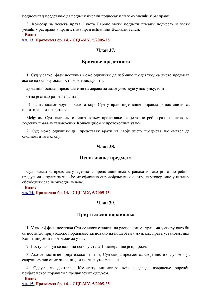подносилац представке да поднесу писани поднесак или узму учешће у расправи.

3. Комесар за људска права Савета Европе може поднети писани поднесак и узети учешће у расправи у предметима пред већем или Великим већем.

**<sup>+</sup> Види:**

**чл. 13. Протокола бр. 14. - СЦГ-МУ, 5/2005-25.**

## **Члан 37.**

# **Брисање представки**

1. Суд у свакој фази поступка може одлучити да избрише представку са листе предмета ако се на основу околности може закључити:

а) да подносилац представке не намерава да даље учествује у поступку; или

б) да је ствар разрешена; или

ц) да из сваког другог разлога који Суд утврди није више оправдано наставити са испитивањем представке.

Међутим, Суд наставља с испитивањем представке ако је то потребно ради поштовања људских права установљених Конвенцијом и протоколима уз њу.

2. Суд може одлучити да представку врати на своју листу предмета ако сматра да околности то налажу.

# **Члан 38.**

#### **Испитивање предмета**

Суд разматра представку заједно с представницима странака и, ако је то потребно, предузима истрагу за чије ће му ефикасно спровођење високе стране уговорнице у питању обезбедити све неопходне услове.

**<sup>+</sup> Види:**

**чл. 14. Протокола бр. 14. - СЦГ-МУ, 5/2005-25.**

#### **Члан 39.**

#### **Пријатељска поравнања**

1. У свакој фази поступка Суд се може ставити на располагање странама у спору како би се постигло пријатељско поравнање засновано на поштовању људских права установљених Конвенцијом и протоколима уз њу.

2. Поступак који се води на основу става 1. поверљиве је природе.

3. Ако се постигне пријатељско решење, Суд скида предмет са своје листе одлуком која садржи кратак опис чињеница и постигнутог решења.

4. Одлука се доставља Комитету министара који надгледа извршење одредби пријатељског поравнања предвиђених одлуком.

**<sup>+</sup> Види:**

**чл. 15. Протокола бр. 14. - СЦГ-МУ, 5/2005-25.**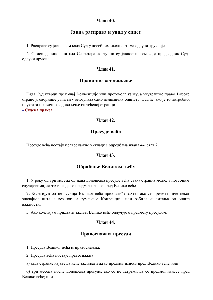#### **Члан 40.**

#### **Јавна расправа и увид у списе**

1. Расправе су јавне, сем када Суд у посебним околностима одлучи друкчије.

2. Списи депоновани код Секретара доступни су јавности, сем када председник Суда одлучи друкчије.

# **Члан 41.**

#### **Правично задовољење**

Када Суд утврди прекршај Конвенције или протокола уз њу, а унутрашње право Високе стране уговорнице у питању омогућава само делимичну одштету, Суд ће, ако је то потребно, пружити правично задовољење оштећеној странци.

**<sup>+</sup> Судска пракса**

# **Члан 42.**

# **Пресуде већа**

Пресуде већа постају правоснажне у складу с одредбама члана 44. став 2.

# **Члан 43.**

#### **Обраћање Великом већу**

1. У року од три месеца од дана доношења пресуде већа свака странка може, у посебним случајевима, да захтева да се предмет изнесе пред Велико веће.

2. Колегијум од пет судија Великог већа прихватиће захтев ако се предмет тиче неког значајног питања везаног за тумачење Конвенције или озбиљног питања од опште важности.

3. Ако колегијум прихвати захтев, Велико веће одлучује о предмету пресудом.

#### **Члан 44.**

#### **Правоснажна пресуда**

1. Пресуда Великог већа је правоснажна.

2. Пресуда већа постаје правоснажна:

а) када странке изјаве да неће захтевати да се предмет изнесе пред Велико веће; или

б) три месеца после доношења пресуде, ако се не затражи да се предмет изнесе пред Велико веће; или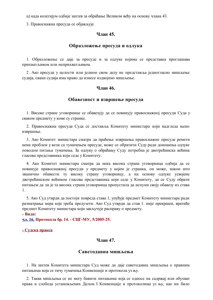ц) када колегијум одбије захтев за обраћање Великом већу на основу члана 43.

3. Правоснажна пресуда се објављује.

# **Члан 45.**

# **Образложење пресуда и одлука**

1. Образложење се даје за пресуде и за одлуке којима се представка проглашава прихватљивом или неприхватљивом.

2. Ако пресуда у целости или једном свом делу не представља једногласно мишљење судија, сваки судија има право да изнесе издвојено мишљење.

#### **Члан 46.**

#### **Обавезност и извршење пресуда**

1. Високе стране уговорнице се обавезују да се повинују правоснажној пресуди Суда у сваком предмету у коме су странке.

2. Правоснажна пресуда Суда се доставља Комитету министара који надгледа њено извршење.

3. Ако Комитет министара сматра да праћење извршења правоснажне пресуде ремети неки проблем у вези са тумачењем пресуде, може се обратити Суду ради доношења одлуке поводом питања тумачења. За одлуку о обраћању Суду потребна је двотрећинска већина гласова представника који седе у Комитету.

4. Ако Комитет министара сматра да нека висока страна уговорница одбија да се повинује правоснажној пресуди у предмету у којем је странка, он може, након што званично обавести ту високу страну уговорницу, а на основу одлуке усвојене двотрећинском већином гласова представника који седе у Комитету, да се Суду обрати питањем да ли је та висока страна уговорница пропустила да испуни своју обавезу из става 1.

5. Ако Суд утврди да постоји повреда става 1, упућује предмет Комитету министара ради разматрања мера које треба предузети. Ако Суд утврди да став 1. није прекршен, вратиће предмет Комитету министара који закључује расправу о предмету.

**<sup>+</sup> Види: чл. 16. Протокола бр. 14. - СЦГ-МУ, 5/2005-25.**

**<sup>+</sup> Судска пракса**

# **Члан 47.**

#### **Саветодавна мишљења**

1. На захтев Комитета министара Суд може да даје саветодавна мишљења о правним питањима која се тичу тумачења Конвенције и протокола уз њу.

2. Таква мишљења се не могу бавити питањима која се односе на садржај или обухват права и слобода установљених Делом I Конвенције и протоколима уз њу, као ни било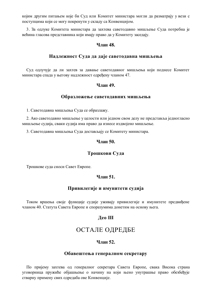којим другим питањем које би Суд или Комитет министара могли да разматрају у вези с поступцима који се могу покренути у складу са Конвенцијом.

3. За одлуке Комитета министара да захтева саветодавно мишљење Суда потребна је већина гласова представника који имају право да у Комитету заседају.

#### **Члан 48.**

#### **Надлежност Суда да даје саветодавна мишљења**

Суд одлучује да ли захтев за давање саветодавног мишљења који поднесе Комитет министара спада у његову надлежност одређену чланом 47.

#### **Члан 49.**

# **Образложење саветодавних мишљења**

1. Саветодавна мишљења Суда се образлажу.

2. Ако саветодавно мишљење у целости или једном свом делу не представља једногласно мишљење судија, сваки судија има право да изнесе издвојено мишљење.

3. Саветодавна мишљења Суда достављају се Комитету министара.

#### **Члан 50.**

#### **Трошкови Суда**

Трошкове суда сноси Савет Европе.

# **Члан 51.**

# **Привилегије и имунитети судија**

Током вршења своје функције судије уживају привилегије и имунитете предвиђене чланом 40. Статута Савета Европе и споразумима донетим на основу њега.

# **Део III**

# ОСТАЛЕ ОДРЕДБЕ

# **Члан 52.**

#### **Обавештења генералном секретару**

По пријему захтева од генералног секретара Савета Европе, свака Висока страна уговорница пружиће објашњење о начину на који њено унутрашње право обезбеђује стварну примену свих одредаба ове Конвенције.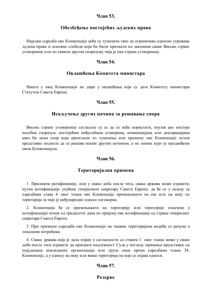#### **Члан 53.**

#### **Обезбеђење постојећих људских права**

Ниједна одредба ове Конвенције неће се тумачити тако да ограничава односно угрожава људска права и основне слободе који би били признати по законима сваке Високе стране уговорнице или по сваком другом споразуму чија је она страна уговорница.

# **Члан 54.**

#### **Овлашћења Комитета министара**

Ништа у овој Конвенцији не дира у овлашћења која су дата Комитету министара Статутом Савета Европе.

#### **Члан 55.**

#### **Искључење других начина за решавање спора**

Високе стране уговорнице сагласиле су се да се неће користити, изузев ако постоји посебан споразум, постојећим међусобним уговорима, конвенцијама или декларацијама како би неки спор који произлази из тумачења или примене ове Конвенције путем представке поднеле да се решава неким другим начином, а не онима који су предвиђени овом Конвенцијом.

#### **Члан 56.**

# **Територијална примена**

1. Приликом ратификације, или у свако доба после тога, свака држава може изјавити, путем нотификације упућене генералном секретару Савета Европе, да ће се у складу са одредбама става 4. овог члана ове Конвенције примењивати на све или на неку од територија за чије је међународне односе одговорна.

2. Конвенција ће се примењивати на територију или територије означене у нотификацији почев од тридесетог дана по пријему ове нотификације од стране генералног секретара Савета Европе.

3. При примени одредаба ове Конвенције на таквим територијама водиће се рачуна о локалним потребама.

4. Свака држава која је дала изјаву у сагласности са ставом 1. овог члана може у свако доба после тога изјавити да прихвата надлежност Суда у погледу примања представки од појединаца невладиних организација или група лица према одредбама члана 34. Конвенције, а у односу на неку или више територија на које се изјава односи.

#### **Члан 57.**

#### **Резерве**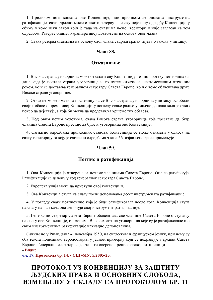1. Приликом потписивања ове Конвенције, или приликом депоновања инструмента ратификације, свака држава може ставити резерву на сваку поједину одредбу Конвенције у обиму у коме неки закон који је тада на снази на њеној територији није сагласан са том одредбом. Резерве општег карактера нису дозвољене на основу овог члана.

2. Свака резерва стављена на основу овог члана садржи кратку изјаву о закону у питању.

# **Члан 58.**

#### **Отказивање**

1. Висока страна уговорница може отказати ову Конвенцију тек по протеку пет година од дана када је постала страна уговорница и то путем отказа са шестомесечним отказним роком, који се доставља генералном секретару Савета Европе, који о томе обавештава друге Високе стране уговорнице.

2. Отказ не може имати за последицу да се Висока страна уговорница у питању ослободи својих обавеза према овој Конвенцији у погледу сваке радње учињене до дана када је отказ почео да дејствује, а која би могла да представља кршење тих обавеза.

3. Под овим истим условима, свака Висока страна уговорница која престане да буде чланица Савета Европе престаје да буде и уговорница ове Конвенције.

4. Сагласно одредбама претходних ставова, Конвенција се може отказати у односу на сваку територију за коју је сагласно одредбама члана 56. изјављено да се примењује.

# **Члан 59.**

#### **Потпис и ратификација**

1. Ова Конвенција је отворена за потпис чланицама Савета Европе. Она се ратификује. Ратификације се депонују код генералног секретара Савета Европе.

2. Европска унија може да приступи овој конвенцији.

3. Ова Конвенција ступа на снагу после депоновања десет инструмената ратификације.

4. У погледу сваке потписнице која је буде ратификовала после тога, Конвенција ступа на снагу на дан када она депонује свој инструмент ратификације.

5. Генерални секретар Савета Европе обавештава све чланице Савета Европе о ступању на снагу ове Конвенције, о именима Високих страна уговорница које су је ратификовале и о свим инструментима ратификације накнадно депонованим.

Сачињено у Риму, дана 4. новембра 1950, на енглеском и француском језику, при чему су оба текста подједнако веродостојна, у једном примерку који се похрањује у архиви Савета Европе. Генерални секретар ће доставити оверене преписе свакој потписници. **<sup>+</sup> Види:**

**чл. 17. Протокола бр. 14. - СЦГ-МУ, 5/2005-25.**

# **ПРОТОКОЛ УЗ КОНВЕНЦИЈУ ЗА ЗАШТИТУ ЉУДСКИХ ПРАВА И ОСНОВНИХ СЛОБОДА, ИЗМЕЊЕНУ У СКЛАДУ СА ПРОТОКОЛОМ БР. 11**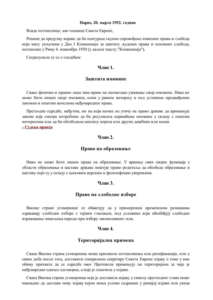#### **Париз, 20. марта 1952. године**

Владе потписнице, као чланице Савета Европе,

Решене да предузму кораке да би осигурале скупно спровођење извесних права и слобода који нису укључени у Део I Конвенције за заштиту људских права и основних слобода, потписане у Риму 4. новембра 1950 (у даљем тексту: "Конвенција"),

Споразумеле су се о следећем:

#### **Члан 1.**

#### **Заштита имовине**

Свако физичко и правно лице има право на неометано уживање своје имовине. Нико не може бити лишен своје имовине, осим у јавном интересу и под условима предвиђеним законом и општим начелима међународног права.

Претходне одредбе, међутим, ни на који начин не утичу на право државе да примењује законе које сматра потребним да би регулисала коришћење имовине у складу с општим интересима или да би обезбедила наплату пореза или других дажбина или казни. **<sup>+</sup> Судска пракса**

#### **Члан 2.**

#### **Право на образовање**

Нико не може бити лишен права на образовање. У вршењу свих својих функција у области образовања и наставе држава поштује право родитеља да обезбеде образовање и наставу који су у складу с њиховим верским и филозофским уверењима.

#### **Члан 3.**

#### **Право на слободне изборе**

Високе стране уговорнице се обавезују да у примереним временским размацима одржавају слободне изборе с тајним гласањем, под условима који обезбеђују слободно изражавање мишљења народа при избору законодавних тела.

#### **Члан 4.**

#### **Територијална примена**

Свака Висока страна уговорница може приликом потписивања или ратификације, или у свако доба после тога, доставити генералном секретару Савета Европе изјаву о томе у ком обиму прихвата да се одредбе овог Протокола примењују на територијама за чије је међународне односе одговорна, а које је означила у изјави.

Свака Висока страна уговорница која је доставила изјаву у смислу претходног става може накнадно да достави нову изјаву којом мења услове садржане у ранијој изјави или укида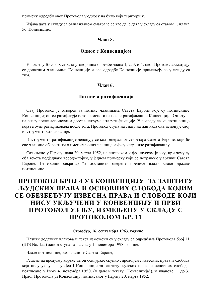примену одредби овог Протокола у односу на било коју територију.

Изјава дата у складу са овим чланом сматраће се као да је дата у складу са ставом 1. члана 56. Конвенције.

#### **Члан 5.**

# **Однос с Конвенцијом**

У погледу Високих страна уговорница одредбе члана 1, 2, 3. и 4. овог Протокола сматрају се додатним члановима Конвенције и све одредбе Конвенције примењују се у складу са тим.

# **Члан 6.**

# **Потпис и ратификација**

Овај Протокол је отворен за потпис чланицама Савета Европе које су потписнице Конвенције; он се ратификује истовремено или после ратификације Конвенције. Он ступа на снагу после депоновања десет инструмената ратификације. У погледу сваке потписнице која га буде ратификовала после тога, Протокол ступа на снагу на дан када она депонује свој инструмент ратификације.

Инструменти ратификације депонују се код генералног секретара Савета Европе, који ће све чланице обавестити о именима оних чланица које су извршиле ратификацију.

Сачињено у Паризу, дана 20. марта 1952, на енглеском и француском језику, при чему су оба текста подједнако веродостојни, у једном примерку који се похрањује у архиви Савета Европе. Генерални секретар ће доставити оверене преписе влади сваке државе потписнице.

# **ПРОТОКОЛ БРОЈ 4 УЗ КОНВЕНЦИЈУ ЗА ЗАШТИТУ ЉУДСКИХ ПРАВА И ОСНОВНИХ СЛОБОДА КОЈИМ СЕ ОБЕЗБЕЂУЈУ ИЗВЕСНА ПРАВА И СЛОБОДЕ КОЈИ НИСУ УКЉУЧЕНИ У КОНВЕНЦИЈУ И ПРВИ ПРОТОКОЛ УЗ ЊУ, ИЗМЕЊЕНУ У СКЛАДУ С ПРОТОКОЛОМ БР. 11**

#### **Стразбур, 16. септембра 1963. године**

Називи додатних чланова и текст измењени су у складу са одредбама Протокола број 11 (ETS No. 155) даном ступања на снагу 1. новембра 1998. године.

Владе потписнице, као чланице Савета Европе,

Решене да предузму кораке да би осигурале скупно спровођење извесних права и слобода која нису укључена у Део I Конвенције за заштиту људских права и основних слобода, потписане у Риму 4. новембра 1950. (у даљем тексту: "Конвенција"), и чланове 1. до 3. Првог Протокола уз Конвенцију, потписаног у Паризу 20. марта 1952.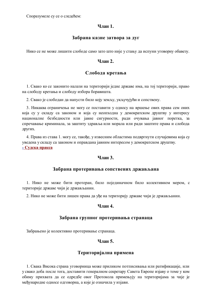Споразумеле су се о следећем:

# **Члан 1.**

#### **Забрана казне затвора за дуг**

Нико се не може лишити слободе само зато што није у стању да испуни уговорну обавезу.

#### **Члан 2.**

# **Слобода кретања**

1. Свако ко се законито налази на територији једне државе има, на тој територији, право на слободу кретања и слободу избора боравишта.

2. Свако је слободан да напусти било коју земљу, укључујући и сопствену.

3. Никаква ограничења не могу се поставити у односу на вршење ових права сем оних која су у складу са законом и која су неопходна у демократском друштву у интересу националне безбедности или јавне сигурности, ради очувања јавног поретка, за спречавање криминала, за заштиту здравља или морала или ради заштите права и слобода других.

4. Права из става 1. могу се, такође, у извесним областима подвргнути случајевима која су уведена у складу са законом и оправдана јавним интересом у демократском друштву. **<sup>+</sup> Судска пракса**

#### **Члан 3.**

#### **Забрана протеривања сопствених држављана**

1. Нико не може бити протеран, било појединачном било колективном мером, с територије државе чији је држављанин.

2. Нико не може бити лишен права да уђе на територију државе чији је држављанин.

# **Члан 4.**

#### **Забрана групног протеривања странаца**

Забрањено је колективно протеривање странаца.

# **Члан 5.**

# **Територијална примена**

1. Свака Висока страна уговорница може приликом потписивања или ратификације, или у свако доба после тога, доставити генералном секретару Савета Европе изјаву о томе у ком обиму прихвата да се одредбе овог Протокола примењују на територијама за чије је међународне односе одговорна, а које је означила у изјави.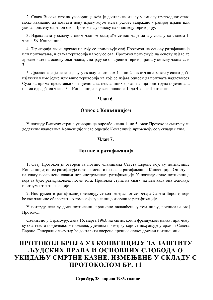2. Свака Висока страна уговорница која је доставила изјаву у смислу претходног става може накнадно да достави нову изјаву којом мења услове садржане у ранијој изјави или укида примену одредби овог Протокола у односу на било коју територију.

3. Изјава дата у складу с овим чланом сматраће се као да је дата у складу са ставом 1. члана 56. Конвенције.

4. Територија сваке државе на коју се примењује овај Протокол на основу ратификације или прихватања, и свака територија на коју се овај Протокол примењује на основу изјаве те државе дате на основу овог члана, сматрају се одвојеним територијама у смислу члана 2. и 3.

5. Држава која је дала изјаву у складу са ставом 1. или 2. овог члана може у свако доба изјавити у име једне или више територија на које се изјава односи да прихвата надлежност Суда да прима представке од појединаца, невладиних организација или група појединаца према одредбама члана 34. Конвенције, а у вези чланова 1. до 4. овог Протокола.

#### **Члан 6.**

# **Однос с Конвенцијом**

У погледу Високих страна уговорница одредбе члана 1. до 5. овог Протокола сматрају се додатним члановима Конвенције и све одредбе Конвенције примењују се у складу с тим.

# **Члан 7.**

# **Потпис и ратификација**

1. Овај Протокол је отворен за потпис чланицама Савета Европе које су потписнице Конвенције; он се ратификује истовремено или после ратификације Конвенције. Он ступа на снагу после депоновања пет инструмената ратификације. У погледу сваке потписнице која га буде ратификовала после тога, Протокол ступа на снагу на дан када она депонује инструмент ратификације.

2. Инструменти ратификације депонују се код генералног секретара Савета Европе, који ће све чланице обавестити о томе које су чланице извршиле ратификацију.

У потврду чега су доле потписани, прописно овлашћени у том циљу, потписали овај Протокол.

Сачињено у Стразбуру, дана 16. марта 1963, на енглеском и француском језику, при чему су оба текста подједнако меродавна, у једном примерку који се похрањује у архиви Савета Европе. Генерални секретар ће доставити оверене преписе свакој држави потписници.

# **ПРОТОКОЛ БРОЈ 6 УЗ КОНВЕНЦИЈУ ЗА ЗАШТИТУ ЉУДСКИХ ПРАВА И ОСНОВНИХ СЛОБОДА О УКИДАЊУ СМРТНЕ КАЗНЕ, ИЗМЕЊЕНЕ У СКЛАДУ С ПРОТОКОЛОМ БР. 11**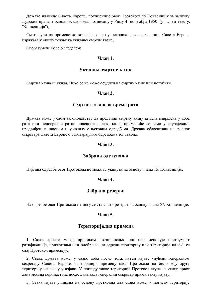Државе чланице Савета Европе, потписнице овог Протокола уз Конвенцију за заштиту људских права и основних слобода, потписану у Риму 4. новембра 1950. (у даљем тексту: "Конвенција"),

Сматрајући да промене до којих је дошло у неколико држава чланица Савета Европе изражавају општу тежњу ка укидању смртне казне,

Споразумеле су се о следећем:

# **Члан 1.**

# **Укидање смртне казне**

Смртна казна се укида. Нико се не може осудити на смртну казну или погубити.

# **Члан 2.**

#### **Смртна казна за време рата**

Држава може у свом законодавству да предвиди смртну казну за дела извршена у доба рата или непосредне ратне опасности; таква казна примениће се само у случајевима предвиђеним законом и у складу с његовим одредбама. Држава обавештава генералног секретара Савета Европе о одговарајућим одредбама тог закона.

#### **Члан 3.**

# **Забрана одступања**

Ниједна одредба овог Протокола не може се укинути на основу члана 15. Конвенције.

#### **Члан 4.**

#### **Забрана резерви**

На одредбе овог Протокола не могу се стављати резерве на основу члана 57. Конвенције.

#### **Члан 5.**

## **Територијална примена**

1. Свака држава може, приликом потписивања или када депонује инструмент ратификације, прихватања или одобрења, да одреди територију или територије на које се овај Протокол примењује.

2. Свака држава може, у свако доба после тога, путем изјаве упућене генералном секретару Савета Европе, да прошири примену овог Протокола на било коју другу територију означену у изјави. У погледу такве територије Протокол ступа на снагу првог дана месеца који наступа после дана када генерални секретар прими такву изјаву.

3. Свака изјава учињена на основу претходна два става може, у погледу територије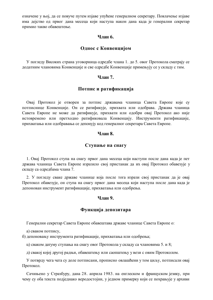означене у њој, да се повуче путем изјаве упућене генералном секретару. Повлачење изјаве има дејство од првог дана месеца који наступа након дана када је генерални секретар примио такво обавештење.

# **Члан 6.**

#### **Однос с Конвенцијом**

У погледу Високих страна уговорница одредбе члана 1. до 5. овог Протокола сматрају се додатним члановима Конвенције и све одредбе Конвенције примењују се у складу с тим.

# **Члан 7.**

# **Потпис и ратификација**

Овај Протокол је отворен за потпис државама чланица Савета Европе које су потписнице Конвенције. Он се ратификује, прихвата или одобрава. Држава чланица Савета Европе не може да ратификује, прихвати или одобри овај Протокол ако није истовремено или претходно ратификовала Конвенцију. Инструменти ратификације, прихватања или одобравања се депонују код генералног секретара Савета Европе.

#### **Члан 8.**

#### **Ступање на снагу**

1. Овај Протокол ступа на снагу првог дана месеца који наступи после дана када је пет држава чланица Савета Европе изразило свој пристанак да их овај Протокол обавезује у складу са одредбама члана 7.

2. У погледу сваке државе чланице која после тога изрази свој пристанак да је овај Протокол обавезује, он ступа на снагу првог дана месеца који наступа после дана када је депонован инструмент ратификације, прихватања или одобрења.

#### **Члан 9.**

#### **Функција депозитара**

Генерални секретар Савета Европе обавештава државе чланице Савета Европе о:

а) сваком потпису,

б) депоновању инструмента ратификације, прихватања или одобрења;

ц) сваком датуму ступања на снагу овог Протокола у складу са члановима 5. и 8;

д) свакој којој другој радњи, обавештењу или саопштењу у вези с овим Протоколом.

У потврду чега чега су доле потписани, прописно овлашћени у том циљу, потписали овај Протокол.

Сачињено у Стразбуру, дана 28. априла 1983. на енглеском и француском језику, при чему су оба текста подједнако веродостојни, у једном примерку који се похрањује у архиви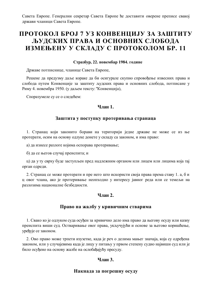Савета Европе. Генерални секретар Савета Европе ће доставити оверене преписе свакој држави чланици Савета Европе.

# **ПРОТОКОЛ БРОЈ 7 УЗ КОНВЕНЦИЈУ ЗА ЗАШТИТУ ЉУДСКИХ ПРАВА И ОСНОВНИХ СЛОБОДА ИЗМЕЊЕНУ У СКЛАДУ С ПРОТОКОЛОМ БР. 11**

#### **Стразбур, 22. новембар 1984. године**

Државе потписнице, чланице Савета Европе,

Решене да предузму даље кораке да би осигурале скупно спровођење извесних права и слобода путем Конвенције за заштиту људских права и основних слобода, потписане у Риму 4. новембра 1950. (у даљем тексту: "Конвенција),

Споразумеле су се о следећем:

#### **Члан 1.**

#### **Заштита у поступку протеривања странаца**

1. Странац који законито борави на територији једне државе не може се из ње протерати, осим на основу одлуке донете у складу са законом, и има право:

а) да изнесе разлоге којима оспорава протеривање;

б) да се његов случај преиспита; и

ц) да у ту сврху буде заступљен пред надлежним органом или лицем или лицима која тај орган одреди.

2. Странац се може протерати и пре него што искористи своја права према ставу 1. а, б и ц овог члана, ако је протеривање неопходно у интересу јавног реда или се темељи на разлозима националне безбедности.

#### **Члан 2.**

# **Право на жалбу у кривичним стварима**

1. Свако ко је одлуком суда осуђен за кривично дело има право да његову осуду или казну преиспита виши суд. Остваривање овог права, укључујући и основе за његово коришћење, уређује се законом.

2. Ово право може трпети изузетке, када је реч о делима мањег значаја, која су одређена законом, или у случајевима када је лицу у питању у првом степену судио највиши суд или је било осуђено на основу жалбе на ослобађајућу пресуду.

# **Члан 3.**

#### **Накнада за погрешну осуду**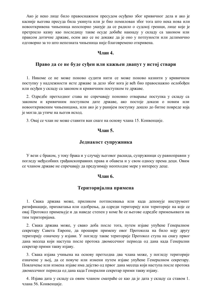Ако је неко лице било правоснажном пресудом осуђено због кривичног дела и ако је касније његова пресуда била укинута или је био помилован због тога што нека нова или новооткривена чињеница неоспорно указује да се радило о судској грешци, лице које је претрпело казну као последицу такве осуде добиће накнаду у складу са законом или праксом дотичне државе, осим ако се не докаже да је оно у потпуности или делимично одговорно за то што непозната чињеница није благовремено откривена.

#### **Члан 4.**

#### **Право да се не буде суђен или кажњен двапут у истој ствари**

1. Никоме се не може поново судити нити се може поново казнити у кривичном поступку у надлежности исте државе за дело због кога је већ био правоснажно ослобођен или осуђен у складу са законом и кривичним поступком те државе.

2. Одредбе претходног става не спречавају поновно отварање поступка у складу са законом и кривичним поступком дате државе, ако постоје докази о новим или новооткривеним чињеницама, или ако је у ранијем поступку дошло до битне повреде која је могла да утиче на његов исход.

3. Овај се члан не може ставити ван снаге на основу члана 15. Конвенције.

#### **Члан 5.**

#### **Једнакост супружника**

У вези с браком, у току брака и у случају његовог раскида, супружници су равноправни у погледу међусобних грађанскоправних права и обавеза и у свом односу према деци. Овим се чланом државе не спречавају да предузимају неопходне мере у интересу деце.

#### **Члан 6.**

#### **Територијална примена**

1. Свака држава може, приликом потписивања или када депонује инструмент ратификације, прихватања или одобрења, да одреди територију или територије на које се овај Протокол примењује и да наведе степен у коме ће се његове одредбе примењивати на тим територијама.

2. Свака држава може, у свако доба после тога, путем изјаве упућене Генералном секретару Савета Европе, да прошири примену овог Протокола на било коју другу територију означену у изјави. У погледу такве територије Протокол ступа на снагу првог дана месеца који наступа после протока двомесечног периода од дана када Генерални секретар прими такву изјаву.

3. Свака изјава учињена на основу претходна два члана може, у погледу територије означене у њој, да се повуче или измени путем изјаве упућене Генералном секретару. Повлачење или измена изјаве има дејство од првог дана месеца који наступа после протока двомесечног периода од дана када Генерални секретар прими такву изјаву.

4. Изјава дата у складу са овим чланом сматраће се као да је дата у складу са ставом 1. члана 56. Конвенције.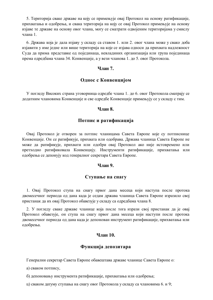5. Територија сваке државе на коју се примењује овај Протокол на основу ратификације, прихватања и одобрења, и свака територија на коју се овај Протокол примењује на основу изјаве те државе на основу овог члана, могу се сматрати одвојеним територијама у смислу члана 1.

6. Држава која је дала изјаву у складу са ставом 1. или 2. овог члана може у свако доба изјавити у име једне или више територија на које се изјава односи да прихвата надлежност Суда да прима представке од појединаца, невладиних организација или група појединаца према одредбама члана 34. Конвенције, а у вези чланова 1. до 5. овог Протокола.

# **Члан 7.**

# **Однос с Конвенцијом**

У погледу Високих страна уговорница одредбе члана 1. до 6. овог Протокола сматрају се додатним члановима Конвенције и све одредбе Конвенције примењују се у складу с тим.

#### **Члан 8.**

#### **Потпис и ратификација**

Овај Протокол је отворен за потпис чланицама Савета Европе које су потписнице Конвенције. Он се ратификује, прихвата или одобрава. Држава чланица Савета Европе не може да ратификује, прихвати или одобри овај Протокол ако није истовремено или претходно ратификовала Конвенцију. Инструменти ратификације, прихватања или одобрења се депонују код генералног секретара Савета Европе.

#### **Члан 9.**

#### **Ступање на снагу**

1. Овај Протокол ступа на снагу првог дана месеца који наступа после протока двомесечног периода од дана када је седам држава чланица Савета Европе изразило свој пристанак да их овај Протокол обавезује у складу са одредбама члана 8.

2. У погледу сваке државе чланице која после тога изрази свој пристанак да је овај Протокол обавезује, он ступа на снагу првог дана месеца који наступи после протока двомесечног периода од дана када је депонован инструмент ратификације, прихватања или одобрења.

#### **Члан 10.**

#### **Функција депозитара**

Генерални секретар Савета Европе обавештава државе чланице Савета Европе о:

а) сваком потпису,

б) депоновању инструмента ратификације, прихватања или одобрења;

ц) сваком датуму ступања на снагу овог Протокола у складу са члановима 6. и 9;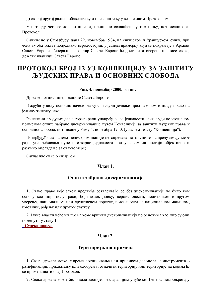д) свакој другој радњи, обавештењу или саопштењу у вези с овим Протоколом.

У потврду чега се долепотписани, прописно овлашћени у том циљу, потписали овај Протокол.

Сачињено у Стразбуру, дана 22. новембра 1984, на енглеском и француском језику, при чему су оба текста подједнако веродостојни, у једном примерку који се похрањује у Архиви Савета Европе. Генерални секретар Савета Европе ће доставити оверене преписе свакој држави чланици Савета Европе.

# **ПРОТОКОЛ БРОЈ 12 УЗ КОНВЕНЦИЈУ ЗА ЗАШТИТУ ЉУДСКИХ ПРАВА И ОСНОВНИХ СЛОБОДА**

#### **Рим, 4. новембар 2000. године**

Државе потписнице, чланице Савета Европе,

Имајући у виду основно начело да су сви људи једнаки пред законом и имају право на једнаку заштиту закона;

Решене да предузму даље кораке ради унапређивања једнакости свих људи колективном применом опште забране дискриминације путем Конвенције за заштиту људских права и основних слобода, потписане у Риму 4. новембра 1950. (у даљем тексту: "Конвенција");

Потврђујући да начело недискриминације не спречава потписнице да предузимају мере ради унапређивања пуне и стварне једнакости под условом да постоји објективно и разумно оправдање за овакве мере;

Сагласиле су се о следећем:

# **Члан 1.**

## **Општа забрана дискриминације**

1. Свако право које закон предвиђа оствариваће се без дискриминације по било ком основу као нпр. полу, раси, боји коже, језику, вероисповести, политичком и другом уверењу, националном или друштвеном пореклу, повезаности са националном мањином, имовини, рођењу или другом статусу.

2. Јавне власти неће ни према коме вршити дискриминацију по основима као што су они поменути у ставу 1.

**<sup>+</sup> Судска пракса**

#### **Члан 2.**

# **Територијална примена**

1. Свака држава може, у време потписивања или приликом депоновања инструмента о ратификацији, прихватању или одобрењу, означити територију или територије на којима ће се примењивати овај Протокол.

2. Свака држава може било када касније, декларацијом упућеном Генералном секретару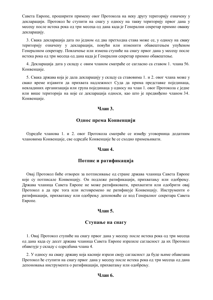Савета Европе, проширити примену овог Протокола на неку другу територију означену у декларацији. Протокол ће ступити на снагу у односу на такву територију првог дана у месецу после истека рока од три месеца од дана када је Генерални секретар примио овакву декларацију.

3. Свака декларација дата по једном од два претходна става може се, у односу на сваку територију означену у декларацији, повући или изменити обавештењем упућеном Генералном секретару. Повлачење или измена ступиће на снагу првог дана у месецу после истека рока од три месеца од дана када је Генерални секретар примио обавештење.

4. Декларација дата у складу с овим чланом сматраће се сагласно са ставом 1. члана 56. Конвенције.

5. Свака држава која је дала декларацију у складу са ставовима 1. и 2. овог члана може у свако време изјавити да прихвата надлежност Суда да прима представке појединаца, невладиних организација или група појединаца у односу на члан 1. овог Протокола с једне или више територија на које се декларација односи, као што је предвиђено чланом 34. Конвенције.

# **Члан 3.**

# **Однос према Конвенцији**

Одредбе чланова 1. и 2. овог Протокола сматраће се између уговорница додатним члановима Конвенције, све одредбе Конвенције ће се сходно примењивати.

#### **Члан 4.**

#### **Потпис и ратификација**

Овај Протокол биће отворен за потписивање од стране држава чланица Савета Европе које су потписале Конвенцију. Он подлеже ратификацији, прихватању или одобрењу. Држава чланица Савета Европе не може ратификовати, прихватити или одобрити овај Протокол а да пре тога или истовремено не ратификује Конвенцију. Инструменти о ратификацији, прихватању или одобрењу депоноваће се код Генералног секретара Савета Европе.

# **Члан 5.**

#### **Ступање на снагу**

1. Овај Протокол ступиће на снагу првог дана у месецу после истека рока од три месеца од дана када су десет држава чланица Савета Европе изразиле сагласност да их Протокол обавезује у складу с одредбама члана 4.

2. У односу на сваку државу која касније изрази своју сагласност да буде њиме обавезана Протокол ће ступити на снагу првог дана у месецу после истека рока од три месеца од дана депоновања инструмента о ратификацији, прихватању или одобрењу.

# **Члан 6.**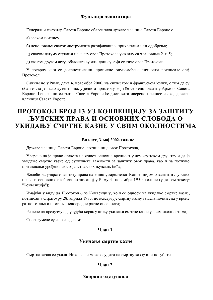Генерални секретар Савета Европе обавештава државе чланице Савета Европе о:

а) сваком потпису,

б) депоновању сваког инструмента ратификације, прихватања или одобрења;

ц) сваком датуму ступања на снагу овог Протокола у складу са члановима 2. и 5;

д) сваком другом акту, обавештењу или допису који се тиче овог Протокола.

У потврду чега се долепотписани, прописно опуномоћене личности потписале овај Протокол.

Сачињено у Риму, дана 4. новембра 2000, на енглеском и француском језику, с тим да су оба текста једнако аутентична, у једном примерку који ће се депоновати у Архиви Савета Европе. Генерални секретар Савета Европе ће доставити оверене преписе свакој држави чланици Савета Европе.

# **ПРОТОКОЛ БРОЈ 13 УЗ КОНВЕНЦИЈУ ЗА ЗАШТИТУ ЉУДСКИХ ПРАВА И ОСНОВНИХ СЛОБОДА О УКИДАЊУ СМРТНЕ КАЗНЕ У СВИМ ОКОЛНОСТИМА**

# **Виљнус, 3. мај 2002. године**

Државе чланице Савета Европе, потписнице овог Протокола,

Уверене да је право свакога на живот основна вредност у демократском друштву и да је укидање смртне казне од суштинске важности за заштиту овог права, као и за потпуно признавање урођеног достојанства свих људских бића;

Желећи да учврсте заштиту права на живот, зајемченог Конвенцијом о заштити људских права и основних слобода потписаној у Риму 4. новембра 1950. године (у даљем тексту: "Конвенција");

Имајући у виду да Протокол 6 уз Конвенцију, који се односи на укидање смртне казне, потписан у Стразбуру 28. априла 1983. не искључује смртну казну за дела почињена у време ратног стања или стања непосредне ратне опасности;

Решене да предузму одлучујући корак у циљу укидања смртне казне у свим околностима,

Споразумеле су се о следећем:

# **Члан 1.**

# **Укидање смртне казне**

Смртна казна се укида. Нико се не може осудити на смртну казну или погубити.

# **Члан 2.**

# **Забрана одступања**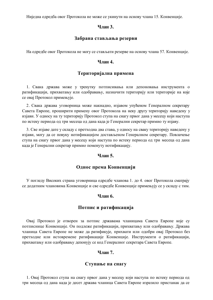Ниједна одредба овог Протокола не може се укинути на основу члана 15. Конвенције.

# **Члан 3.**

#### **Забрана стављања резерви**

На одредбе овог Протокола не могу се стављати резерве на основу члана 57. Конвенције.

#### **Члан 4.**

# **Територијална примена**

1. Свака држава може у тренутку потписивања или депоновања инструмента о ратификацији, прихватању или одобравању, назначити територију или територије на које се овај Протокол примењује.

2. Свака држава уговорница може накнадно, изјавом упућеном Генералном секретару Савета Европе, проширити примену овог Протокола на неку другу територију наведену у изјави. У односу на ту територију Протокол ступа на снагу првог дана у месецу који наступа по истеку периода од три месеца од дана када је Генерални секретар примио ту изјаву.

3. Све изјаве дате у складу с претходна два става, у односу на сваку територију наведену у изјави, могу да се повуку нотификацијом достављеном Генералном секретару. Повлачење ступа на снагу првог дана у месецу који наступа по истеку периода од три месеца од дана када је Генерални секретар примио поменуту нотификацију.

#### **Члан 5.**

# **Однос према Конвенцији**

У погледу Високих страна уговорница одредбе чланова 1. до 4. овог Протокола сматрају се додатним члановима Конвенције и све одредбе Конвенције примењују се у складу с тим.

#### **Члан 6.**

#### **Потпис и ратификација**

Овај Протокол је отворен за потпис државама чланицама Савета Европе које су потписнице Конвенције. Он подлеже ратификацији, прихватању или одобравању. Држава чланица Савета Европе не може да ратификује, прихвати или одобри овај Протокол без претходне или истовремене ратификације Конвенције. Инструменти о ратификацији, прихватању или одобравању депонују се код Генералног секретара Савета Европе.

# **Члан 7.**

# **Ступање на снагу**

1. Овај Протокол ступа на снагу првог дана у месецу који наступа по истеку периода од три месеца од дана када је десет држава чланица Савета Европе изразило пристанак да се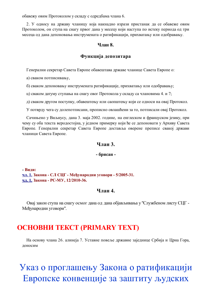обавежу овим Протоколом у складу с одредбама члана 6.

2. У односу на државу чланицу која накнадно изрази пристанак да се обавеже овим Протоколом, он ступа на снагу првог дана у месецу који наступа по истеку периода од три месеца од дана депоновања инструмената о ратификацији, прихватању или одобравању.

#### **Члан 8.**

#### **Функција депозитара**

Генерални секретар Савета Европе обавештава државе чланице Савета Европе о:

а) сваком потписивању,

б) сваком депоновању инструмената ратификације, прихватању или одобравању;

ц) сваком датуму ступања на снагу овог Протокола у складу са члановима 4. и 7;

д) сваком другом поступку, обавештењу или саопштењу који се односи на овај Протокол.

У потврду чега су долепотписани, прописно овлашћени за то, потписали овај Протокол.

Сачињено у Виљнусу, дана 3. маја 2002. године, на енглеском и француском језику, при чему су оба текста веродостојна, у једном примерку који ће се депоновати у Архиву Савета Европе. Генерални секретар Савета Европе доставља оверене преписе свакој држави чланици Савета Европе.

# **Члан 3.**

#### **- брисан -**

**<sup>+</sup> Види: чл. 1. Закона - СЛ СЦГ - Међународни уговори - 5/2005-31. чл. 1. Закона - РС-МУ, 12/2010-36.**

#### **Члан 4.**

Овај закон ступа на снагу осмог дана од дана објављивања у "Службеном листу СЦГ - Међународни уговори".

# **ОСНОВНИ ТЕКСТ (PRIMARY TEXT)**

На основу члана 26. алинеја 7. Уставне повеље државне заједнице Србија и Црна Гора, доносим

# Указ о проглашењу Закона о ратификацији Европске конвенције за заштиту људских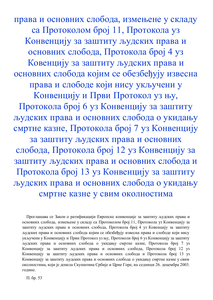права и основних слобода, измењене у складу са Протоколом број 11, Протокола уз Конвенцију за заштиту људских права и основних слобода, Протокола број 4 уз Ковенцију за заштиту људских права и основних слобода којим се обезбеђују извесна права и слободе који нису укључени у Конвенцију и Први Протокол уз њу, Протокола број 6 уз Конвенцију за заштиту људских права и основних слобода о укидању смртне казне, Протокола број 7 уз Конвенцију за заштиту људских права и основних слобода, Протокола број 12 уз Конвенцију за заштиту људских права и основних слобода и Протокола број 13 уз Конвенцију за заштиту људских права и основних слобода о укидању

смртне казне у свим околностима

Проглашава се Закон о ратификацији Европске конвенције за заштиту људских права и основних слобода, измењене у складу са Протоколом број 11, Протокола уз Конвенцију за заштиту људских права и основних слобода, Протокола број 4 уз Ковенцију за заштиту људских права и основних слобода којим се обезбеђују извесна права и слободе који нису укључени у Конвенцију и Први Протокол уз њу, Протоколи број 6 уз Конвенцију за заштиту људских права и основних слобода о укидању смртне казне, Протокола број 7 уз Конвенцију за заштиту људских права и основних слобода, Протокола број 12 уз Конвенцију за заштиту људских права и основних слобода и Протокола број 13 уз Конвенцију за заштиту људских права и основних слобода о укидању смртне казне у свим околностима, који је донела Скупштина Србије и Црне Горе, на седници 26. децембра 2003. године.

П. бр. 53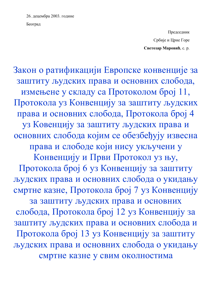26. децембра 2003. године Београд

> Председник Србије и Црне Горе **Светозар Маровић**, с. р.

Закон о ратификацији Европске конвенције за заштиту људских права и основних слобода, измењене у складу са Протоколом број 11, Протокола уз Конвенцију за заштиту људских права и основних слобода, Протокола број 4 уз Ковенцију за заштиту људских права и основних слобода којим се обезбеђују извесна права и слободе који нису укључени у

Конвенцију и Први Протокол уз њу, Протокола број 6 уз Конвенцију за заштиту људских права и основних слобода о укидању смртне казне, Протокола број 7 уз Конвенцију

за заштиту људских права и основних слобода, Протокола број 12 уз Конвенцију за заштиту људских права и основних слобода и Протокола број 13 уз Конвенцију за заштиту људских права и основних слобода о укидању смртне казне у свим околностима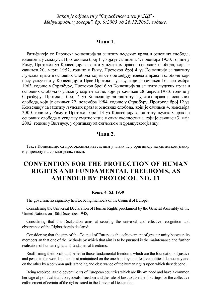*Закон је објављен у "Службеном листу СЦГ - Међународни уговори", бр. 9/2003 од 26.12.2003. године.*

# **Члан 1.**

Ратификује се Европска конвенција за заштиту људских права и основних слобода, измењена у складу са Протоколом број 11, која је сачињена 4. новембра 1950. године у Риму, Протокол уз Конвенцију за заштиту људских права и основних слобода, који је сачињен 20. марта 1952. године у Риму, Протокол број 4 уз Конвенцију за заштиту људских права и основних слобода којим се обезбеђују извесна права и слободе који нису укључени у Конвенцију и Први Протокол уз њу, који је сачињен 16. септембра 1963. године у Стразбуру, Протокол број 6 уз Конвенцију за заштиту људских права и основних слобода о укидању смртне казне, који је сачињен 28. априла 1983. године у Стразбуру, Протокол број 7 уз Конвенцију за заштиту људских права и основних слобода, који је сачињен 22. новембра 1984. године у Стразбуру, Протокол број 12 уз Конвенцију за заштиту људских права и основних слобода, који је сачињен 4. новембра 2000. године у Риму и Протокол број 13 уз Конвенцију за заштиту људских права и основних слобода о укидању смртне казне у свим околностима, који је сачињен 3. маја 2002. године у Виљнусу, у оригиналу на енглеском ифранцуском језику.

# **Члан 2.**

Текст Конвенције са протоколима наведеним у члану 1, у оригиналу на енглеском језику и у преводу на српски језик, гласи:

# **CONVENTION FOR THE PROTECTION OF HUMAN RIGHTS AND FUNDAMENTAL FREEDOMS, AS AMENDED BY PROTOCOL NO. 11**

#### **Rome, 4. XI. 1950**

The governments signatory hereto, being members of the Council of Europe,

Considering the Universal Declaration of Human Rights proclaimed by the General Assembly of the United Nations on 10th December 1948;

Considering that this Declaration aims at securing the universal and effective recognition and observance of the Rights therein declared;

Considering that the aim of the Council of Europe is the achievement of greater unity between its members an that one of the methods by which that aim is to be pursued is the maintenance and further realisation of human rights and fundamental freedoms;

Reaffirming their profound belief in those fundamental freedoms which are the foundation of justice and peace in the world and are best maintained on the one hand by an effective political democracy and on the other by a common understanding and observance of the human rights upon which they depend;

Being resolved, as the governments of European countries which are like-minded and have a common heritage of political traditions, ideals, freedom and the rule of law, to take the first steps for the collective enforcement of certain of the rights stated in the Universal Declaration,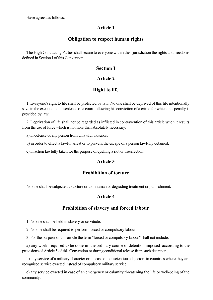Have agreed as follows:

# **Article 1**

# **Obligation to respect human rights**

The High Contracting Parties shall secure to everyone within their jurisdiction the rights and freedoms defined in Section I of this Convention.

# **Section I**

# **Article 2**

# **Right to life**

1. Everyone's right to life shall be protected by law. No one shall be deprived of this life intentionally save in the execution of a sentence of a court following his conviction of a crime for which this penalty is provided by law.

2. Deprivation of life shall not be regarded as inflicted in contravention of this article when it results from the use of force which is no more than absolutely necessary:

a) in defence of any person from unlawful violence;

b) in order to effect a lawful arrest or to prevent the escape of a person lawfully detained;

c) in action lawfully taken for the purpose of quelling a riot or insurrection.

# **Article 3**

# **Prohibition of torture**

No one shall be subjected to torture or to inhuman or degrading treatment or punischment.

# **Article 4**

# **Prohibition of slavery and forced labour**

1. No one shall be held in slavery or servitude.

2. No one shall be required to perform forced or compulsory labour.

3. For the purpose of this article the term "forced or compulsory labour" shall not include:

a) any work required to be done in the ordinary course of detention imposed according to the provisions of Article 5 of this Convention or during conditional release from such detention;

b) any service of a military character or, in case of conscientious objectors in countries where they are recognised service exacted instead of compulsory military service;

c) any service exacted in case of an emergency or calamity threatening the life or well-being of the community;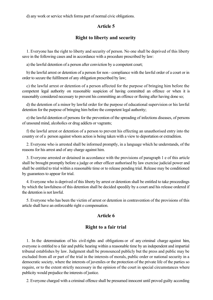d) any work or service which forms part of normal civic obligations.

# **Article 5**

# **Right to liberty and security**

1. Everyone has the right to liberty and security of person. No one shall be deprived of this liberty save in the following cases and in accordance with a procedure prescribed by law:

a) the lawful detention of a person after conviction by a competent court;

b) the lawful arrest or detention of a person for non - compliance with the lawful order of a court or in order to secure the fulfilment of any obligation prescribed by law;

c) the lawful arrest or detention of a person affected for the purpose of bringing him before the competent legal authority on reasonable suspicion of having committed an offence or when it is reasonably considered necessary to prevent his committing an offence or fleeing after having done so;

d) the detention of a minor by lawful order for the purpose of educational supervision or his lawful detention for the purpose of bringing him before the competent legal authority;

e) the lawful detention of persons for the prevention of the spreading of infections diseases, of persons of unsound mind, alcoholics or drug addicts or vagrants;

f) the lawful arrest or detention of a person to prevent his effecting an unauthorised entry into the country or of a person against whom action is being taken with a view to deportation or extradition.

2. Everyone who is arrested shall be informed promptly, in a language which he understands, of the reasons for his arrest and of any charge against him.

3. Everyone arrested or detained in accordance with the provisions of paragraph 1 e of this article shall be brought promptly before a judge or other officer authorised by law exercise judicial power and shall be entitled to trial within a reasonable time or to release pending trial. Release may be conditioned by guarantees to appear for trial.

4. Everyone who is deprived of this liberty by arrest or detention shall be entitled to take proceedings by which the lawfulness of this detention shall be decided speedily by a court and his release ordered if the detention is not lawful.

5. Everyone who has been the victim of arrest or detention in contravention of the provisions of this article shall have an enforceable right o compensation.

#### **Article 6**

# **Right to a fair trial**

1. In the determination of his civil rights and obligations or of any criminal charge against him, everyone is entitled to a fair and public hearing within a reasonable time by an independent and impartial tribunal establishes by law. Judgment shall be pronounced publicly but the press and public may be excluded from all or part of the trial in the interests of morals, public order or national security in a democratic society, where the interests of juveniles or the protection of the private life of the parties so require, or to the extent strictly necessary in the opinion of the court in special circumstances where publicity would prejudice the interests of justice.

2. Everyone charged with a criminal offence shall be presumed innocent until proved guilty according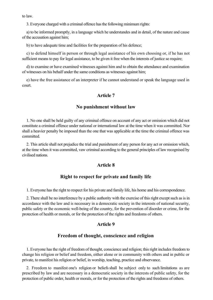to law.

3. Everyone charged with a criminal offence has the following minimum rights:

a) to be informed promptly, in a language which he understandes and in detail, of the nature and cause of the accusation against him;

b) to have adequate time and facilities for the preparation of his defence;

c) to defend himself in person or through legal assistance of his own choosing or, if he has not sufficient means to pay for legal assistance, to be given it free when the interests of justice so require;

d) to examine or have examined witnesses against him and to obtain the attendance and examination of witnesses on his behalf under the same conditions as witnesses against him;

e) have the free assistance of an interpreter if he cannot understand or speak the language used in court.

#### **Article 7**

# **No punishment without law**

1. No one shall be held guilty of any criminal offence on account of any act or omission which did not constitute a criminal offence under national or international law at the time when it was committed. Nor shall a heavier penalty be imposed than the one that was applicable at the time the criminal offence was committed.

2. This article shall not prejudice the trial and punishment of any person for any act or omission which, at the time when it was committed, vaw criminal according to the general principles of law recognised by civilised nations.

#### **Article 8**

#### **Right to respect for private and family life**

1. Everyone has the right to respect for his private and family life, his home and his correspondence.

2. There shall be no interference by a public authority with the exercise of this right except such as is in accordance with the law and is necessary in a democratic society in the interests of national security, public safety or the economic well-being of the country, for the prevention of disorder or crime, for the protection of health or morals, or for the protection of the rights and freedoms of others.

#### **Article 9**

#### **Freedom of thought, conscience and religion**

1. Everyone has the right of freedom of thought, conscience and religion; this right includes freedom to change his religion or belief and freedom, either alone or in community with others and in public or private, to manifest his religion or belief, in worship, teaching, practice and observance.

2. Freedom to manifest one's religion or beliefs shall be subject only to such limitations as are prescribed by law and are necessary in a democratic society in the interests of public safety, for the protection of public order, health or morals, or for the protection of the rights and freedoms of others.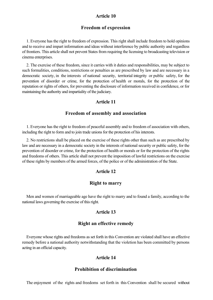# **Article 10**

# **Freedom of expression**

1. Everyone has the right to freedom of expression. This right shall include freedom to hold opinions and to receive and impart information and ideas without interference by public authority and regardless of frontiers. This article shall not prevent States from requiring the licensing to broadcasting television or cinema enterprises.

2. The exercise of these freedom, since it carries with it duties and responsibilities, may be subject to such formalities, conditions, restrictions or penalties as are prescribed by law and are necessary in a democratic society, in the interests of national security, territorial integrity or public safety, for the prevention of disorder or crime, for the protection of health or morals, for the protection of the reputation or rights of others, for preventing the disclosure of information received in confidence, or for maintaining the authority and impartiality of the judiciary.

# **Article 11**

#### **Freedom of assembly and association**

1. Everyone has the right to freedom of peaceful assembly and to freedom of association with others, including the right to form and to join trade unions for the protection of his interests.

2. No restrictions shall be placed on the exercise of these rights other than such as are prescribed by law and are necessary in a democratic society in the interests of national security or public safety, for the prevention of disorder or crime, for the protection of health or morals or for the protection of the rights and freedoms of others. This article shall not prevent the imposition of lawful restrictions on the exercise of these rights by members of the armed forces, of the police or of the administration of the State.

## **Article 12**

# **Right to marry**

Men and women of marriageable age have the right to marry and to found a family, according to the national laws governing the exercise of this right.

#### **Article 13**

# **Right an effective remedy**

Everyone whose rights and freedoms as set forth in this Convention are violated shall have an effective remedy before a national authority notwithstanding that the violetion has been committed by persons acting in an official capacity.

# **Article 14**

# **Prohibition of discrimination**

The enjoyment of the rights and freedoms set forth in this Convention shall be secured without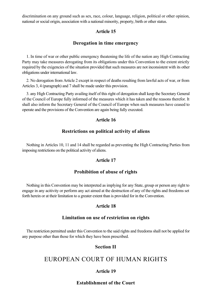discrimination on any ground such as sex, race, colour, language, religion, political or other opinion, national or social origin, association with a national minority, property, birth or other status.

# **Article 15**

# **Derogation in time emergency**

1. In time of war or other public emergency theatening the life of the nation any High Contracting Party may take measures derogating from its obligations under this Convention to the extent strictly required by the exigencies of the situation provided that such measures are not inconsistent with its other obligations under international law.

2. No derogation from Article 2 except in respect of deaths resulting from lawful acts of war, or from Articles 3, 4 (paragraph) and 7 shall be made under this provision.

3. any High Contracting Party availing itself of this right of derogation shall keep the Secretary General of the Council of Europe fully informed of the measures which it has taken and the reasons therefor. It shall also inform the Secretary General of the Council of Europe when such measures have ceased to operate and the provisions of the Convention are again being fully executed.

# **Article 16**

# **Restrictions on political activity of aliens**

Nothing in Articles 10, 11 and 14 shall be regarded as preventing the High Contracting Parties from imposing restrictions on the political activity of aliens.

# **Article 17**

# **Prohibition of abuse of rights**

Nothing in this Convention may be interpreted as implying for any State, group or person any right to engage in any acitivity or perform any act aimed at the destruction of any of the rights and freedoms set forth herein or at their limitation to a greater extent than is provided for in the Convention.

# **Article 18**

# **Limitation on use of restriction on rights**

The restriction permitted under this Convention to the said rights and freedoms shall not be applied for any purpose other than those for which they have been prescribed.

# **Section II**

# EUROPEAN COURT OF HUMAN RIGHTS

# **Article 19**

# **Establishment of the Court**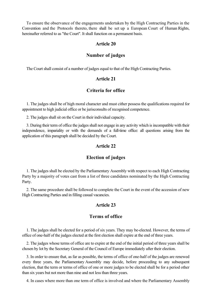To ensure the observance of the engagements undertaken by the High Contracting Parties in the Convention and the Protocols thereto, there shall be set up a European Court of Human Rights, hereinafter referred to as "the Court". It shall function on a permanent basis.

#### **Article 20**

## **Number of judges**

The Court shall consist of a number of judges equal to that of the High Contracting Parties.

#### **Article 21**

# **Criteria for office**

1. The judges shall be of high moral character and must cither possess the qualifications required for appointment to high judicial office or be jurisconsults of recognised competence.

2. The judges shall sit on the Court in their individual capacity.

3. During their term of office the judges shall not engage in any activity which is incompatible with their independence, impariality or with the demands of a full-time office: all questions arising from the application of this paragraph shall be decided by the Court.

# **Article 22**

# **Election of judges**

1. The judges shall be elected by the Parliamentary Assembly with respect to each High Contracting Party by a majority of votes cast from a list of three candidates nominated by the High Contracting Party.

2. The same procedure shall be followed to complete the Court in the event of the accession of new High Contracting Parties and in filling casual vacancies.

#### **Article 23**

# **Terms of office**

1. The judges shall be elected for a period of six years. They may be-elected. However, the terms of office of one-half of the judges elected at the first election shall expire at the end of three years.

2. The judges whose terms of office are to expire at the end of the initial period of three years shall be chosen by lot by the Secretary General of the Council of Europe immediately after their election.

3. In order to ensure that, as far as possible, the terms of office of one-half of the judges are renewed every three years, the Parliamentary Assembly may decide, before proceeding to any subsequent election, that the term or terms of office of one or more judges to be elected shall be for a period other than six years but not more than nine and not less than three years.

4. In cases where more than one term of office is involved and where the Parliamentary Assembly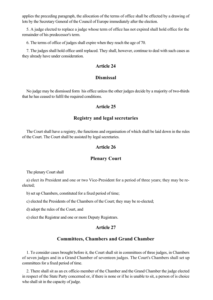applies the preceding paragraph, the allocation of the terms of office shall be effected by a drawing of lots by the Secretary General of the Council of Europe immediately after the election.

5. A judge elected to replace a judge whose term of office has not expired shall hold office for the remainder of his predecessor's term.

6. The terms of office of judges shall expire when they reach the age of 70.

7. The judges shall hold office until replaced. They shall, however, continue to deal with such cases as they already have under consideration.

# **Article 24**

#### **Dismissal**

No judge may be dismissed form his office unless the other judges decide by a majority of two-thirds that he has ceased to fulfil the required conditions.

#### **Article 25**

# **Registry and legal secretaries**

The Court shall have a registry, the functions and organisation of which shall be laid down in the rules of the Court. The Court shall be assisted by legal secretaries.

## **Article 26**

#### **Plenary Court**

The plenary Court shall

a) elect its President and one or two Vice-President for a period of three years; they may be reelected;

b) set up Chambers, constituted for a fixed period of time;

c) elected the Presidents of the Chambers of the Court; they may be re-elected;

d) adopt the rules of the Court, and

e) elect the Registrar and one or more Deputy Registrars.

#### **Article 27**

# **Committees, Chambers and Grand Chamber**

1. To consider cases brought before it, the Court shall sit in committees of three judges, in Chambers of seven judges and in a Grand Chamber of seventeen judges. The Court's Chambers shall set up committees for a fixed period of time.

2. There shall sit as an ex officio member of the Chamber and the Grand Chamber the judge elected in respect of the State Party concerned or, if there is none or if he is unable to sit, a person of is choice who shall sit in the capacity of judge.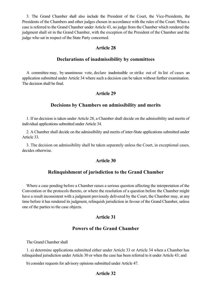3. The Grand Chamber shall also include the President of the Court, the Vice-Presidents, the Presidents of the Chambers and other judges chosen in accordance with the rules of the Court. When a case is referred to the Grand Chamber under Article 43, no judge from the Chamber which rendered the judgment shall sit in the Grand Chamber, with the exception of the President of the Chamber and the judge who sat in respect of the State Party concerned.

#### **Article 28**

#### **Declarations of inadmissibility by committees**

A committee may, by unanimous vote, declare inadmissible or strike out of its list of cases an application submitted under Article 34 where such a decision can be taken without further examination. The decision shall be final.

#### **Article 29**

# **Decisions by Chambers on admissibility and merits**

1. If no decision is taken under Article 28, a Chamber shall decide on the admissibility and merits of individual applications submitted under Article 34.

2. A Chamber shall decide on the admissibility and merits of inter-State applications submitted under Article 33.

3. The decision on admissibility shall be taken separately unless the Court, in exceptional cases, decides otherwise.

#### **Article 30**

# **Relinquishment of jurisdiction to the Grand Chamber**

Where a case pending before a Chamber raises a serious question affecting the interpretation of the Convention or the protocols thereto, or where the resolution of a question before the Chamber might have a result inconsistent with a judgment previously delivered by the Court, the Chamber may, at any time before it has rendered its judgment, relinquish jurisdiction in favour of the Grand Chamber, unless one of the parties to the case objects.

# **Article 31**

# **Powers of the Grand Chamber**

The Grand Chamber shall

1. a) determine applications submitted either under Article 33 or Article 34 when a Chamber has relinquished jurisdiction under Article 30 or when the case has been referred to it under Article 43; and

b) consider requests for advisory opinions submitted under Article 47.

#### **Article 32**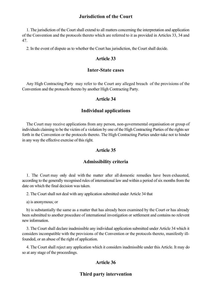# **Jurisdiction of the Court**

1. The jurisdiction of the Court shall extend to all matters concerning the interpretation and application of the Convention and the protocols thereto which are referred to it as provided in Articles 33, 34 and 47.

2. In the event of dispute as to whether the Court has jurisdiction, the Court shall decide.

### **Article 33**

# **Inter-State cases**

Any High Contracting Party may refer to the Court any alleged breach of the provisions of the Convention and the protocols thereto by another High Contracting Party.

#### **Article 34**

### **Individual applications**

The Court may receive applications from any person, non-governmental organisation or group of individuals claiming to be the victim of a violation by one of the High Contracting Parties of the rights ser forth in the Convention or the protocols thereto. The High Contracting Parties under-take not to hinder in any way the effective exercise of this right.

### **Article 35**

# **Admissibility criteria**

1. The Court may only deal with the matter after all domestic remedies have been exhausted, according to the generally recognised rules of international law and within a period of six months from the date on which the final decision was taken.

2. The Court shall not deal with any application submitted under Article 34 that

a) is anonymous; or

b) is substantially the same as a matter that has already been examined by the Court or has already been submitted to another procedure of international investigation or settlement and contains no relevent new information.

3. The Court shall declare inadmissible any individual application submitted under Article 34 which it considers incompatible with the provisions of the Convention or the protocols thereto, manifestly illfounded, or an abuse of the right of application.

4. The Court shall reject any application which it considers inadmissible under this Article. It may do so at any stage of the proceedings.

# **Article 36**

# **Third party intervention**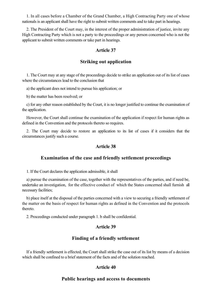1. In all cases before a Chamber of the Grand Chamber, a High Contracting Party one of whose nationals is an applicant shall have the right to submit written comments and to take part in hearings.

2. The President of the Court may, in the interest of the proper administration of justice, invite any High Contracting Party which is not a party to the proceedings or any person concerned who is not the applicant to submit written comments or take part in hearings.

# **Article 37**

# **Striking out application**

1. The Court may at any stage of the proceedings decide to strike an application out of its list of cases where the circumstances lead to the conclusion that

a) the applicant does not intend to pursue his application; or

b) the matter has been resolved; or

c) for any other reason established by the Court, it is no longer justified to continue the examination of the application.

However, the Court shall continue the examination of the application if respect for human rights as defined in the Convention and the protocols thereto so requires.

2. The Court may decide to restore an application to its list of cases if it considers that the circumstances justify such a course.

# **Article 38**

# **Examination of the case and friendly settlement proceedings**

1. If the Court declares the application admissible, it shall

a) pursue the examination of the case, together with the representatives of the parties, and if need be, undertake an investigation, for the effective conduct of which the States concerned shall furnish all necessary facilities;

b) place itself at the disposal of the parties concerned with a view to securing a friendly settlement of the matter on the basis of respect for human rights as defined in the Convention and the protocols thereto.

2. Proceedings conducted under paragraph 1. b shall be confidential.

# **Article 39**

### **Finding of a friendly settlement**

If a friendly settlement is effected, the Court shall strike the case out of its list by means of a decision which shall be confined to a brief statement of the facts and of the solution reached.

# **Article 40**

# **Public hearings and access to documents**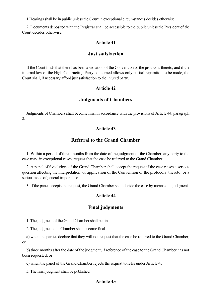1.Hearings shall be in public unless the Court in exceptional circumstances decides otherwise.

2. Documents deposited with the Registrar shall be accessible to the public unless the President of the Court decides otherwise.

# **Article 41**

### **Just satisfaction**

If the Court finds that there has been a violation of the Convention or the protocols thereto, and if the internal law of the High Contracting Party concerned allows only partial reparation to be made, the Court shall, if necessary afford just satisfaction to the injured party.

# **Article 42**

# **Judgments of Chambers**

Judgments of Chambers shall become final in accordance with the provisions of Article 44, paragraph 2.

# **Article 43**

# **Referral to the Grand Chamber**

1. Within a period of three months from the date of the judgment of the Chamber, any party to the case may, in exceptional cases, request that the case be referred to the Grand Chamber.

2. A panel of five judges of the Grand Chamber shall accept the request if the case raises a serious question affecting the interpretation or application of the Convention or the protocols thereto, or a serious issue of general importance.

3. If the panel accepts the request, the Grand Chamber shall decide the case by means of a judgment.

# **Article 44**

# **Final judgments**

1. The judgment of the Grand Chamber shall be final.

2. The judgment of a Chamber shall become final

a) when the parties declare that they will not request that the case be referred to the Grand Chamber; or

b) three months after the date of the judgment, if reference of the case to the Grand Chamber has not been requested; or

c) when the panel of the Grand Chamber rejects the request to refer under Article 43.

3. The final judgment shall be published.

# **Article 45**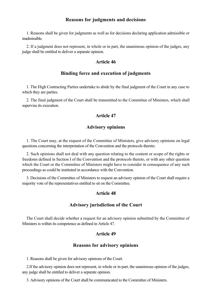# **Reasons for judgments and decisions**

1. Reasons shall be given for judgments as well as for decisions declaring application admissible or inadmissible.

2. If a judgment does not represent, in whole or in part, the unanimous opinion of the judges, any judge shall be entitled to deliver a separate opinion.

# **Article 46**

# **Binding force and execution of judgments**

1. The High Contracting Parties undertake to abide by the final judgment of the Court in any case to which they are parties.

2. The final judgment of the Court shall be transmitted to the Committee of Ministers, which shall supervise its execution.

# **Article 47**

# **Advisory opinions**

1. The Court may, at the request of the Committee of Ministers, give advisory opinions on legal questions concerning the interpretation of the Convention and the protocols thereto.

2. Such opinions shall not deal with any question relating to the content or scope of the rights or freedoms defined in Section I of the Convention and the protocols thereto, or with any other question which the Court or the Committee of Ministers might have to consider in consequence of any such proceedings as could be instituted in accordance with the Convention.

3. Decisions of the Committee of Ministers to request an advisory opinion of the Court shall require a majority vote of the representatives entitled to sit on the Committee.

# **Article 48**

# **Advisory jurisdiction of the Court**

The Court shall decide whether a request for an advisory opinion submitted by the Committee of Ministers is within its competence as defined in Article 47.

# **Article 49**

# **Reasons for advisory opinions**

1. Reasons shall be given for advisory opinions of the Court.

2.If the advisory opinion does not represent, in whole or in part, the unanimous opinion of the judges, any judge shall be entitled to deliver a separate opinion.

3. Advisory opinions of the Court shall be communicated to the Committee of Ministers.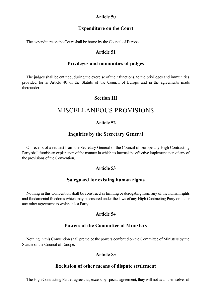# **Article 50**

# **Expenditure on the Court**

The expenditure on the Court shall be borne by the Council of Europe.

# **Article 51**

# **Privileges and immunities of judges**

The judges shall be entitled, during the exercise of their functions, to the privileges and immunities provided for in Article 40 of the Statute of the Council of Europe and in the agreements made thereunder.

# **Section III**

# MISCELLANEOUS PROVISIONS

# **Article 52**

### **Inquiries by the Secretary General**

On receipt of a request from the Secretary General of the Council of Europe any High Contracting Party shall furnish an explanation of the manner in which its internal the effective implementation of any of the provisions of the Convention.

# **Article 53**

# **Safeguard for existing human rights**

Nothing in this Convention shall be construed as limiting or derogating from any of the human rights and fundamental freedoms which may be ensured under the laws of any High Contracting Party or under any other agreement to which it is a Party.

# **Article 54**

# **Powers of the Committee of Ministers**

Nothing in this Convention shall prejudice the powers conferred on the Committee of Ministers by the Statute of the Council of Europe.

# **Article 55**

### **Exclusion of other means of dispute settlement**

The High Contracting Parties agree that, except by special agreement, they will not avail themselves of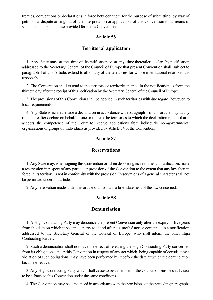treaties, conventions or declarations in force between them for the purpose of submitting, by way of petition, a dispute arising out of the interpretation or application of this Convention to a means of settlement other than those provided for in this Convention.

# **Article 56**

# **Territorial application**

1. Any State may at the time of its ratification or at any time thereafter declare by notification addressed to the Secretary General of the Council of Europe that present Convention shall, subject to paragraph 4 of this Article, extend to all or any of the territories for whose international relations it is responsible.

2. The Convention shall extend to the territory or territories named in the notification as from the thirtieth day after the receipt of this notification by the Secretary General of the Council of Europe.

3. The provisions of this Convention shall be applied in such territories with due regard, however, to local requirements.

4. Any State which has made a declaration in accordance with paragraph 1 of this article may at any time thereafter declare on behalf of one or more o the territories to which the declaration relates that it accepts the competence of the Court to receive applications from individuals, non-governmental organisations or groups of individuals as provided by Article 34 of the Convention.

# **Article 57**

# **Reservations**

1. Any State may, when signing this Convention or when depositing its instrument of ratification, make a reservation in respect of any particular provision of the Convention to the extent that any law then in force in its territory is not in conformity with the provision. Reservations of a general character shall not be permitted under this article.

2. Any reservation made under this article shall contain a brief statement of the law concerned.

# **Article 58**

# **Denunciation**

1. A High Contracting Party may denounce the present Convention only after the expiry of five years from the date on which it became a party to it and after six moths' notice contained in a notification addressed to the Secretary General of the Council of Europe, who shall inform the other High Contracting Parties.

2. Such a denunciation shall not have the effect of releasing the High Contracting Party concerned from its obligations under this Convention in respect of any act which, being capable of constituting a violation of such obligations, may have been performed by it before the date at which the denunciation became effective.

3. Any High Contracting Party which shall cease to be a member of the Council of Europe shall cease to be a Party to this Convention under the same conditions.

4. The Convention may be denounced in accordance with the provisions of the preceding paragraphs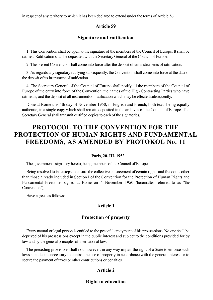in respect of any territory to which it has been declared to extend under the terms of Article 56.

# **Article 59**

# **Signature and ratification**

1. This Convention shall be open to the signature of the members of the Council of Europe. It shall be ratified. Ratification shall be deposited with the Secretary General of the Council of Europe.

2. The present Convention shall come into force after the deposit of ten instruments of ratification.

3. As regards any signatory ratifying subsequently, the Convention shall come into force at the date of the deposit of its instrument of ratification.

4. The Secretary General of the Council of Europe shall notify all the members of the Council of Europe of the entry into force of the Convention, the names of the High Contracting Parties who have ratified it, and the deposit of all instruments of ratification which may be effected subsequently.

Done at Rome this 4th day of November 1950, in English and French, both texts being equally authentic, in a single copy which shall remain deposited in the archives of the Council of Europe. The Secretary General shall transmit certified copies to each of the signatories.

# **PROTOCOL TO THE CONVENTION FOR THE PROTECTION OF HUMAN RIGHTS AND FUNDAMENTAL FREEDOMS, AS AMENDED BY PROTOKOL No. 11**

#### **Paris, 20. III. 1952**

The governments signatory hereto, being members of the Council of Europe,

Being resolved to take steps to ensure the collective enforcement of certain rights and freedoms other than those already included in Section I of the Convention for the Protection of Human Rights and Fundamental Freedoms signed at Rome on 4 November 1950 (hereinafter referred to as "the Convention"),

Have agreed as follows:

# **Article 1**

# **Protection of property**

Every natural or legal person is entitled to the peaceful enjoyment of his prossessions. No one shall be deprived of his prossessions except in the public interest and subject to the conditions provided for by law and by the general principles of international law.

The preceding provisions shall not, however, in any way impair the right of a State to enforce such laws as it deems necessary to control the use of property in accordance with the general interest or to secure the payment of taxes or other contributions or penalties.

# **Article 2**

# **Right to education**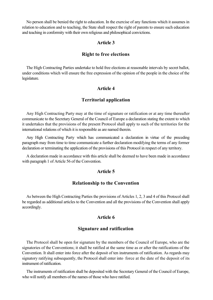No person shall be benied the right to education. In the exercise of any functions which it assumes in relation to education and to teaching, the State shall respect the right of parents to ensure such education and teaching in conformity with their own religious and philosophical convictions.

# **Article 3**

### **Right to free elections**

The High Contracting Parties undertake to hold free elections at reasonable intervals by secret ballot, under conditions which will ensure the free expression of the opinion of the people in the choice of the legislature.

### **Article 4**

# **Territorial application**

Any High Contracting Party may at the time of signature or ratification or at any time thereafter communicate to the Secretary General of the Council of Europe a declaration stating the extent to which it undertakes that the provisions of the present Protocol shall apply to such of the territories for the international relations of which it is responsible as are named therein.

Any High Contracting Party which has communicated a declaration in virtue of the preceding paragraph may from time to time communicate a further declaration modifying the terms of any former declaration or terminating the application of the provisions of this Protocol in respect of any territory.

A declaration made in accordance with this article shall be deemed to have been made in accordance with paragraph 1 of Article 56 of the Convention.

# **Article 5**

# **Relationship to the Convention**

As between the High Contracting Parties the provisions of Articles 1, 2, 3 and 4 of this Protocol shall be regarded as additional articles to the Convention and all the provisions of the Convention shall apply accordingly.

# **Article 6**

# **Signature and ratification**

The Protocol shall be open for signature by the members of the Council of Europe, who are the signatories of the Conventions; it shall be ratified at the same time as or after the ratifications of the Convention. It shall enter into force after the deposit of ten instruments of ratification. As regards may signatory ratifying subsequently, the Protocol shall enter into force at the date of the deposit of its instrument of ratification.

The instruments of ratification shall be deposited with the Secretary General of the Council of Europe, who will notify all members of the names of those who have ratified.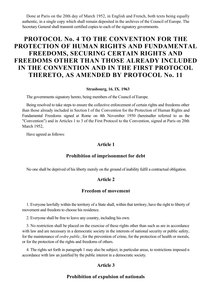Done at Paris on the 20th day of March 1952, in English and French, both texts being equally authentic, in a single copy which shall remain deposited in the archives of the Council of Europe. The Secretary General shall transmit certified copies to each of the signatory governments.

# **PROTOCOL No. 4 TO THE CONVENTION FOR THE PROTECTION OF HUMAN RIGHTS AND FUNDAMENTAL FREEDOMS, SECURING CERTAIN RIGHTS AND FREEDOMS OTHER THAN THOSE ALREADY INCLUDED IN THE CONVENTION AND IN THE FIRST PROTOCOL THERETO, AS AMENDED BY PROTOCOL No. 11**

#### **Strasbourg, 16. IX. 1963**

The governments signatory hereto, being members of the Council of Europe.

Being resolved to take steps to ensure the collective enforcement of certain rights and freedoms other than those already included in Section I of the Convention for the Protection of Human Rights and Fundamental Freedoms signed at Rome on 4th November 1950 (hereinafter referred to as the "Convention") and in Articles 1 to 3 of the First Protocol to the Convention, signed at Paris on 20th March 1952,

Have agreed as follows:

# **Article 1**

# **Prohibition of imprisonmnet for debt**

No one shall be deprived of his liberty merely on the ground of inability fulfil a contractual obligation.

#### **Article 2**

# **Freedom of movement**

1. Everyone lawfully within the territory of a State shall, within that territory, have the right to liberty of movement and freedom to choose his residence.

2. Everyone shall be free to leave any country, including his own.

3. No restriction shall be placed on the exercise of these rights other than such as are in accordance with law and are necessary in a democratic society in the interests of national security or public safety, for the maintenance of *ordre public*, for the prevention of crime, for the protection of health or morals, or for the protection of the rights and freedoms of others.

4. The rights set forth in paragraph 1 may also be subject, in particular areas, to restrictions imposed n accordance with law an justified by the public interest in a democratic society.

# **Article 3**

# **Prohibition of expulsion of nationals**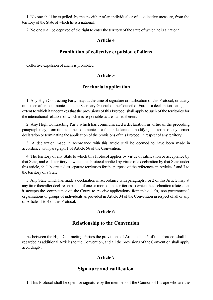1. No one shall be expelled, by means either of an individual or of a collective measure, from the territory of the State of which he is a national.

2. No one shall be deprived of the right to enter the territory of the state of which he is a national.

## **Article 4**

#### **Prohibition of collective expulsion of aliens**

Collective expulsion of aliens is prohibited.

# **Article 5**

# **Territorial application**

1. Any High Contracting Party may, at the time of signature or ratification of this Protocol, or at any time thereafter, communicate to the Secretary General of the Council of Europe a declaration stating the extent to which it undertakes that the provisions of this Protocol shall apply to such of the territories for the international relations of which it is responsible as are named therein.

2. Any High Contracting Party which has communicated a declaration in virtue of the preceding paragraph may, from time to time, communicate a futher declaration modifying the terms of any former declaration or terminating the application of the provisions of this Protocol in respect of any territory.

3. A declaration made in accordance with this article shall be deemed to have been made in accordance with paragraph 1 of Article 56 of the Convention.

4. The territory of any State to which this Protocol applies by virtue of ratification or acceptance by that State, and each territory to which this Protocol applied by virtue of a declaration by that State under this article, shall be treated as separate territories for the purpose of the references in Articles 2 and 3 to the territory of a State.

5. Any State which has made a declaration in accordance with paragraph 1 or 2 of this Article may at any time thereafter declare on behalf of one or more of the territories to which the declaration relates that it accepts the competence of the Court to receive applications from individuals, non-governmental organisations or groups of individuals as provided in Article 34 of the Convention in respect of all or any of Articles 1 to 4 of this Protocol.

### **Article 6**

#### **Relationship to the Convention**

As between the High Contracting Parties the provisions of Articles 1 to 5 of this Protocol shall be regarded as additional Articles to the Convention, and all the provisions of the Convention shall apply accordingly.

### **Article 7**

### **Signature and ratification**

1. This Protocol shall be open for signature by the members of the Council of Europe who are the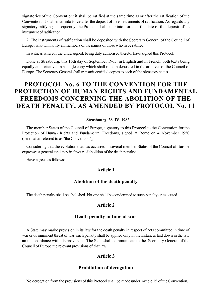signatories of the Convention: it shall be ratified at the same time as or after the ratification of the Convention. It shall enter into force after the deposit of five instruments of ratification. As regards any signatory ratifying subsequently, the Protocol shall enter into force at the date of the deposit of its instrument of ratification.

2. The instruments of ratification shall be deposited with the Secretary General of the Council of Europe, who will notify all members of the names of those who have ratified.

In witness whereof the undersigned, being duly authorised thereto, have signed this Protocol.

Done at Strasbourg, this 16th day of September 1963, in English and in French, both texts being equally authoritative, in a single copy which shall remain deposited in the archives of the Council of Europe. The Secretary General shall transmit certified copies to each of the signatory states.

# **PROTOCOL No. 6 TO THE CONVENTION FOR THE PROTECTION OF HUMAN RIGHTS AND FUNDAMENTAL FREEDOMS CONCERNING THE ABOLITION OF THE DEATH PENALTY, AS AMENDED BY PROTOCOL No. 11**

### **Strasbourg, 28. IV. 1983**

The member States of the Council of Europe, signatory to this Protocol to the Convention for the Protection of Human Rights and Fundamental Freedoms, signed at Rome on 4 November 1950 (hereinafter referred to as "the Convention"),

Considering that the evolution that has occurred in several member States of the Council of Europe expresses a general tendency in favour of abolition of the death penalty;

Have agreed as follows:

# **Article 1**

# **Abolition of the death penalty**

The death penalty shall be abolished. No-one shall be condemned to such penalty or executed.

# **Article 2**

# **Death penalty in time of war**

A State may marke provision in its law for the death penalty in respect of acts committed in time of war or of imminent threat of war, such penalty shall be applied only in the instances laid down in the law an in accordance with its provisions. The State shall communicate to the Secretary General of the Council of Europe the relevant provisions of that law.

# **Article 3**

# **Prohibition of derogation**

No derogation from the provisions of this Protocol shall be made under Article 15 of the Convention.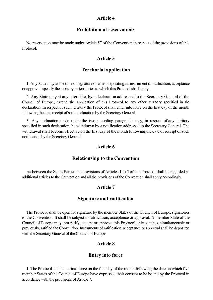# **Article 4**

### **Prohibition of reservations**

No reservation may be made under Article 57 of the Convention in respect of the provisions of this Protocol.

### **Article 5**

# **Territorial application**

1. Any State may at the time of signature or when depositing its instrument of ratification, acceptance or approval, specify the territory or territories to which this Protocol shall apply.

2. Any State may at any later date, by a declaration addressed to the Secretary General of the Council of Europe, extend the application of this Protocol to any other territory specified in the declaration. In respect of such territory the Protocol shall enter into force on the first day of the month following the date receipt of such declaration by the Secretary General.

3. Any declaration made under the two preceding paragraphs may, in respect of any territory specified in such declaration, be withdrawn by a notification addressed to the Secretary General. The withdrawal shall become effective on the first day of the month following the date of receipt of such notification by the Secretary General.

# **Article 6**

## **Relationship to the Convention**

As between the States Parties the provisions of Articles 1 to 5 of this Protocol shall be regarded as additional articles to the Convention and all the provisions of the Convention shall apply accordingly.

# **Article 7**

# **Signature and ratification**

The Protocol shall be open for signature by the member States of the Council of Europe, signatories to the Convention. It shall be subject to ratification, acceptance or approval. A member State of the Council of Europe may not ratify, accept or approve this Protocol unless it has, simultaneously or previously, ratified the Convention. Instruments of ratification, acceptance or approval shall be deposited with the Secretary General of the Council of Europe.

# **Article 8**

## **Entry into force**

1. The Protocol shall enter into force on the first day of the month following the date on which five member States of the Council of Europe have expressed their consent to be bound by the Protocol in accordance with the provisions of Article 7.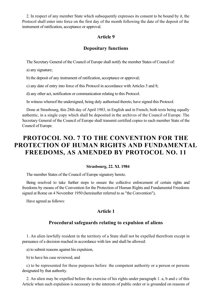2. In respect of any member State which subsequently expresses its consent to be bound by it, the Protocol shall enter into force on the first day of the month following the date of the deposit of the instrument of ratification, acceptance or approval.

# **Article 9**

# **Depositary functions**

The Secretary General of the Council of Europe shall notify the member States of Council of:

a) any signature;

b) the deposit of any instrument of ratification, acceptance or approval;

c) any date of entry into force of this Protocol in accordance with Articles 5 and 8;

d) any other act, notification or communication relating to this Protocol.

In witness whereof the undersigned, being duly authorised thereto, have signed this Protocol.

Done at Strasbourg, this 28th day of April 1983, in English and in French, both texts being equally authentic, in a single copy which shall be deposited in the archives of the Council of Europe. The Secretary General of the Council of Europe shall transmit certified copies to each member State of the Council of Europe.

# **PROTOCOL NO. 7 TO THE CONVENTION FOR THE PROTECTION OF HUMAN RIGHTS AND FUNDAMENTAL FREEDOMS, AS AMENDED BY PROTOCOL NO. 11**

#### **Strasbourg, 22. XI. 1984**

The member States of the Council of Europe signatory hereto.

Being resolved to take further steps to ensure the collective enforcement of certain rights and freedoms by means of the Convention for the Protection of Human Rights and Fundamental Freedoms signed at Rome on 4 November 1950 (hereinafter referred to as "the Convention"),

Have agreed as follows:

# **Article 1**

# **Procedural safeguards relating to expulsion of aliens**

1. An alien lawfully resident in the territory of a State shall not be expelled therefrom except in pursuance of a decision reached in accordance with law and shall be allowed:

a) to submit reasons against his expulsion,

b) to have his case reviewed, and

c) to be represented for these purposes before the competent authority or a person or persons designated by that authority.

2. An alien may be expelled before the exercise of his rights under paragraph 1. a, b and c of this Article when such expulsion is necessary in the interests of public order or is grounded on reasons of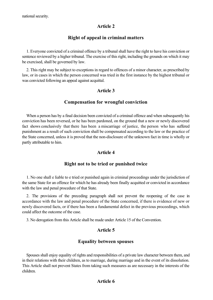# **Article 2**

# **Right of appeal in criminal matters**

1. Everyone convicted of a criminal offence by a tribunal shall have the right to have his conviction or sentence reviewed by a higher tribunal. The exercise of this right, including the grounds on which it may be exercised, shall be governed by law.

2. This right may be subject to exceptions in regard to offences of a minor character, as prescribed by law, or in cases in which the person concerned was tried in the first instance by the highest tribunal or was convicted following an appeal against acquittal.

# **Article 3**

# **Compensation for wrongful conviction**

When a person has by a final decision been convicted of a criminal offence and when subsequently his conviction has been reversed, or he has been pardoned, on the ground that a new or newly discovered fact shows conclusively that there has been a miscarriage of justice, the person who has suffered punishment as a result of such conviction shall be compensated according to the law or the practice of the State concerned, unless it is proved that the non-disclosure of the unknown fact in time is wholly or partly attributable to him.

# **Article 4**

# **Right not to be tried or punished twice**

1. No one shall e liable to e tried or punished again in criminal proceedings under the jurisdiction of the same State for an offence for which he has already been finally acquitted or convicted in accordance with the law and penal procedure of that State.

2. The provisions of the preceding paragraph shall not prevent the reopening of the case in accordance with the law and penal procedure of the State concerned, if there is evidence of new or newly discovered facts, or if there has been a fundamental defect in the previous proceedings, which could affect the outcome of the case.

3. No derogation from this Article shall be made under Article 15 of the Convention.

# **Article 5**

# **Equality between spouses**

Spouses shall enjoy equality of rights and responsibilities of a private law character between them, and in their relations with their children, as to marriage, during marriage and in the event of its dissolution. This Article shall not prevent States from taking such measures as are necessary in the interests of the children.

# **Article 6**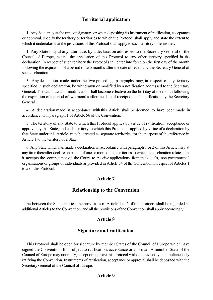# **Territorial application**

1. Any State may at the time of signature or when depositing its instrument of ratification, acceptance or approval, specify the territory or territories to which the Protocol shall apply and state the extent to which it undertakes that the provisions of this Protocol shall apply to such territory or territories.

1. Any State may at any later date, by a declaration addressed to the Secretary General of the Council of Europe, extend the application of this Protocol to any other territory specified in the declaration. In respect of such territory the Protocol shall enter into force on the first day of the month following the expiration of a period of two months after the date of receipt by the Secretary General of such declaration.

3. Any declaration made under the two preceding, paragraphs may, in respect of any territory specified in such declaration, be withdrawn or modified by a notification addressed to the Secretary General. The withdrawal or modification shall become effective on the first day of the month following the expiration of a period of two months after the date of receipt of such notification by the Secretary General.

4. A declaration made in accordance with this Article shall be deemed to have been made in accordance with paragraph 1 of Article 56 of the Convention.

5. The territory of any State to which this Protocol applies by virtue of ratification, acceptance or approval by that State, and each territory to which this Protocol is applied by virtue of a declaration by that State under this Article, may be treated as separate territories for the purpose of the reference in Article 1 to the territory of a State.

6. Any State which has made a declaration in accordance with paragraph 1 or 2 of this Article may at any time thereafter declare on behalf of one or more of the territories to which the declaration relates that it accepts the competence of the Court to receive applications from individuals, non-governmental organisations or groups of individuals as provided in Article 34 of the Convention in respect of Articles 1 to 5 of this Protocol.

# **Article 7**

# **Relationship to the Convention**

As between the States Parties, the provisions of Article 1 to 6 of this Protocol shall be regarded as additional Articles to the Convention, and all the provisions of the Convention shall apply accordingly.

# **Article 8**

### **Signature and ratification**

This Protocol shall be open for signature by member States of the Council of Europe which have signed the Convention. It is subject to ratification, acceptance or approval. A member State of the Council of Europe may not ratify, accept or approve this Protocol without previously or simultaneously ratifying the Convention. Instruments of ratification, acceptance or approval shall be deposited with the Secretary General of the Council of Europe.

# **Article 9**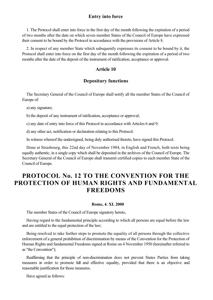# **Entry into force**

1. The Protocol shall enter into force in the first day of the month following the expiration of a period of two months after the date on which seven member States of the Council of Europe have expressed their consent to be bound by the Protocol in accordance with the provisions of Article 8.

2. In respect of any member State which subsquently expresses its consent to be bound by it, the Protocol shall enter into force on the first day of the month following the expiration of a period of two months after the date of the deposit of the instrument of ratification, acceptance or approval.

# **Article 10**

# **Depositary functions**

The Secretary General of the Council of Europe shall notify all the member States of the Council of Europe of:

a) any signature;

b) the deposit of any instrument of ratification, acceptance or approval;

c) any date of entry into force of this Protocol in accordance with Articles 6 and 9;

d) any other act, notification or declaration relating to this Protocol.

In witness whereof the undersigned, being duly authorised thereto, have signed this Protocol.

Done at Strasbourg, this 22nd day of November 1984, in English and French, both texts being equally authentic, in a single copy which shall be deposited in the archives of the Council of Europe. The Secretary General of the Council of Europe shall transmit certified copies to each member State of the Council of Europe.

# **PROTOCOL No. 12 TO THE CONVENTION FOR THE PROTECTION OF HUMAN RIGHTS AND FUNDAMENTAL FREEDOMS**

#### **Rome, 4. XI. 2000**

The member States of the Council of Europe signatory hereto,

Having regard to the fundamental principle according to which all persons are equal before the law and are entitled to the equal protection of the law;

Being resolved to take further steps to promote the equality of all persons through the collective enforcement of a general prohibition of discrimination by means of the Convention for the Protection of Human Rights and fundamental Freedoms signed at Rome on 4 November 1950 (hereinafter referred to as "the Convention");

Reaffirming that the principle of non-discrimination does not prevent States Parties from taking measures in order to promote full and effective equality, provided that there is an objective and reasonable justification for those measures.

Have agreed as follows: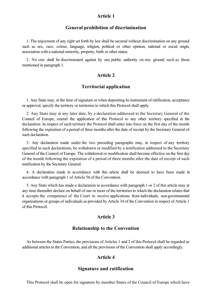#### **Article 1**

# **General prohibition of discrimination**

1. The enjoyment of any right set forth by law shall be secured without discrimination on any ground such as sex, race, colour, language, religion, political or other opinion, national or social origin, association with a national minority, property, birth or other status.

2. No one shall be discriminated against by any public authority on any ground such as those mentioned in paragraph 1.

# **Article 2**

# **Territorial application**

1. Any State may, at the time of signature or when depositing its instrument of ratification, acceptance or approval, specify the territory or territories to which this Protocol shall apply.

2. Any State may at any later date, by a declaration addressed to the Secretary General of the Council of Europe, extend the application of this Protocol to any other territory specified in the declaration. In respect of such territory the Protocol shall enter into force on the first day of the month following the expiration of a period of three months after the date of receipt by the Secretary General of such declaration.

3. Any declaration made under the two preceding paragraphs may, in respect of any territory specified in such declarations, be withdrawn or modified by a notification addressed to the Secretary General of the Council of Europe. The withdrawal or modification shall become effective on the first day of the month following the expiration of a period of three months after the date of receipt of such notification by the Secretary General.

4. A declaration made in accordance with this article shall be deemed to have been made in accordance with paragraph 1 of Article 56 of the Convention.

5. Any State which has made a declaration in accordance with paragraph 1 or 2 of this article may at any time thereafter declare on behalf of one or more of the territories to which the declaration relates that it accepts the competence of the Court to receive applications from individuals, non-governmental organisations or groups of individuals as provided by Article 34 of the Convention in respect of Article 1 of this Protocol.

# **Article 3**

# **Relationship to the Convention**

As between the States Parties, the provisions of Articles 1 and 2 of this Protocol shall be regarded as additional articles to the Convention, and all the provisions of the Convention shall apply accordingly.

# **Article 4**

### **Signature and ratification**

This Protocol shall be open for signature by member States of the Council of Europe which have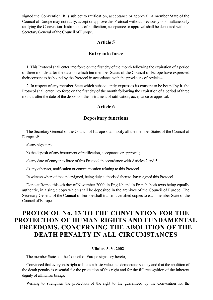signed the Convention. It is subject to ratification, acceptance or approval. A member State of the Council of Europe may not ratify, accept or approve this Protocol without previously or simultaneously ratifying the Convention. Instruments of ratification, acceptance or approval shall be deposited with the Secretary General of the Council of Europe.

# **Article 5**

# **Entry into force**

1. This Protocol shall enter into force on the first day of the month following the expiration of a period of three months after the date on which ten member States of the Council of Europe have expressed their consent to be bound by the Protocol in accordance with the provisions of Article 4.

2. In respect of any member State which subsequently expresses its consent to be bound by it, the Protocol shall enter into force on the first day of the month following the expiration of a period of three months after the date of the deposit of the instrument of ratification, acceptance or approval.

# **Article 6**

## **Depositary functions**

The Secretary General of the Council of Europe shall notify all the member States of the Council of Europe of:

a) any signature;

b) the deposit of any instrument of ratification, acceptance or approval;

c) any date of entry into force of this Protocol in accordance with Articles 2 and 5;

d) any other act, notification or communication relating to this Protocol.

In witness whereof the undersigned, being duly authorised thereto, have signed this Protocol.

Done at Rome, this 4th day of November 2000, in English and in French, both texts being equally authentic, in a single copy which shall be deposited in the archives of the Council of Europe. The Secretary General of the Council of Europe shall transmit certified copies to each member State of the Council of Europe.

# **PROTOCOL No. 13 TO THE CONVENTION FOR THE PROTECTION OF HUMAN RIGHTS AND FUNDAMENTAL FREEDOMS, CONCERNING THE ABOLITION OF THE DEATH PENALTY IN ALL CIRCUMSTANCES**

#### **Vilnius, 3. V. 2002**

The member States of the Council of Europe signatory hereto,

Convinced that everyone's right to life is a basic value in a democratic society and that the abolition of the death penalty is essential for the protection of this right and for the full recognition of the inherent dignity of all human beings;

Wishing to strengthen the protection of the right to life guaranteed by the Convention for the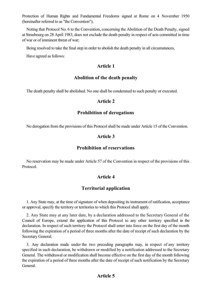Protection of Human Rights and Fundamental Freedoms signed at Rome on 4 November 1950 (hereinafter referred to as "the Convention");

Noting that Protocol No. 6 to the Convention, concerning the Abolition of the Death Penalty, signed at Strasbourg on 28 April 1983, does not exclude the death penalty in respect of acts committed in time of war or of imminent threat of war;

Being resolved to take the final step in order to abolish the death penalty in all circumstances,

Have agreed as follows:

# **Article 1**

# **Abolition of the death penalty**

The death penalty shall be abolished. No one shall be condemned to such penalty or executed.

# **Article 2**

# **Prohibition of derogations**

No derogation from the provisions of this Protocol shall be made under Article 15 of the Convention.

# **Article 3**

# **Prohibition of reservations**

No reservation may be made under Article 57 of the Convention in respect of the provisions of this Protocol.

# **Article 4**

# **Territorial application**

1. Any State may, at the time of signature of when depositing its instrument of ratification, acceptance or approval, specify the territory or territories to which this Protocol shall apply.

2. Any State may at any later date, by a declaration addressed to the Secretary General of the Council of Europe, extend the application of this Protocol to any other territory specified in the declaration. In respect of such territory the Protocol shall enter into force on the first day of the month following the expiration of a period of three months after the date of receipt of such declaration by the Secretary General.

3. Any declaration made under the two preceding paragraphs may, in respect of any territory specified in such declaration, be withdrawn or modified by a notification addressed to the Secretary General. The withdrawal or modification shall become effective on the first day of the month following the expiration of a period of three months after the date of receipt of such notification by the Secretary General.

# **Article 5**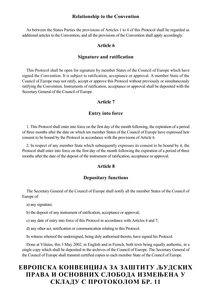# **Relationship to the Convention**

As between the States Parties the provisions of Articles 1 to 4 of this Protocol shall be regarded as additional articles to the Convention, and all the provisions of the Convention shall apply accordingly.

### **Article 6**

# **Signature and ratification**

This Protocol shall be open for signature by member States of the Council of Europe which have signed the Convention. It is subject to ratification, acceptance or approval. A member State of the Council of Europe may not ratify, accept or approve this Protocol without previously or simultancously ratifying the Convention. Instruments of ratification, acceptance or approval shall be deposited with the Secretary General of the Council of Europe.

# **Article 7**

#### **Entry into force**

1. This Protocol shall enter into force on the first day of the month following, the expiration of a period of three months after the date on which ten member States of the Council of Europe have expressed heir consent to be bound by the Protocol in accordance with the provisions of Article 6.

2. In respect of any member State which subsequently expresses its consent to be bound by it, the Protocol shall enter into force on the first day of the month following the expiration of a period of three months after the date of the deposit of the instrument of ratification, acceptance or approval.

# **Article 8**

# **Depositary functions**

The Secretary General of the Council of Europe shall notify all the member States of the Council of Europe of:

a) any signature;

b) the deposit of any instrument of ratification, acceptance or approval;

c) any date of entry into force of this Protocol in accordance with Articles 4 and 7;

d) any other act, notification or communication relating to this Protocol.

In witness whereof the undersigned, being duly authorised thereto, have signed his Protocol.

Done at Vilnius, this 3 May 2002, in English and in French, both texts being equally authentic, in a single copy which shall be deposited in the archives of the Council of Europe. The Secretary General of the Council of Europe shall transmit certified copies to each member State of the Council of Europe.

# **ЕВРОПСКА КОНВЕНЦИЈА ЗА ЗАШТИТУ ЉУДСКИХ ПРАВА И ОСНОВНИХ СЛОБОДА ИЗМЕЊЕНА У СКЛАДУ С ПРОТОКОЛОМ БР. 11**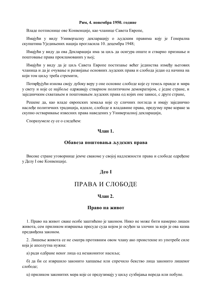#### **Рим, 4. новембра 1950. године**

Владе потписнице ове Конвенције, као чланице Савета Европе,

Имајући у виду Универзалну декларацију о људским правима коју је Генерална скупштина Уједињених нација прогласила 10. децембра 1948;

Имајући у виду да ова Декларација има за циљ да осигура опште и стварно признање и поштовање права прокламованих у њој;

Имајући у виду да је циљ Савета Европе постизање већег јединства између његових чланица и да је очување и развијање основних људских права и слобода један од начина на који том циљу треба стремити,

Потврђујући изнова своју дубоку веру у оне основне слободе које су темељ правде и мира у свету и које се најбоље одржавају стварном политичком демократијом, с једне стране, и заједничким схватањем и поштовањем људских права од којих оне зависе, с друге стране,

Решене да, као владе европских земаља које су сличних погледа и имају заједничко наслеђе политичких традиција, идеале, слободе и владавине права, предузму прве кораке за скупно остваривање извесних права наведених у Универзалној декларацији,

Споразумеле су се о следећем:

# **Члан 1.**

#### **Обавеза поштовања људских права**

Високе стране уговорнице јемче свакоме у својој надлежности права и слободе одређене у Делу I ове Конвенције.

# **Део I**

# ПРАВА И СЛОБОДЕ

### **Члан 2.**

#### **Право на живот**

1. Право на живот сваке особе заштићено је законом. Нико не може бити намерно лишен живота, сем приликом извршења пресуде суда којом је осуђен за злочин за који је ова казна предвиђена законом.

2. Лишење живота се не сматра противним овом члану ако проистекне из употребе силе која је апсолутна нужна:

а) ради одбране неког лица од незаконитог насиља;

б) да би се извршило законито хапшење или спречило бекство лица законито лишеног слободе;

ц) приликом законитих мера које се предузимају у циљу сузбијања нереда или побуне.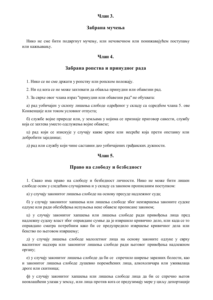### **Члан 3.**

### **Забрана мучења**

Нико не сме бити подвргнут мучењу, или нечовечном или понижавајућем поступању или кажњавању.

#### **Члан 4.**

# **Забрана ропства и принудног рада**

1. Нико се не сме држати у ропству или ропском положају.

2. Ни од кога се не може захтевати да обавља принудни или обавезни рад.

3. За сврхе овог члана израз "принудни или обавезни рад" не обухвата:

а) рад уобичајен у склопу лишења слободе одређеног у складу са одредбом члана 5. ове Конвенције или током условног отпуста;

б) службе војне природе или, у земљама у којима се признаје приговор савести, службу која се захтева уместо одслужења војне обавезе;

ц) рад који се изискује у случају какве кризе или несреће која прети опстанку или добробити заједнице;

д) рад или службу који чине саставни део уобичајених грађанских дужности.

## **Члан 5.**

# **Право на слободу и безбедност**

1. Свако има право на слободу и безбедност личности. Нико не може бити лишен слободе осим у следећим случајевима и у складу са законом прописаним поступком:

а) у случају законитог лишења слободе на основу пресуде надлежног суда;

б) у случају законитог хапшења или лишења слободе због неизвршења законите судске одлуке или ради обезбеђења испуњења неке обавезе прописане законом;

ц) у случају законитог хапшења или лишења слободе ради привођења лица пред надлежну судску власт због оправдане сумње да је извршило кривично дело, или када се то оправдано сматра потребним како би се предупредило извршење кривичног дела или бекство по његовом извршењу;

д) у случају лишења слободе малолетног лица на основу законите одлуке у сврху васпитног надзора или законитог лишења слободе ради његовог привођења надлежном органу;

е) у случају законитог лишења слободе да би се спречило ширење заразних болести, као и законитог лишења слободе душевно поремећених лица, алкохоличара или уживалаца дроге или скитница;

ф) у случају законитог хапшења или лишења слободе лица да би се спречио његов неовлашћени улазак у земљу, или лица против кога се предузимају мере у циљу депортације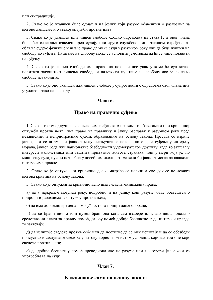или екстрадиције.

2. Свако ко је ухапшен биће одмах и на језику који разуме обавештен о разлозима за његово хапшење и о свакој оптужби против њега.

3. Свако ко је ухапшен или лишен слободе сходно одредбама из става 1. ц овог члана биће без одлагања изведен пред судију или друго службено лице законом одређено да обавља судске функције и имаће право да му се суди у разумном року или да буде пуштен на слободу до суђења. Пуштање на слободу може се условити јемствима да ће се лице појавити на суђењу.

4. Свако ко је лишен слободе има право да покрене поступак у коме ће суд хитно испитати законитост лишења слободе и наложити пуштање на слободу ако је лишење слободе незаконито.

5. Свако ко је био ухапшен или лишен слободе у супротности с одредбама овог члана има утуживо право на накнаду.

# **Члан 6.**

### **Право на правично суђење**

1. Свако, током одлучивања о његовим грађанским правима и обавезама или о кривичној оптужби против њега, има право на правичну и јавну расправу у разумном року пред независним и непристрасним судом, образованим на основу закона. Пресуда се изриче јавно, али се штампа и јавност могу искључити с целог или с дела суђења у интересу морала, јавног реда или националне безбедности у демократском друштву, када то захтевају интереси малолетника или заштита приватног живота странака, или у мери која је, по мишљењу суда, нужно потребна у посебним околностима када би јавност могла да нашкоди интересима правде.

2. Свако ко је оптужен за кривично дело сматраће се невиним све док се не докаже његова кривица на основу закона.

3. Свако ко је оптужен за кривично дело има следећа минимална права:

а) да у најкраћем могућем року, подробно и на језику који разуме, буде обавештен о природи и разлозима за оптужбу против њега,

б) да има довољно времена и могућности за припремање одбране;

ц) да се брани лично или путем браниоца кога сам изабере или, ако нема довољно средстава да плати за правну помоћ, да ову помоћ добије бесплатно када интереси правде то захтевају;

д) да испитује сведоке против себе или да постигне да се они испитају и да се обезбеди присуство и саслушање сведока у његову корист под истим условима који важе за оне који сведоче против њега;

е) да добије бесплатну помоћ преводиоца ако не разуме или не говори језик који се употребљава на суду.

# **Члан 7.**

#### **Кажњавање само на основу закона**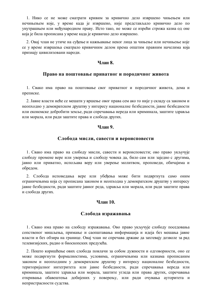1. Нико се не може сматрати кривим за кривично дело извршено чињењем или нечињењем које, у време када је извршено, није представљало кривично дело по унутрашњем или међународном праву. Исто тако, не може се изрећи строжа казна од оне која је била прописана у време када је кривично дело извршено.

2. Овај члан не утиче на суђење и кажњавање неког лица за чињење или нечињење које се у време извршења сматрало кривичним делом према општим правним начелима која признају цивилизовани народи.

#### **Члан 8.**

#### **Право на поштовање приватног и породичног живота**

1. Свако има право на поштовање свог приватног и породичног живота, дома и преписке.

2. Јавне власти неће се мешати у вршење овог права сем ако то није у складу са законом и неопходно у демократском друштву у интересу националне безбедности, јавне безбедности или економске добробити земље, ради спречавања нереда или криминала, заштите здравља или морала, или ради заштите права и слобода других.

# **Члан 9.**

#### **Слобода мисли, савести и вероисповести**

1. Свако има право на слободу мисли, савести и вероисповести; ово право укључује слободу промене вере или уверења и слободу човека да, било сам или заједно с другима, јавно или приватно, испољава веру или уверење молитвом, проповеди, обичајима и обредом.

2. Слобода исповедања вере или убеђења може бити подвргнута само оним ограничењима која су прописана законом и неопходна у демократском друштву у интересу јавне безбедности, ради заштите јавног реда, здравља или морала, или ради заштите права и слобода других.

# **Члан 10.**

### **Слобода изражавања**

1. Свако има право на слободу изражавања. Ово право укључује слободу поседовања сопственог мишљења, примање и саопштавања информација и идеја без мешања јавне власти и без обзира на границе. Овај члан не спречава државе да захтевају дозволе за рад телевизијских, радио и биоскопских предузећа.

2. Пошто коришћење ових слобода повлачи за собом дужности и одговорности, оно се може подвргнути формалностима, условима, ограничењима или казнама прописаним законом и неопходним у демократском друштву у интересу националне безбедности, територијалног интегритета или јавне безбедности, ради спречавања нереда или криминала, заштите здравља или морала, заштите угледа или права других, спречавања откривања обавештења добијених у поверењу, или ради очувања ауторитета и непристрасности судства.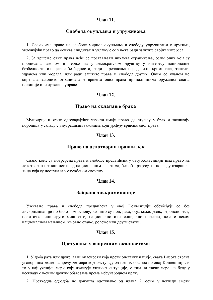# **Члан 11.**

#### **Слобода окупљања и удруживања**

1. Свако има право на слободу мирног окупљања и слободу удруживања с другима, укључујући право да оснива синдикат и учлањује се у њега ради заштите својих интереса.

2. За вршење ових права неће се постављати никаква ограничења, осим оних која су прописана законом и неопходна у демократском друштву у интересу националне безбедности или јавне безбедности, ради спречавања нереда или криминала, заштите здравља или морала, или ради заштите права и слобода других. Овим се чланом не спречава законито ограничавање вршења ових права припадницима оружаних снага, полиције или државне управе.

#### **Члан 12.**

#### **Право на склапање брака**

Мушкарци и жене одговарајућег узраста имају право да ступају у брак и заснивају породицу у складу с унутрашњим законима који уређују вршење овог права.

# **Члан 13.**

#### **Право на делотворни правни лек**

Свако коме су повређена права и слободе предвиђени у овој Конвенцији има право на делотворан правни лек пред националним властима, без обзира јесу ли повреду извршила лица која су поступала у службеном својству.

### **Члан 14.**

#### **Забрана дискриминације**

Уживање права и слобода предвиђена у овој Конвенцији обезбеђује се без дискриминације по било ком основу, као што су пол, раса, боја коже, језик, вероисповест, политичко или друго мишљење, национално или социјално порекло, веза с неком националном мањином, имовно стање, рођење или други статус.

# **Члан 15.**

#### **Одступање у ванредним околностима**

1. У доба рата или друге јавне опасности која прети опстанку нације, свака Висока страна уговорница може да предузме мере које одступају од њених обавеза по овој Конвенцији, и то у најнужнијој мери коју изискује хитност ситуације, с тим да такве мере не буду у нескладу с њеним другим обавезама према међународном праву.

2. Претходна одредба не допушта одступање од члана 2. осим у погледу смрти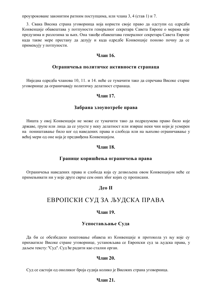проузроковане законитим ратним поступцима, или члана 3, 4 (став 1) и 7.

3. Свака Висока страна уговорница која користи своје право да одступи од одредби Конвенције обавештава у потпуности генералног секретара Савета Европе о мерама које предузима и разлозима за њих. Она такође обавештава генералног секретара Савета Европе када такве мере престану да делују и када одредбе Конвенције поново почну да се примењују у потпуности.

### **Члан 16.**

#### **Ограничења политичке активности странаца**

Ниједна одредба чланова 10, 11. и 14. неће се тумачити тако да спречава Високе старне уговорнице да ограничавају политичку делатност странаца.

#### **Члан 17.**

### **Забрана злоупотребе права**

Ништа у овој Конвенцији не може се тумачити тако да подразумева право било које државе, групе или лица да се упусте у неку делатност или изврше неки чин који је усмерен на поништавање било ког од наведених права и слобода или на њихово ограничавање у већој мери од оне која је предвиђена Конвенцијом.

# **Члан 18.**

### **Границе коришћења ограничења права**

Ограничења наведених права и слобода која су дозвољена овом Конвенцијом неће се примењивати ни у које друге сврхе сем оних због којих су прописани.

# **Део II**

# ЕВРОПСКИ СУД ЗА ЉУДСКА ПРАВА

#### **Члан 19.**

### **Успостављање Суда**

Да би се обезбедило поштовање обавеза из Конвенције и протокола уз њу које су прихватиле Високе стране уговорнице, установљава се Европски суд за људска права, у даљем тексту: "Суд". Суд ће радити као стални орган.

# **Члан 20.**

Суд се састоји од оноликог броја судија колико је Високих страна уговорница.

# **Члан 21.**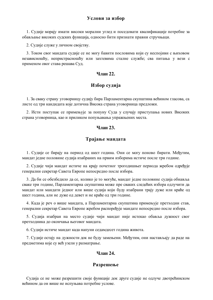# **Услови за избор**

1. Судије морају имати високи морални углед и поседовати квалификације потребне за обављање високих судских функција, односно бити признати правни стручњаци.

2. Судије служе у личном својству.

3. Током свог мандата судије се не могу бавити пословима који су неспојиви с њиховом независношћу, непристрасношћу или захтевима сталне службе; сва питања у вези с применом овог става решава Суд.

# **Члан 22.**

# **Избор судија**

1. За сваку страну уговорницу судију бира Парламентарна скупштина већином гласова, са листе од три кандидата које дотична Висока страна уговорница предложи.

2. Исти поступак се примењује за попуну Суда у случају приступања нових Високих страна уговорница, као и приликом попуњавања упражњених места.

# **Члан 23.**

# **Трајање мандата**

1. Судије се бирају на период од шест година. Они се могу поново бирати. Међутим, мандат једне половине судија изабраних на првим изборима истиче после три године.

2. Судије чији мандат истиче на крају почетног трогодишњег периода жребом одређује генерални секретар Савета Европе непосредно после избора.

3. Да би се обезбедило да се, колико је то могуће, мандат једне половине судија обнавља сваке три године, Парламентарна скупштина може пре сваких следећих избора одлучити да мандат или мандати једног или више судија који буду изабрани трају дуже или краће од шест година, али не дуже од девет и не краће од три године.

4. Када је реч о више мандата, а Парламентарна скупштина примењује претходни став, генерални секретар Савета Европе жребом распоређује мандате непосредно после избора.

5. Судија изабран на место судије чији мандат није истекао обавља дужност свог претходника до окончања његовог мандата.

6. Судији истиче мандат када напуни седамдесет година живота.

7. Судије остају на дужности док не буду замењени. Међутим, они настављају да раде на предметима које су већ узели у разматрање.

# **Члан 24.**

### **Разрешење**

Судија се не може разрешити своје функције док друге судије не одлуче двотрећинском већином да он више не испуњава потребне услове.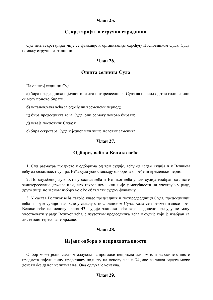# **Члан 25.**

# **Секретаријат и стручни сарадници**

Суд има секретаријат чије се функције и организације одређују Пословником Суда. Суду помажу стручни сарадници.

# **Члан 26.**

# **Општа седница Суда**

На општој седници Суд:

а) бира председника и једног или два потпредседника Суда на период од три године; они се могу поново бирати;

б) установљава већа за одређени временски период;

ц) бира председника већа Суда; они се могу поново бирати;

д) усваја пословник Суда; и

е) бира секретара Суда и једног или више његових заменика.

# **Члан 27.**

# **Одбори, већа и Велико веће**

1. Суд разматра предмете у одборима од три судије, већу од седам судија и у Великом већу од седамнаест судија. Већа суда успостављају одборе за одређени временски период.

2. По службеној дужности у састав већа и Великог већа улази судија изабран са листе заинтересоване државе или, ако таквог нема или није у могућности да учествује у раду, друго лице по њеном избору које ће обављати судску функцију.

3. У састав Великог већа такође улазе председник и потпредседници Суда, председници већа и друге судије изабране у складу с пословником Суда. Када се предмет изнесе пред Велико веће на основу члана 43. судије чланови већа које је донело пресуду не могу учествовати у раду Великог већа, с изузетком председника већа и судије који је изабран са листе заинтересоване државе.

### **Члан 28.**

#### **Изјаве одбора о неприхватљивости**

Одбор може једногласном одлуком да прогласи неприхватљивом или да скине с листе предмета појединачну представку поднету на основу члана 34, ако се таква одлука може донети без даљег испитивања. Ова одлука је коначна.

# **Члан 29.**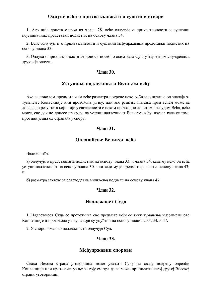#### **Одлуке већа о прихватљивости и суштини ствари**

1. Ако није донета одлука из члана 28. веће одлучује о прихватљивости и суштини појединачних представки поднетих на основу члана 34.

2. Веће одлучује и о прихватљивости и суштини међудржавних представки поднетих на основу члана 33.

3. Одлука о прихватљивости се доноси посебно осим када Суд, у изузетним случајевима друкчије одлучи.

#### **Члан 30.**

### **Уступање надлежности Великом већу**

Ако се поводом предмета који веће разматра покрене неко озбиљно питање од значаја за тумачење Конвенције или протокола уз њу, или ако решење питања пред већем може да доведе до резултата који није у сагласности с неком претходно донетом пресудом Већа, веће може, све док не донесе пресуду, да уступи надлежност Великом већу, изузев када се томе противи једна од странака у спору.

### **Члан 31.**

# **Овлашћење Великог већа**

Велико веће:

а) одлучује о представкама поднетим на основу члана 33. и члана 34, када му неко од већа уступи надлежност на основу члана 30. или када му је предмет враћен на основу члана 43; и

б) разматра захтеве за саветодавна мишљења поднете на основу члана 47.

# **Члан 32.**

# **Надлежност Суда**

1. Надлежност Суда се протеже на све предмете који се тичу тумачења и примене ове Конвенције и протокола уз њу, а који су упућени на основу чланова 33, 34. и 47.

2. У споровима око надлежности одлучује Суд.

#### **Члан 33.**

#### **Међудржавни спорови**

Свака Висока страна уговорница може указати Суду на сваку повреду одредби Конвенције или протокола уз њу за коју сматра да се може приписати некој другој Високој страни уговорници.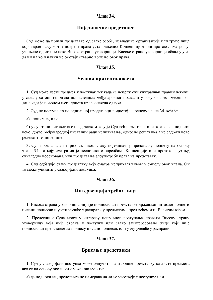# **Члан 34.**

## **Појединачне представке**

Суд може да прими представке од сваке особе, невладине организације или групе лица који тврде да су жртве повреде права установљених Конвенцијом или протоколима уз њу, учињене од стране неке Високе стране уговорнице. Високе стране уговорнице обавезују се да ни на који начин не ометају стварно вршење овог права.

# **Члан 35.**

### **Услови прихватљивости**

1. Суд може узети предмет у поступак тек када се исцрпу сви унутрашњи правни лекови, у складу са општепризнатим начелима међународног права, и у року од шест месеци од дана када је поводом њега донета правоснажна одлука.

2. Суд не поступа по појединачној представци поднетој на основу члана 34. која је:

а) анонимна, или

б) у суштини истоветна с представком коју је Суд већ разматрао, или која је већ поднета некој другој међународној инстанци ради испитивања, односно решавања а не садржи нове релевантне чињенице.

3. Суд проглашава неприхватљивом сваку појединачну представку поднету на основу члана 34. за коју сматра да је неспојива с одредбама Конвенције или протокола уз њу, очигледно неоснована, или представља злоупотребу права на представку.

4. Суд одбацује сваку представку коју сматра неприхватљивом у смислу овог члана. Он то може учинити у свакој фази поступка.

# **Члан 36.**

# **Интервенција трећих лица**

1. Висока страна уговорница чији је подносилац представке држављанин може поднети писани поднесак и узети учешће у расправи у предметима пред већем или Великим већем.

2. Председник Суда може у интересу исправног поступања позвати Високу страну уговорницу која није страна у поступку или свако заинтересовано лице које није подносилац представке да поднесу писани поднесак или узму учешће у расправи.

# **Члан 37.**

### **Брисање представки**

1. Суд у свакој фази поступка може одлучити да избрише представку са листе предмета ако се на основу околности може закључити:

а) да подносилац представке не намерава да даље учествује у поступку; или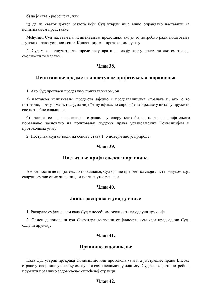б) да је ствар разрешена; или

ц) да из сваког другог разлога који Суд утврди није више оправдано наставити са испитивањем представке.

Међутим, Суд наставља с испитивањем представке ако је то потребно ради поштовања људских права установљених Конвенцијом и протоколима уз њу.

2. Суд може одлучити да представку врати на своју листу предмета ако сматра да околности то налажу.

# **Члан 38.**

# **Испитивање предмета и поступак пријатељског поравнања**

1. Ако Суд прогласи представку прихватљивом, он:

а) наставља испитивање предмета заједно с представницима странака и, ако је то потребно, предузима истрагу, за чије ће му ефикасно спровођење државе у питању пружити све потребне олакшице;

б) ставља се на располагање странама у спору како би се постигло пријатељско поравнање засновано на поштовању људских права установљених Конвенцијом и протоколима уз њу.

2. Поступак који се води на основу става 1. б поверљиве је природе.

### **Члан 39.**

#### **Постизање пријатељског поравнања**

Ако се постигне пријатељско поравнање, Суд брише предмет са своје листе одлуком која садржи кратак опис чињеница и постигнутог решења.

# **Члан 40.**

### **Јавна расправа и увид у списе**

1. Расправе су јавне, сем када Суд у посебним околностима одлучи друкчије.

2. Списи депоновани код Секретара доступни су јавности, сем када председник Суда одлучи друкчије.

# **Члан 41.**

#### **Правично задовољење**

Када Суд утврди прекршај Конвенције или протокола уз њу, а унутрашње право Високе стране уговорнице у питању омогућава само делимичну одштету, Суд ће, ако је то потребно, пружити правично задовољење оштећеној странци.

# **Члан 42.**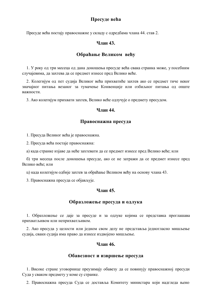# **Пресуде већа**

Пресуде већа постају правоснажне у складу с одредбама члана 44. став 2.

# **Члан 43.**

# **Обраћање Великом већу**

1. У року од три месеца од дана доношења пресуде већа свака странка може, у посебним случајевима, да захтева да се предмет изнесе пред Велико веће.

2. Колегијум од пет судија Великог већа прихватиће захтев ако се предмет тиче неког значајног питања везаног за тумачење Конвенције или озбиљног питања од опште важности.

3. Ако колегијум прихвати захтев, Велико веће одлучује о предмету пресудом.

#### **Члан 44.**

#### **Правоснажна пресуда**

1. Пресуда Великог већа је правоснажна.

2. Пресуда већа постаје правоснажна:

а) када странке изјаве да неће захтевати да се предмет изнесе пред Велико веће; или

б) три месеца после доношења пресуде, ако се не затражи да се предмет изнесе пред Велико веће; или

ц) када колегијум одбије захтев за обраћање Великом већу на основу члана 43.

3. Правоснажна пресуда се објављује.

### **Члан 45.**

#### **Образложење пресуда и одлука**

1. Образложење се даје за пресуде и за одлуке којима се представка проглашава прихватљивом или неприхватљивом.

2. Ако пресуда у целости или једном свом делу не представља једногласно мишљење судија, сваки судија има право да изнесе издвојено мишљење.

# **Члан 46.**

# **Обавезност и извршење пресуда**

1. Високе стране уговорнице преузимају обавезу да се повинују правоснажној пресуди Суда у сваком предмету у коме су странке.

2. Правоснажна пресуда Суда се доставља Комитету министара који надгледа њено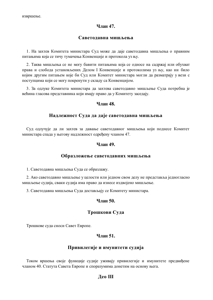извршење.

# **Члан 47.**

### **Саветодавна мишљења**

1. На захтев Комитета министара Суд може да даје саветодавна мишљења о правним питањима која се тичу тумачења Конвенције и протокола уз њу.

2. Таква мишљења се не могу бавити питањима која се односе на садржај или обухват права и слобода установљених Делом I Конвенције и протоколима уз њу, као ни било којим другим питањем које би Суд или Комитет министара могли да разматрају у вези с поступцима који се могу покренути у складу са Конвенцијом.

3. За одлуке Комитета министара да захтева саветодавно мишљење Суда потребна је већина гласова представника који имају право да у Комитету заседају.

### **Члан 48.**

# **Надлежност Суда да даје саветодавна мишљења**

Суд одлучује да ли захтев за давање саветодавног мишљења који поднесе Комитет министара спада у његову надлежност одређену чланом 47.

# **Члан 49.**

#### **Образложење саветодавних мишљења**

1. Саветодавна мишљења Суда се образлажу.

2. Ако саветодавно мишљење у целости или једном свом делу не представља једногласно мишљење судија, сваки судија има право да изнесе издвојено мишљење.

3. Саветодавна мишљења Суда достављају се Комитету министара.

# **Члан 50.**

# **Трошкови Суда**

Трошкове суда сноси Савет Европе.

# **Члан 51.**

# **Привилегије и имунитети судија**

Током вршења своје функције судије уживају привилегије и имунитете предвиђене чланом 40. Статута Савета Европе и споразумима донетим на основу њега.

# **Део III**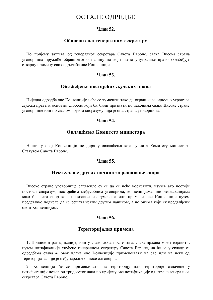# ОСТАЛЕ ОДРЕДБЕ

# **Члан 52.**

#### **Обавештења генералном секретару**

По пријему захтева од генералног секретара Савета Европе, свака Висока страна уговорница пружиће објашњење о начину на који њено унутрашње право обезбеђује стварну примену свих одредаба ове Конвенције.

# **Члан 53.**

## **Обезбеђење постојећих људских права**

Ниједна одредба ове Конвенције неће се тумачити тако да ограничава односно угрожава људска права и основне слободе који би били признати по законима сваке Високе стране уговорнице или по сваком другом споразуму чија је она страна уговорница.

#### **Члан 54.**

# **Овлашћења Комитета министара**

Ништа у овој Конвенцији не дира у овлашћења која су дата Комитету министара Статутом Савета Европе.

# **Члан 55.**

### **Искључење других начина за решавање спора**

Високе стране уговорнице сагласиле су се да се неће користити, изузев ако постоји посебан споразум, постојећим међусобним уговорима, конвенцијама или декларацијама како би неки спор који произлази из тумачења или примене ове Конвенције путем представке поднеле да се решава неким другим начином, а не онима који су предвиђени овом Конвенцијом.

# **Члан 56.**

# **Територијална примена**

1. Приликом ратификације, или у свако доба после тога, свака држава може изјавити, путем нотификације упућене генералном секретару Савета Европе, да ће се у складу са одредбама става 4. овог члана ове Конвенције примењивати на све или на неку од територија за чије је међународне односе одговорна.

2. Конвенција ће се примењивати на територију или територије означене у нотификацији почев од тридесетог дана по пријему ове нотификације од стране генералног секретара Савета Европе.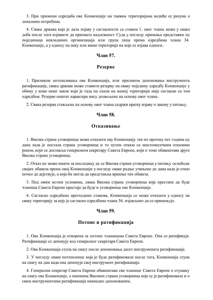3. При примени одредаба ове Конвенције на таквим територијама водиће се рачуна о локалним потребама.

4. Свака држава која је дала изјаву у сагласности са ставом 1. овог члана може у свако доба после тога изјавити да прихвата надлежност Суда у погледу примања представки од појединаца невладиних организација или група лица према одредбама члана 34. Конвенције, а у односу на неку или више територија на које се изјава односи.

# **Члан 57.**

# **Резерве**

1. Приликом потписивања ове Конвенције, или приликом депоновања инструмента ратификације, свака држава може ставити резерву на сваку поједину одредбу Конвенције у обиму у коме неки закон који је тада на снази на њеној територији није сагласан са том одредбом. Резерве општег карактера нису дозвољене на основу овог члана.

2. Свака резерва стављена на основу овог члана садржи кратку изјаву о закону у питању.

### **Члан 58.**

#### **Отказивање**

1. Висока страна уговорница може отказати ову Конвенцију тек по протеку пет година од дана када је постала страна уговорница и то путем отказа са шестомесечним отказним роком, који се доставља генералном секретару Савета Европе, који о томе обавештава друге Високе стране уговорнице.

2. Отказ не може имати за последицу да се Висока страна уговорница у питању ослободи својих обавеза према овој Конвенцији у погледу сваке радње учињене до дана када је отказ почео да дејствује, а која би могла да представља кршење тих обавеза.

3. Под овим истим условима, свака Висока страна уговорница која престане да буде чланица Савета Европе престаје да буде и уговорница ове Конвенције.

4. Сагласно одредбама претходних ставова, Конвенција се може отказати у односу на сваку територију за коју је сагласно одредбама члана 56. изјављено да се примењује.

### **Члан 59.**

# **Потпис и ратификација**

1. Ова Конвенција је отворена за потпис чланицама Савета Европе. Она се ратификује. Ратификације се депонују код генералног секретара Савета Европе.

2. Ова Конвенција ступа на снагу после депоновања десет инструмената ратификације.

3. У погледу сваке потписнице која је буде ратификовала после тога, Конвенција ступа на снагу на дан када она депонује свој инструмент ратификације.

4. Генерални секретар Савета Европе обавештава све чланице Савета Европе о ступању на снагу ове Конвенције, о именима Високих страна уговорница које су је ратификовале и о свим инструментима ратификације накнадно депонованим.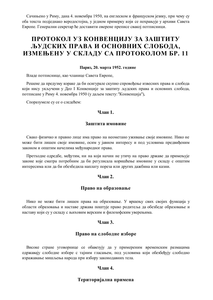Сачињено у Риму, дана 4. новембра 1950, на енглеском и француском језику, при чему су оба текста подједнако веродостојна, у једном примерку који се похрањује у архиви Савета Европе. Генерални секретар ће доставити оверене преписе свакој потписници.

# **ПРОТОКОЛ УЗ КОНВЕНЦИЈУ ЗА ЗАШТИТУ ЉУДСКИХ ПРАВА И ОСНОВНИХ СЛОБОДА, ИЗМЕЊЕНУ У СКЛАДУ СА ПРОТОКОЛОМ БР. 11**

#### **Париз, 20. марта 1952. године**

Владе потписнице, као чланице Савета Европе,

Решене да предузму кораке да би осигурале скупно спровођење извесних права и слобода који нису укључени у Део I Конвенције за заштиту људских права и основних слобода, потписане у Риму 4. новембра 1950 (у даљем тексту: "Конвенција"),

Споразумеле су се о следећем:

### **Члан 1.**

# **Заштита имовине**

Свако физичко и правно лице има право на неометано уживање своје имовине. Нико не може бити лишен своје имовине, осим у јавном интересу и под условима предвиђеним законом и општим начелима међународног права.

Претходне одредбе, међутим, ни на који начин не утичу на право државе да примењује законе које сматра потребним да би регулисала коришћење имовине у складу с општим интересима или да би обезбедила наплату пореза или других дажбина или казни.

### **Члан 2.**

# **Право на образовање**

Нико не може бити лишен права на образовање. У вршењу свих својих функција у области образовања и наставе држава поштује право родитеља да обезбеде образовање и наставу који су у складу с њиховим верским и филозофским уверењима.

### **Члан 3.**

### **Право на слободне изборе**

Високе стране уговорнице се обавезују да у примереним временским размацима одржавају слободне изборе с тајним гласањем, под условима који обезбеђују слободно изражавање мишљења народа при избору законодавних тела.

### **Члан 4.**

### **Територијална примена**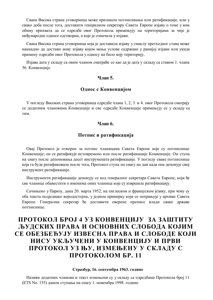Свака Висока страна уговорница може приликом потписивања или ратификације, или у свако доба после тога, доставити генералном секретару Савета Европе изјаву о томе у ком обиму прихвата да се одредбе овог Протокола примењују на територијама за чије је међународне односе одговорна, а које је означила у изјави.

Свака Висока страна уговорница која је доставила изјаву у смислу претходног става може накнадно да достави нову изјаву којом мења услове садржане у ранијој изјави или укида примену одредби овог Протокола у односу на било коју територију.

Изјава дата у складу са овим чланом сматраће се као да је дата у складу са ставом 1. члана 56. Конвенције.

## **Члан 5.**

## **Однос с Конвенцијом**

У погледу Високих страна уговорница одредбе члана 1, 2, 3. и 4. овог Протокола сматрају се додатним члановима Конвенције и све одредбе Конвенције примењују се у складу са тим.

## **Члан 6.**

## **Потпис и ратификација**

Овај Протокол је отворен за потпис чланицама Савета Европе које су потписнице Конвенције; он се ратификује истовремено или после ратификације Конвенције. Он ступа на снагу после депоновања десет инструмената ратификације. У погледу сваке потписнице која га буде ратификовала после тога, Протокол ступа на снагу на дан када она депонује свој инструмент ратификације.

Инструменти ратификације депонују се код генералног секретара Савета Европе, који ће све чланице обавестити о именима оних чланица које су извршиле ратификацију.

Сачињено у Паризу, дана 20. марта 1952, на енглеском и француском језику, при чему су оба текста подједнако веродостојни, у једном примерку који се похрањује у архиви Савета Европе. Генерални секретар ће доставити оверене преписе влади сваке државе потписнице.

## **ПРОТОКОЛ БРОЈ 4 УЗ КОНВЕНЦИЈУ ЗА ЗАШТИТУ ЉУДСКИХ ПРАВА И ОСНОВНИХ СЛОБОДА КОЈИМ СЕ ОБЕЗБЕЂУЈУ ИЗВЕСНА ПРАВА И СЛОБОДЕ КОЈИ НИСУ УКЉУЧЕНИ У КОНВЕНЦИЈУ И ПРВИ ПРОТОКОЛ УЗ ЊУ, ИЗМЕЊЕНУ У СКЛАДУ С ПРОТОКОЛОМ БР. 11**

#### **Стразбур, 16. септембра 1963. године**

Називи додатних чланова и текст измењени су у складу са одредбама Протокола број 11 (ETS No. 155) даном ступања на снагу 1. новембра 1998. године.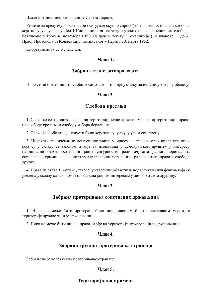Владе потписнице, као чланице Савета Европе,

Решене да предузму кораке да би осигурале скупно спровођење извесних права и слобода која нису укључена у Део I Конвенције за заштиту људских права и основних слобода, потписане у Риму 4. новембра 1950. (у даљем тексту: "Конвенција"), и чланове 1. до 3. Првог Протокола уз Конвенцију, потписаног у Паризу 20. марта 1952.

Споразумеле су се о следећем:

## **Члан 1.**

#### **Забрана казне затвора за дуг**

Нико се не може лишити слободе само зато што није у стању да испуни уговорну обавезу.

#### **Члан 2.**

## **Слобода кретања**

1. Свако ко се законито налази на територији једне државе има, на тој територији, право на слободу кретања и слободу избора боравишта.

2. Свако је слободан да напусти било коју земљу, укључујући и сопствену.

3. Никаква ограничења не могу се поставити у односу на вршење ових права сем оних која су у складу са законом и која су неопходна у демократском друштву у интересу националне безбедности или јавне сигурности, ради очувања јавног поретка, за спречавање криминала, за заштиту здравља или морала или ради заштите права и слобода других.

4. Права из става 1. могу се, такође, у извесним областима подвргнути случајевима која су уведена у складу са законом и оправдана јавним интересом у демократском друштву.

## **Члан 3.**

### **Забрана протеривања сопствених држављана**

1. Нико не може бити протеран, било појединачном било колективном мером, с територије државе чији је држављанин.

2. Нико не може бити лишен права да уђе на територију државе чији је држављанин.

## **Члан 4.**

#### **Забрана групног протеривања странаца**

Забрањено је колективно протеривање странаца.

## **Члан 5.**

#### **Територијална примена**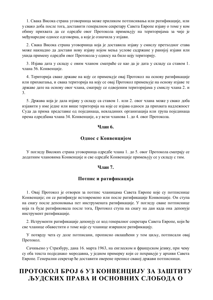1. Свака Висока страна уговорница може приликом потписивања или ратификације, или у свако доба после тога, доставити генералном секретару Савета Европе изјаву о томе у ком обиму прихвата да се одредбе овог Протокола примењују на територијама за чије је међународне односе одговорна, а које је означила у изјави.

2. Свака Висока страна уговорница која је доставила изјаву у смислу претходног става може накнадно да достави нову изјаву којом мења услове садржане у ранијој изјави или укида примену одредби овог Протокола у односу на било коју територију.

3. Изјава дата у складу с овим чланом сматраће се као да је дата у складу са ставом 1. члана 56. Конвенције.

4. Територија сваке државе на коју се примењује овај Протокол на основу ратификације или прихватања, и свака територија на коју се овај Протокол примењује на основу изјаве те државе дате на основу овог члана, сматрају се одвојеним територијама у смислу члана 2. и 3.

5. Држава која је дала изјаву у складу са ставом 1. или 2. овог члана може у свако доба изјавити у име једне или више територија на које се изјава односи да прихвата надлежност Суда да прима представке од појединаца, невладиних организација или група појединаца према одредбама члана 34. Конвенције, а у вези чланова 1. до 4. овог Протокола.

#### **Члан 6.**

## **Однос с Конвенцијом**

У погледу Високих страна уговорница одредбе члана 1. до 5. овог Протокола сматрају се додатним члановима Конвенције и све одредбе Конвенције примењују се у складу с тим.

#### **Члан 7.**

## **Потпис и ратификација**

1. Овај Протокол је отворен за потпис чланицама Савета Европе које су потписнице Конвенције; он се ратификује истовремено или после ратификације Конвенције. Он ступа на снагу после депоновања пет инструмената ратификације. У погледу сваке потписнице која га буде ратификовала после тога, Протокол ступа на снагу на дан када она депонује инструмент ратификације.

2. Иструменти ратификације депонују се код генералног секретара Савета Европе, који ће све чланице обавестити о томе које су чланице извршиле ратификацију.

У потврду чега су доле потписани, прописно овлашћени у том циљу, потписали овај Протокол.

Сачињено у Стразбуру, дана 16. марта 1963, на енглеском и француском језику, при чему су оба текста подједнако меродавна, у једном примерку који се похрањује у архиви Савета Европе. Генерални секретар ће доставити оверене преписе свакој држави потписници.

## **ПРОТОКОЛ БРОЈ 6 УЗ КОНВЕНЦИЈУ ЗА ЗАШТИТУ ЉУДСКИХ ПРАВА И ОСНОВНИХ СЛОБОДА О**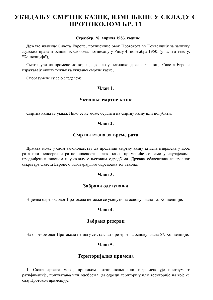## **УКИДАЊУ СМРТНЕ КАЗНЕ, ИЗМЕЊЕНЕ У СКЛАДУ С ПРОТОКОЛОМ БР. 11**

#### **Стразбур, 28. априла 1983. године**

Државе чланице Савета Европе, потписнице овог Протокола уз Конвенцију за заштиту људских права и основних слобода, потписану у Риму 4. новембра 1950. (у даљем тексту: "Конвенција"),

Сматрајући да промене до којих је дошло у неколико држава чланица Савета Европе изражавају општу тежњу ка укидању смртне казне,

Споразумеле су се о следећем:

#### **Члан 1.**

### **Укидање смртне казне**

Смртна казна се укида. Нико се не може осудити на смртну казну или погубити.

## **Члан 2.**

#### **Смртна казна за време рата**

Држава може у свом законодавству да предвиди смртну казну за дела извршена у доба рата или непосредне ратне опасности; таква казна примениће се само у случајевима предвиђеним законом и у складу с његовим одредбама. Држава обавештава генералног секретара Савета Европе о одговарајућим одредбама тог закона.

## **Члан 3.**

## **Забрана одступања**

Ниједна одредба овог Протокола не може се укинути на основу члана 15. Конвенције.

#### **Члан 4.**

## **Забрана резерви**

На одредбе овог Протокола не могу се стављати резерве на основу члана 57. Конвенције.

## **Члан 5.**

## **Територијална примена**

1. Свака држава може, приликом потписивања или када депонује инструмент ратификације, прихватања или одобрења, да одреди територију или територије на које се овај Протокол примењује.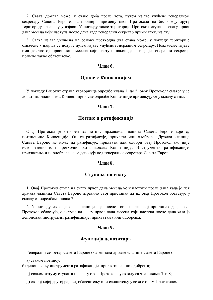2. Свака држава може, у свако доба после тога, путем изјаве упућене генералном секретару Савета Европе, да прошири примену овог Протокола на било коју другу територију означену у изјави. У погледу такве територије Протокол ступа на снагу првог дана месеца који наступа после дана када генерални секретар прими такву изјаву.

3. Свака изјава учињена на основу претходна два става може, у погледу територије означене у њој, да се повуче путем изјаве упућене генералном секретару. Повлачење изјаве има дејство од првог дана месеца који наступа након дана када је генерални секретар примио такво обавештење.

## **Члан 6.**

## **Однос с Конвенцијом**

У погледу Високих страна уговорница одредбе члана 1. до 5. овог Протокола сматрају се додатним члановима Конвенције и све одредбе Конвенције примењују се у складу с тим.

#### **Члан 7.**

## **Потпис и ратификација**

Овај Протокол је отворен за потпис државама чланица Савета Европе које су потписнице Конвенције. Он се ратификује, прихвата или одобрава. Држава чланица Савета Европе не може да ратификује, прихвати или одобри овај Протокол ако није истовремено или претходно ратификовала Конвенцију. Инструменти ратификације, прихватања или одобравања се депонују код генералног секретара Савета Европе.

### **Члан 8.**

## **Ступање на снагу**

1. Овај Протокол ступа на снагу првог дана месеца који наступи после дана када је пет држава чланица Савета Европе изразило свој пристанак да их овај Протокол обавезује у складу са одредбама члана 7.

2. У погледу сваке државе чланице која после тога изрази свој пристанак да је овај Протокол обавезује, он ступа на снагу првог дана месеца који наступа после дана када је депонован инструмент ратификације, прихватања или одобрења.

## **Члан 9.**

## **Функција депозитара**

Генерални секретар Савета Европе обавештава државе чланице Савета Европе о:

а) сваком потпису,

б) депоновању инструмента ратификације, прихватања или одобрења;

ц) сваком датуму ступања на снагу овог Протокола у складу са члановима 5. и 8;

д) свакој којој другој радњи, обавештењу или саопштењу у вези с овим Протоколом.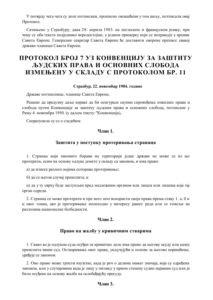У потврду чега чега су доле потписани, прописно овлашћени у том циљу, потписали овај Протокол.

Сачињено у Стразбуру, дана 28. априла 1983. на енглеском и француском језику, при чему су оба текста подједнако веродостојни, у једном примерку који се похрањује у архиви Савета Европе. Генерални секретар Савета Европе ће доставити оверене преписе свакој држави чланици Савета Европе.

## **ПРОТОКОЛ БРОЈ 7 УЗ КОНВЕНЦИЈУ ЗА ЗАШТИТУ ЉУДСКИХ ПРАВА И ОСНОВНИХ СЛОБОДА ИЗМЕЊЕНУ У СКЛАДУ С ПРОТОКОЛОМ БР. 11**

#### **Стразбур, 22. новембар 1984. године**

Државе потписнице, чланице Савета Европе,

Решене да предузму даље кораке да би осигурале скупно спровођење извесних права и слобода путем Конвенције за заштиту људских права и основних слобода, потписане у Риму 4. новембра 1950. (у даљем тексту: "Конвенција),

Споразумеле су се о следећем:

## **Члан 1.**

## **Заштита у поступку протеривања странаца**

1. Странац који законито борави на територији једне државе не може се из ње протерати, осим на основу одлуке донете у складу са законом, и има право:

а) да изнесе разлоге којима оспорава протеривање;

б) да се његов случај преиспита; и

ц) да у ту сврху буде заступљен пред надлежним органом или лицем или лицима која тај орган одреди.

2. Странац се може протерати и пре него што искористи своја права према ставу 1. а, б и ц овог члана, ако је протеривање неопходно у интересу јавног реда или се темељи на разлозима националне безбедности.

## **Члан 2.**

## **Право на жалбу у кривичним стварима**

1. Свако ко је одлуком суда осуђен за кривично дело има право да његову осуду или казну преиспита виши суд. Остваривање овог права, укључујући и основе за његово коришћење, уређује се законом.

2. Ово право може трпети изузетке, када је реч о делима мањег значаја, која су одређена законом, или у случајевима када је лицу у питању у првом степену судио највиши суд или је било осуђено на основу жалбе на ослобађајућу пресуду.

## **Члан 3.**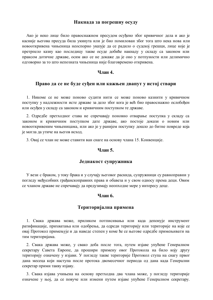#### **Накнада за погрешну осуду**

Ако је неко лице било правоснажном пресудом осуђено због кривичног дела и ако је касније његова пресуда била укинута или је био помилован због тога што нека нова или новооткривена чињеница неоспорно указује да се радило о судској грешци, лице које је претрпело казну као последицу такве осуде добиће накнаду у складу са законом или праксом дотичне државе, осим ако се не докаже да је оно у потпуности или делимично одговорно за то што непозната чињеница није благовремено откривена.

#### **Члан 4.**

#### **Право да се не буде суђен или кажњен двапут у истој ствари**

1. Никоме се не може поново судити нити се може поново казнити у кривичном поступку у надлежности исте државе за дело због кога је већ био правоснажно ослобођен или осуђен у складу са законом и кривичним поступком те државе.

2. Одредбе претходног става не спречавају поновно отварање поступка у складу са законом и кривичним поступком дате државе, ако постоје докази о новим или новооткривеним чињеницама, или ако је у ранијем поступку дошло до битне повреде која је могла да утиче на његов исход.

3. Овај се члан не може ставити ван снаге на основу члана 15. Конвенције.

#### **Члан 5.**

#### **Једнакост супружника**

У вези с браком, у току брака и у случају његовог раскида, супружници су равноправни у погледу међусобних грађанскоправних права и обавеза и у свом односу према деци. Овим се чланом државе не спречавају да предузимају неопходне мере у интересу деце.

#### **Члан 6.**

## **Територијална примена**

1. Свака држава може, приликом потписивања или када депонује инструмент ратификације, прихватања или одобрења, да одреди територију или територије на које се овај Протокол примењује и да наведе степен у коме ће се његове одредбе примењивати на тим територијама.

2. Свака држава може, у свако доба после тога, путем изјаве упућене Генералном секретару Савета Европе, да прошири примену овог Протокола на било коју другу територију означену у изјави. У погледу такве територије Протокол ступа на снагу првог дана месеца који наступа после протока двомесечног периода од дана када Генерални секретар прими такву изјаву.

3. Свака изјава учињена на основу претходна два члана може, у погледу територије означене у њој, да се повуче или измени путем изјаве упућене Генералном секретару.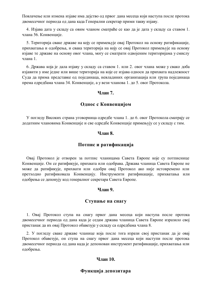Повлачење или измена изјаве има дејство од првог дана месеца који наступа после протока двомесечног периода од дана када Генерални секретар прими такву изјаву.

4. Изјава дата у складу са овим чланом сматраће се као да је дата у складу са ставом 1. члана 56. Конвенције.

5. Територија сваке државе на коју се примењује овај Протокол на основу ратификације, прихватања и одобрења, и свака територија на коју се овај Протокол примењује на основу изјаве те државе на основу овог члана, могу се сматрати одвојеним територијама у смислу члана 1.

6. Држава која је дала изјаву у складу са ставом 1. или 2. овог члана може у свако доба изјавити у име једне или више територија на које се изјава односи да прихвата надлежност Суда да прима представке од појединаца, невладиних организација или група појединаца према одредбама члана 34. Конвенције, а у вези чланова 1. до 5. овог Протокола.

## **Члан 7.**

## **Однос с Конвенцијом**

У погледу Високих страна уговорница одредбе члана 1. до 6. овог Протокола сматрају се додатним члановима Конвенције и све одредбе Конвенције примењују се у складу с тим.

#### **Члан 8.**

## **Потпис и ратификација**

Овај Протокол је отворен за потпис чланицама Савета Европе које су потписнице Конвенције. Он се ратификује, прихвата или одобрава. Држава чланица Савета Европе не може да ратификује, прихвати или одобри овај Протокол ако није истовремено или претходно ратификовала Конвенцију. Инструменти ратификације, прихватања или одобрења се депонују код генералног секретара Савета Европе.

## **Члан 9.**

## **Ступање на снагу**

1. Овај Протокол ступа на снагу првог дана месеца који наступа после протока двомесечног периода од дана када је седам држава чланица Савета Европе изразило свој пристанак да их овај Протокол обавезује у складу са одредбама члана 8.

2. У погледу сваке државе чланице која после тога изрази свој пристанак да је овај Протокол обавезује, он ступа на снагу првог дана месеца који наступи после протока двомесечног периода од дана када је депонован инструмент ратификације, прихватања или одобрења.

## **Члан 10.**

## **Функција депозитара**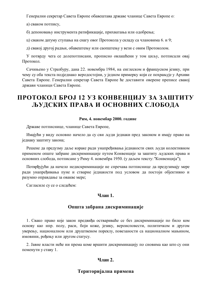Генерални секретар Савета Европе обавештава државе чланице Савета Европе о:

а) сваком потпису,

б) депоновању инструмента ратификације, прихватања или одобрења;

ц) сваком датуму ступања на снагу овог Протокола у складу са члановима 6. и 9;

д) свакој другој радњи, обавештењу или саопштењу у вези с овим Протоколом.

У потврду чега се долепотписани, прописно овлашћени у том циљу, потписали овај Протокол.

Сачињено у Стразбуру, дана 22. новембра 1984, на енглеском и француском језику, при чему су оба текста подједнако веродостојни, у једном примерку који се похрањује у Архиви Савета Европе. Генерални секретар Савета Европе ће доставити оверене преписе свакој држави чланици Савета Европе.

## **ПРОТОКОЛ БРОЈ 12 УЗ КОНВЕНЦИЈУ ЗА ЗАШТИТУ ЉУДСКИХ ПРАВА И ОСНОВНИХ СЛОБОДА**

#### **Рим, 4. новембар 2000. године**

Државе потписнице, чланице Савета Европе,

Имајући у виду основно начело да су сви људи једнаки пред законом и имају право на једнаку заштиту закона;

Решене да предузму даље кораке ради унапређивања једнакости свих људи колективном применом опште забране дискриминације путем Конвенције за заштиту људских права и основних слобода, потписане у Риму 4. новембра 1950. (у даљем тексту: "Конвенција");

Потврђујући да начело недискриминације не спречава потписнице да предузимају мере ради унапређивања пуне и стварне једнакости под условом да постоји објективно и разумно оправдање за овакве мере;

Сагласиле су се о следећем:

#### **Члан 1.**

## **Општа забрана дискриминације**

1. Свако право које закон предвиђа оствариваће се без дискриминације по било ком основу као нпр. полу, раси, боји коже, језику, вероисповести, политичком и другом уверењу, националном или друштвеном пореклу, повезаности са националном мањином, имовини, рођењу или другом статусу.

2. Јавне власти неће ни према коме вршити дискриминацију по сновима као што су они поменути у ставу 1.

## **Члан 2.**

## **Територијална примена**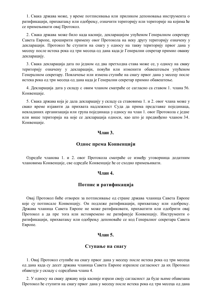1. Свака држава може, у време потписивања или приликом депоновања инструмента о ратификацији, прихватању или одобрењу, означити територију или територије на којима ће се примењивати овај Протокол.

2. Свака држава може било када касније, декларацијом упућеном Генералном секретару Савета Европе, проширити примену овог Протокола на неку другу територију означену у декларацији. Протокол ће ступити на снагу у односу на такву територију првог дана у месецу после истека рока од три месеца од дана када је Генерални секретар примио овакву декларацију.

3. Свака декларација дата по једном од два претходна става може се, у односу на сваку територију означену у декларацији, повући или изменити обавештењем упућеном Генералном секретару. Повлачење или измена ступиће на снагу првог дана у месецу после истека рока од три месеца од дана када је Генерални секретар примио обавештење.

4. Декларација дата у складу с овим чланом сматраће се сагласно са ставом 1. члана 56. Конвенције.

5. Свака држава која је дала декларацију у складу са ставовима 1. и 2. овог члана може у свако време изјавити да прихвата надлежност Суда да прима представке појединаца, невладиних организација или група појединаца у односу на члан 1. овог Протокола с једне или више територија на које се декларација односи, као што је предвиђено чланом 34. Конвенције.

## **Члан 3.**

### **Однос према Конвенцији**

Одредбе чланова 1. и 2. овог Протокола сматраће се између уговорница додатним члановима Конвенције, све одредбе Конвенције ће се сходно примењивати.

#### **Члан 4.**

#### **Потпис и ратификација**

Овај Протокол биће отворен за потписивање од стране држава чланица Савета Европе које су потписале Конвенцију. Он подлеже ратификацији, прихватању или одобрењу. Држава чланица Савета Европе не може ратификовати, прихватити или одобрити овај Протокол а да пре тога или истовремено не ратификује Конвенцију. Инструменти о ратификацији, прихватању или одобрењу депоноваће се код Генералног секретара Савета Европе.

## **Члан 5.**

#### **Ступање на снагу**

1. Овај Протокол ступиће на снагу првог дана у месецу после истека рока од три месеца од дана када су десет држава чланица Савета Европе изразиле сагласност да их Протокол обавезује у складу с одредбама члана 4.

2. У односу на сваку државу која касније изрази своју сагласност да буде њиме обавезана Протокол ће ступити на снагу првог дана у месецу после истека рока од три месеца од дана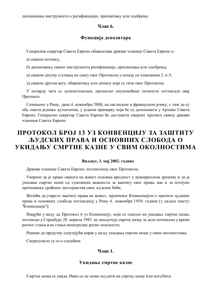депоновања инструмента о ратификацији, прихватању или одобрењу.

## **Члан 6.**

## **Функција депозитара**

Генерални секретар Савета Европе обавештава државе чланице Савета Европе о:

а) сваком потпису,

б) депоновању сваког инструмента ратификације, прихватања или одобрења;

ц) сваком датуму ступања на снагу овог Протокола у складу са члановима 2. и 5;

д) сваком другом акту, обавештењу или допису који се тиче овог Протокола.

У потврду чега се долепотписани, прописно опуномоћене личности потписале овај Протокол.

Сачињено у Риму, дана 4. новембра 2000, на енглеском и француском језику, с тим да су оба текста једнако аутентична, у једном примерку који ће се депоновати у Архиви Савета Европе. Генерални секретар Савета Европе ће доставити оверене преписе свакој држави чланици Савета Европе.

## **ПРОТОКОЛ БРОЈ 13 УЗ КОНВЕНЦИЈУ ЗА ЗАШТИТУ ЉУДСКИХ ПРАВА И ОСНОВНИХ СЛОБОДА О УКИДАЊУ СМРТНЕ КАЗНЕ У СВИМ ОКОЛНОСТИМА**

## **Виљнус, 3. мај 2002. године**

Државе чланице Савета Европе, потписнице овог Протокола,

Уверене да је право свакога на живот основна вредност у демократском друштву и да је укидање смртне казне од суштинске важности за заштиту овог права, као и за потпуно признавање урођеног достојанства свих људских бића;

Желећи да учврсте заштиту права на живот, зајемченог Конвенцијом о заштити људских права и основних слобода потписаној у Риму 4. новембра 1950. године (у даљем тексту: "Конвенција");

Имајући у виду да Протокол 6 уз Конвенцију, који се односи на укидање смртне казне, потписан у Стразбуру 28. априла 1983. не искључује смртну казну за дела почињена у време ратног стања или стања непосредне ратне опасности;

Решене да предузму одлучујући корак у циљу укидања смртне казне у свим околностима,

Споразумеле су се о следећем:

## **Члан 1.**

## **Укидање смртне казне**

Смртна казна се укида. Нико се не може осудити на смртну казну или погубити.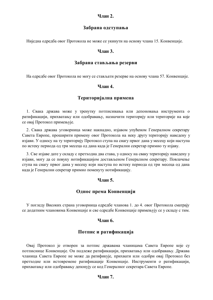#### **Члан 2.**

### **Забрана одступања**

Ниједна одредба овог Протокола не може се укинути на основу члана 15. Конвенције.

## **Члан 3.**

#### **Забрана стављања резерви**

На одредбе овог Протокола не могу се стављати резерве на основу члана 57. Конвенције.

#### **Члан 4.**

#### **Територијална примена**

1. Свака држава може у тренутку потписивања или депоновања инструмента о ратификацији, прихватању или одобравању, назначити територију или територије на које се овај Протокол примењује.

2. Свака држава уговорница може накнадно, изјавом упућеном Генералном секретару Савета Европе, проширити примену овог Протокола на неку другу територију наведену у изјави. У односу на ту територију Протокол ступа на снагу првог дана у месецу који наступа по истеку периода од три месеца од дана када је Генерални секретар примио ту изјаву.

3. Све изјаве дате у складу с претходна два става, у односу на сваку територију наведену у изјави, могу да се повуку нотификацијом достављеном Генералном секретару. Повлачење ступа на снагу првог дана у месецу који наступа по истеку периода од три месеца од дана када је Генерални секретар примио поменуту нотификацију.

#### **Члан 5.**

#### **Однос према Конвенцији**

У погледу Високих страна уговорница одредбе чланова 1. до 4. овог Протокола сматрају се додатним члановима Конвенције и све одредбе Конвенције примењују се у складу с тим.

#### **Члан 6.**

## **Потпис и ратификација**

Овај Протокол је отворен за потпис државама чланицама Савета Европе које су потписнице Конвенције. Он подлеже ратификацији, прихватању или одобравању. Држава чланица Савета Европе не може да ратификује, прихвати или одобри овај Протокол без претходне или истовремене ратификације Конвенције. Инструменти о ратификацији, прихватању или одобравању депонују се код Генералног секретара Савета Европе.

## **Члан 7.**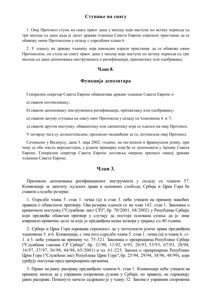1. Овај Протокол ступа на снагу првог дана у месецу који наступа по истеку периода од три месеца од дана када је десет држава чланица Савета Европе изразило пристанак да се обавежу овим Протоколом у складу с одредбама члана 6.

2. У односу на државу чланицу која накнадно изрази пристанак да се обавеже овим Протоколом, он ступа на снагу првог дана у месецу који наступа по истеку периода од три месеца од дана депоновања инструмената о ратификацији, прихватању или одобравању.

## **Члан 8.**

## **Функција депозитара**

Генерални секретар Савета Европе обавештава државе чланице Савета Европе о:

а) сваком потписивању,

б) сваком депоновању инструмената ратификације, прихватању или одобравању;

ц) сваком датуму ступања на снагу овог Протокола у складу са члановима 4. и 7;

д) сваком другом поступку, обавештењу или саопштењу који се односи на овај Протокол.

У потврду чега су долепотписани, прописно овлашћени за то, потписали овај Протокол.

Сачињено у Виљнусу, дана 3. маја 2002. године, на енглеском и француском језику, при чему су оба текста веродостојна, у једном примерку који ће се депоновати у Архиву Савета Европе. Генерални секретар Савета Европе доставља оверене преписе свакој држави чланици Савета Европе.

## **Члан 3.**

Приликом депоновања ратификационог инструмента у складу са чланом 57. Конвенције за заштиту људских права и основних слобода, Србија и Црна Гора ће ставити следеће резерве:

1. Одредбе члана 5. став 1. тачка (ц) и став 3. неће утицати на примену важећих правила о обавезном притвору. Ова резерва односи се на члан 142. став 1. Законика о кривичном поступку ("Службени лист СРЈ", бр. 70/2001, 68/2002) у Републици Србији, који предвиђа обавезан притвор у случају да постоји основана сумња да је лице извршило кривично дело за које је предвиђена казна затвора у трајању од 40 година.

2. Србија и Црна Гора изражава спремност да у потпуности јемчи права предвиђена члановима 5. и 6. Конвенције, с тим што одредбе члана 5. став 1. тачка (ц) и члана 6. ст. 1. и 3. неће утицати на примену чл. 75-321. Законика о прекршајима Републике Србије ("Службени гласник СР Србије", бр. 21/90, 11/92, 6/93, 20/93, 53/93, 67/93, 28/94, 16/97, 37/97, 36/98, 44/98, 65/2001) и чл. 61-225. Закона о прекршајима Републике Црне Горе ("Службени лист Републике Црне Горе", бр. 25/94, 29/94, 38/96, 48/99), који уређују поступак пред прекршајним органима.

3. Право на јавну расправу предвиђено чланом 6. став 1. Конвенције неће утицати на примену начела да у управним споровима судови у Србији, по правилу, не одржавају јавне расправе. Поменуто начело садржано је у члану 32. Закона о управним споровима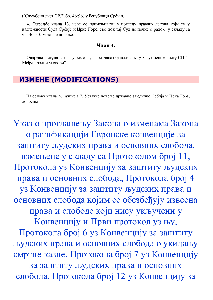("Службени лист СРЈ", бр. 46/96) у Републици Србији.

4. Одредбе члана 13. неће се примењивати у погледу правних лекова који су у надлежности Суда Србије и Црне Горе, све док тај Суд не почне с радом, у складу са чл. 46-50. Уставне повеље.

## **Члан 4.**

Овај закон ступа на снагу осмог дана од дана објављивања у "Службеном листу СЦГ - Међународни уговори".

## **ИЗМЕНЕ (MODIFICATIONS)**

На основу члана 26. алинеја 7. Уставне повеље државне заједнице Србија и Црна Гора, доносим

Указ о проглашењу Закона о изменама Закона о ратификацији Европске конвенције за заштиту људских права и основних слобода, измењене у складу са Протоколом број 11, Протокола уз Конвенцију за заштиту људских права и основних слобода, Протокола број 4 уз Конвенцију за заштиту људских права и основних слобода којим се обезбеђују извесна права и слободе који нису укључени у Конвенцију и Први протокол уз њу, Протокола број 6 уз Конвенцију за заштиту људских права и основних слобода о укидању смртне казне, Протокола број 7 уз Конвенцију за заштиту људских права и основних слобода, Протокола број 12 уз Конвенцију за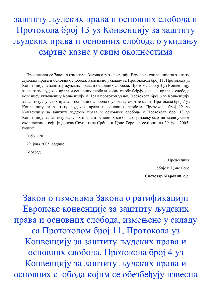# заштиту људских права и основних слобода и Протокола број 13 уз Конвенцију за заштиту људских права и основних слобода о укидању смртне казне у свим околностима

Проглашава се Закон о изменама Закона о ратификацији Европске конвенције за заштиту људских права и основних слобода, измењене у складу са Протоколом број 11, Протокола уз Конвенцију за заштиту људских права и основних слобода, Протокола број 4 уз Конвенцију за заштиту људских права и основних слобода којим се обезбеђују извесна права и слободе који нису укључени у Конвенцију и Први протокол уз њу, Протокола број 6 уз Конвенцију за заштиту људских права и основних слобода о укидању смртне казне, Протокола број 7 уз Конвенцију за заштиту људских права и основних слобода, Протокола број 12 уз Конвенцију за заштиту људских права и основних слобода и Протокола број 13 уз Конвенцију за заштиту људских права и основних слобода о укидању смртне казне у свим околностима, који је донела Скупштина Србије и Црне Горе, на седници од 29. јуна 2005. године.

П бр. 178 29. јуна 2005. године Београд

> Председник Србије и Црне Горе **Светозар Маровић**, с.р.

Закон о изменама Закона о ратификацији Европске конвенције за заштиту људских права и основних слобода, измењене у складу са Протоколом број 11, Протокола уз Конвенцију за заштиту људских права и основних слобода, Протокола број 4 уз Конвенцију за заштиту људских права и основних слобода којим се обезбеђују извесна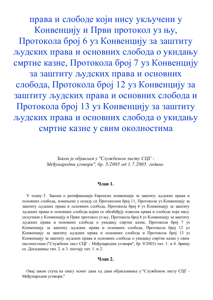права и слободе који нису укључени у Конвенцију и Први протокол уз њу,

Протокола број 6 уз Конвенцију за заштиту људских права и основних слобода о укидању смртне казне, Протокола број 7 уз Конвенцију за заштиту људских права и основних слобода, Протокола број 12 уз Конвенцију за заштиту људских права и основних слобода и Протокола број 13 уз Конвенцију за заштиту људских права и основних слобода о укидању смртне казне у свим околностима

> *Закон је објављен у "Службеном листу СЦГ - Међународни уговори", бр. 5/2005 од 1.7.2005. године.*

### **Члан 1.**

У члану 3. Закона о ратификацији Европске конвенције за заштиту људских права и основних слобода, измењене у складу са Протоколом број 11, Протокола уз Конвенцију за заштиту људских права и основних слобода, Протокола број 4 уз Конвенцију за заштиту људских права и основних слобода којим се обезбеђују извесна права и слободе који нису укључени у Конвенцију и Први протокол уз њу, Протокола број 6 уз Конвенцију за заштиту људских права и основних слобода о укидању смртне казне, Протокола број 7 уз Конвенцију за заштиту људских права и основних слобода, Протокола број 12 уз Конвенцију за заштиту људских права и основних слобода и Протокола број 13 уз Конвенцију за заштиту људских права и основних слобода о укидању смртне казне у свим околностима ("Службени лист СЦГ - Међународни уговори", бр. 9/2003) тач. 1. и 4. бришу се. Досадашње тач. 2. и 3. постају тач. 1. и 2.

## **Члан 2.**

Овај закон ступа на снагу осмог дана од дана објављивања у "Службеном листу СЦГ - Међународни уговори."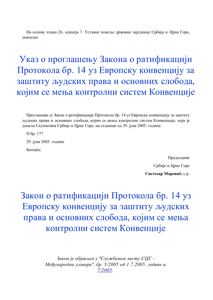На основу члана 26. алинеја 7. Уставне повеље државне заједнице Србија и Црна Гора, доносим

Указ о проглашењу Закона о ратификацији Протокола бр. 14 уз Европску конвенцију за заштиту људских права и основних слобода, којим се мења контролни систем Конвенције

Проглашава се Закон о ратификацији Протокола бр. 14 уз Европску конвенцију за заштиту људских права и основних слобода, којим се мења контролни систем Конвенције, који је донела Скупштина Србије и Црне Горе, на седници од 29. јуна 2005. године.

П бр. 177

29. јуна 2005. године

Београд

Председник Србије и Црне Горе **Светозар Марови**ћ, с.р.

Закон о ратификацији Протокола бр. 14 уз Европску конвенцију за заштиту људских права и основних слобода, којим се мења контролни систем Конвенције

> *Закон је објављен у "Службеном листу СЦГ - Међународни уговори", бр. 5/2005 од 1.7.2005. године и 7/2005.*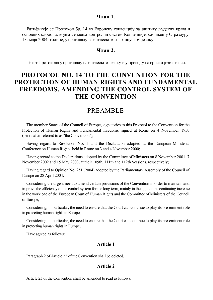## **Члан 1.**

Ратификује се Протокол бр. 14 уз Европску конвенцију за заштиту људских права и основних слобода, којим се мења контролни систем Конвенције, сачињен у Стразбуру, 13. маја 2004. године, у оригиналу на енглеском ифранцуском језику.

## **Члан 2.**

Текст Протокола у оригиналу на енглеском језику и у преводу на српски језик гласи:

## **PROTOCOL NO. 14 TO THE CONVENTION FOR THE PROTECTION OF HUMAN RIGHTS AND FUNDAMENTAL FREEDOMS, AMENDING THE CONTROL SYSTEM OF THE CONVENTION**

## PREAMBLE

The member States of the Council of Europe, signatories to this Protocol to the Convention for the Protection of Human Rights and Fundamental freedoms, signed at Rome on 4 November 1950 (hereinafter referred to as "the Convention"),

Having regard to Resolution No. 1 and the Declaration adopted at the European Ministerial Conference on Human Rights, held in Rome on 3 and 4 November 2000;

Having regard to the Declarations adopted by the Committee of Ministers on 8 November 2001, 7 November 2002 and 15 May 2003, at their 109th, 111th and 112th Sessions, respectively;

Having regard to Opinion No. 251 (2004) adopted by the Parliamentary Assembly of the Council of Europe on 28 April 2004;

Considering the urgent need to amend certain provisions of the Convention in order to maintain and improve the efficiency of the control system for the long term, mainly in the light of the continuing increase in the workload of the European Court of Human Rights and the Committee of Ministers of the Council of Europe;

Considering, in particular, the need to ensure that the Court can continue to play its pre-eminent role in protecting human rights in Europe,

Considering, in particular, the need to ensure that the Court can continue to play its pre-eminent role in protecting human rights in Europe,

Have agreed as follows:

#### **Article 1**

Paragraph 2 of Article 22 of the Convention shall be deleted.

## **Article 2**

Article 23 of the Convention shall be amended to read as follows: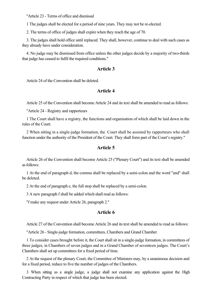"Article 23 - Terms of office and dismissal

1 The judges shall be elected for a period of nine years. They may not be re-elected.

2. The terms of office of judges shall expire when they reach the age of 70.

3. The judges shall hold office until replaced. They shall, however, continue to deal with such cases as they already have under consideration.

4. No judge may be dismissed from office unless the other judges decide by a majority of two-thirds that judge has ceased to fulfil the required conditions."

## **Article 3**

Article 24 of the Convention shall be deleted.

## **Article 4**

Article 25 of the Convention shall become Article 24 and its text shall be amended to read as follows:

"Article 24 - Registry and rapporteurs

1 The Court shall have a registry, the functions and organisation of which shall be laid down in the rules of the Court.

2 When sitting in a single-judge formation, the Court shall be assisted by rapporteurs who shall function under the authority of the President of the Court. They shall form part of the Court's registry."

## **Article 5**

Article 26 of the Convention shall become Article 25 ("Plenary Court") and its text shall be amended as follows:

1 At the end of paragraph d, the comma shall be replaced by a semi-colon and the word "and" shall be deleted.

2 At the end of paragraph e, the full stop shall be replaced by a semi-colon.

3 A new paragraph f shall be added which shall read as follows:

"f make any request under Article 26, paragraph 2."

## **Article 6**

Article 27 of the Convention shall become Article 26 and its text shall be amended to read as follows:

"Article 26 - Single-judge formation, committees, Chambers and Grand Chamber

1 To consider cases brought before it, the Court shall sit in a single-judge formation, in committees of three judges, in Chambers of seven judges and in a Grand Chamber of seventeen judges. The Court's Chambers shall set up committees for a fixed period of time.

2 At the request of the plenary Court, the Committee of Ministers may, by a unanimous decision and for a fixed period, reduce to five the number of judges of the Chambers.

3 When sitting as a single judge, a judge shall not examine any application against the High Contracting Party in respect of which that judge has been elected.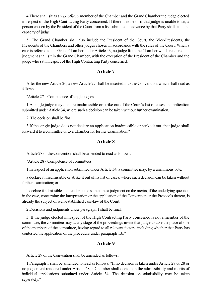4 There shall sit as an *ex officio* member of the Chamber and the Grand Chamber the judge elected in respect of the High Contracting Party concerned. If there is none or if that judge is unable to sit, a person chosen by the President of the Court from a list submitted in advance by that Party shall sit in the capacity of judge.

5. The Grand Chamber shall also include the President of the Court, the Vice-Presidents, the Presidents of the Chambers and other judges chosen in accordance with the rules of the Court. When a case is referred to the Grand Chamber under Article 43, no judge from the Chamber which rendered the judgment shall sit in the Grand Chamber, with the exception of the President of the Chamber and the judge who sat in respect of the High Contracting Party concerned."

#### **Article 7**

After the new Article 26, a new Article 27 shall be inserted into the Convention, which shall read as follows:

"Article 27 - Competence of single judges

1 A single judge may declare inadmissible or strike out of the Court's list of cases an application submitted under Article 34, where such a decision can be taken without further examination.

2. The decision shall be final.

3 If the single judge does not declare an application inadmissible or strike it out, that judge shall forward it to a committee or to a Chamber for further examination."

#### **Article 8**

Article 28 of the Convention shall be amended to read as follows:

"Article 28 - Competence of committees

1 In respect of an application submitted under Article 34, a committee may, by a unanimous vote,

a declare it inadmissible or strike it out of its list of cases, where such decision can be taken without further examination; or

b declare it admissible and render at the same time a judgment on the merits, if the underlying question in the case, concerning the interpretation or the application of the Convention or the Protocols thereto, is already the subject of well-established case-law of the Court.

2 Decisions and judgments under paragraph 1 shall be final.

3. If the judge elected in respect of the High Contracting Party concerned is not a member of the committee, the committee may at any stage of the proceedings invite that judge to take the place of one of the members of the committee, having regard to all relevant factors, including whether that Party has contested the application of the procedure under paragraph 1.b."

#### **Article 9**

Article 29 of the Convention shall be amended as follows:

1 Paragraph 1 shall be amended to read as follows: "If no decision is taken under Article 27 or 28 or no judgement rendered under Article 28, a Chamber shall decide on the admissibility and merits of individual applications submitted under Article 34. The decision on admissibility may be taken separately."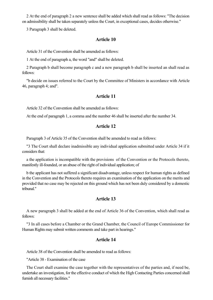2 At the end of paragraph 2 a new sentence shall be added which shall read as follows: "The decision on admissibility shall be taken separately unless the Court, in exceptional cases, decides otherwise."

3 Paragraph 3 shall be deleted.

## **Article 10**

Article 31 of the Convention shall be amended as follows:

1 At the end of paragraph a, the word "and" shall be deleted.

2 Paragraph b shall become paragraph c and a new paragraph b shall be inserted an shall read as follows:

"b decide on issues referred to the Court by the Committee of Ministers in accordance with Article 46, paragraph 4; and".

## **Article 11**

Article 32 of the Convention shall be amended as follows:

At the end of paragraph 1, a comma and the number 46 shall be inserted after the number 34.

## **Article 12**

Paragraph 3 of Article 35 of the Convention shall be amended to read as follows:

"3 The Court shall declare inadmissible any individual application submitted under Article 34 if it considers that:

a the application is incompatible with the provisions of the Convention or the Protocols thereto, manifestly ill-founded, or an abuse of the right of individual application; of

b the applicant has not suffered a significant disadvantage, unless respect for human rights as defined in the Convention and the Protocols thereto requires an examination of the application on the merits and provided that no case may be rejected on this ground which has not been duly considered by a domestic tribunal."

## **Article 13**

A new paragraph 3 shall be added at the end of Article 36 of the Convention, which shall read as follows:

"3 In all cases before a Chamber or the Grand Chamber, the Council of Europe Commissioner for Human Rights may submit written comments and take part in hearings."

## **Article 14**

Article 38 of the Convention shall be amended to read as follows:

"Article 38 - Examination of the case

The Court shall examine the case together with the representatives of the parties and, if need be, undertake an investigation, for the effective conduct of which the High Contacting Parties concerned shall furnish all necessary facilities."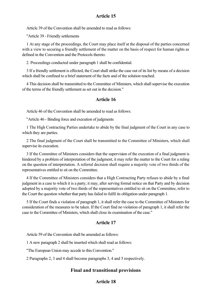## **Article 15**

Article 39 of the Convention shall be amended to read as follows:

"Article 39 - Friendly settlements

1 At any stage of the proceedings, the Court may place itself at the disposal of the parties concerned with a view to securing a friendly settlement of the matter on the basis of respect for human rights as defined in the Convention and the Protocols thereto.

2. Proceedings conducted under paragraph 1 shall be confidential.

3 If a friendly settlement is effected, the Court shall strike the case out of its list by means of a decision which shall be confined to a brief statement of the facts and of the solution reached.

4 This decision shall be transmitted to the Committee of Ministers, which shall supervise the execution of the terms of the friendly settlement as set out in the decision."

## **Article 16**

Article 46 of the Convention shall be amended to read as follows:

"Article 46 - Binding force and execution of judgments

1 The High Contracting Parties undertake to abide by the final judgment of the Court in any case to which they are parties.

2 The final judgment of the Court shall be transmitted to the Committee of Ministers, which shall supervise its execution.

3 If the Committee of Ministers considers that the supervision of the execution of a final judgment is hindered by a problem of interpretation of the judgment, it may refer the matter to the Court for a ruling on the question of interpretation. A referral decision shall require a majority vote of two thirds of the representatives entitled to sit on the Committee.

4 If the Committee of Ministers considers that a High Contracting Party refuses to abide by a final judgment in a case to which it is a party, it may, after serving formal notice on that Party and by decision adopted by a majority vote of two thirds of the representatives entitled to sit on the Committee, refer to the Court the question whether that party has failed to fulfil its obligation under paragraph 1.

5 If the Court finds a violation of paragraph 1, it shall refer the case to the Committee of Ministers for consideration of the measures to be taken. If the Court find no violation of paragraph 1, it shall refer the case to the Committee of Ministers, which shall close its examination of the case."

## **Article 17**

Article 59 of the Convention shall be amended as follows:

1 A new paragraph 2 shall be inserted which shall read as follows:

"The European Union may accede to this Convention."

2 Paragraphs 2, 3 and 4 shall become paragraphs 3, 4 and 5 respectively.

## **Final and transitional provisions**

## **Article 18**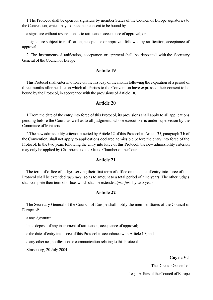1 The Protocol shall be open for signature by member States of the Council of Europe signatories to the Convention, which may express their consent to be bound by

a signature without reservation as to ratification acceptance of approval; or

b signature subject to ratification, acceptance or approval, followed by ratification, acceptance of approval.

2 The instruments of ratification, acceptance or approval shall be deposited with the Secretary General of the Council of Europe.

#### **Article 19**

This Protocol shall enter into force on the first day of the month following the expiration of a period of three months after he date on which all Parties to the Convention have expressed their consent to be bound by the Protocol, in accordance with the provisions of Article 18.

#### **Article 20**

1 From the date of the entry into force of this Protocol, its provisions shall apply to all applications pending before the Court as well as to all judgments whose execution is under supervision by the Committee of Ministers.

2 The new admissibility criterion inserted by Article 12 of this Protocol in Article 35, paragraph 3.b of the Convention, shall not apply to applications declared admissible before the entry into force of the Protocol. In the two years following the entry into force of this Protocol, the new admissibility criterion may only be applied by Chambers and the Grand Chamber of the Court.

#### **Article 21**

The term of office of judges serving their first term of office on the date of entry into force of this Protocol shall be extended *ipso jure* so as to amount to a total period of nine years. The other judges shall complete their term of office, which shall be extended *ipso jure* by two years.

## **Article 22**

The Secretary General of the Council of Europe shall notify the member States of the Council of Europe of:

a any signature;

b the deposit of any instrument of ratification, acceptance of approval;

c the date of entry into force of this Protocol in accordance with Article 19; and

d any other act, notification or communication relating to this Protocol.

Strasbourg, 20 July 2004

**Guy de Vel**

The Director General of

Legal Affairs of the Council of Europe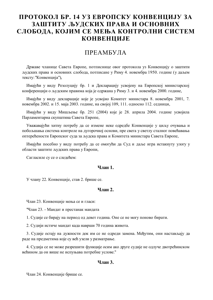## **ПРОТОКОЛ БР. 14 УЗ ЕВРОПСКУ КОНВЕНЦИЈУ ЗА ЗАШТИТУ ЉУДСКИХ ПРАВА И ОСНОВНИХ СЛОБОДА, КОЈИМ СЕ МЕЊА КОНТРОЛНИ СИСТЕМ КОНВЕНЦИЈЕ**

## ПРЕАМБУЛА

Државе чланице Савета Европе, потписнице овог протокола уз Конвенцију о заштити људских права и основних слобода, потписане у Риму 4. новембра 1950. године (у даљем тексту: "Конвенција"),

Имајући у виду Резолуцију бр. 1 и Декларацију усвојену на Европској министарској конференцији о људским правима која је одржана у Риму 3. и 4. новембра 2000. године,

Имајући у виду декларације које је усвојио Комитет министара 8. новембра 2001, 7. новембра 2002. и 15. маја 2003. године, на својој 109, 111. односно 112. седници,

Имајући у виду Мишљење бр. 251 (2004) које је 28. априла 2004. године усвојила Парламентарна скупштина Савета Европе,

Уважавајући хитну потребу да се измене неке одредбе Конвенције у циљу очувања и побољшања система контроле на дугорочној основи, пре свега у светлу сталног повећавања оптерећености Европског суда за људска права и Комитета министара Савета Европе,

Имајући посебно у виду потребу да се омогући да Суд и даље игра истакнуту улогу у области заштите људских права у Европи,

Сагласиле су се о следећем:

## **Члан 1.**

У члану 22. Конвенције, став 2. брише се.

## **Члан 2.**

Члан 23. Конвенције мења се и гласи:

"Члан 23. - Мандат и престанак мандата

1. Судије се бирају на период од девет година. Оне се не могу поново бирати.

2. Судији истиче мандат када наврши 70 година живота.

3. Судије остају на дужности док им се не одреди замена. Међутим, они настављају да раде на предметима које су већ узели у разматрање.

4. Судија се не може разрешити функције осим ако друге судије не одлуче двотрећинском већином да он више не испуњава потребне услове."

#### **Члан 3.**

Члан 24. Конвенције брише се.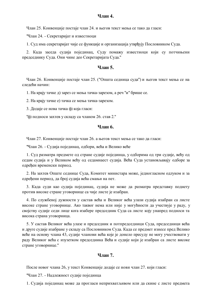#### **Члан 4.**

Члан 25. Конвенције постаје члан 24. и његов текст мења се тако да гласи:

"Члан 24. - Секретаријат и известиоци

1. Суд има секретаријат чије се функције и организација утврђују Пословником Суда.

2. Када заседа судија појединац, Суду помажу известиоци који су потчињени председнику Суда. Они чине део Секретаријата Суда."

#### **Члан 5.**

Члан 26. Конвенције постаје члан 25. ("Општа седница суда") и његов текст мења се на следећи начин:

1. На крају тачке д) зарез се мења тачка-зарезом, а реч "и" брише се.

2. На крају тачке е) тачка се мења тачка-зарезом.

3. Додаје се нова тачка ф) која гласи:

"ф) подноси захтев у складу са чланом 26. став 2."

## **Члан 6.**

Члан 27. Конвенције постаје члан 26. а његов текст мења се тако да гласи:

"Члан 26. - Судија појединац, одбори, већа и Велико веће

1. Суд разматра предмете од стране судије појединца, у одборима од три судије, већу од седам судија и у Великом већу од седамнаест судија. Већа Суда установљавају одборе за одређен временски период.

2. На захтев Опште седнице Суда, Комитет министара може, једногласном одлуком и за одређени период, да број судија већа смањи на пет.

3. Када суди као судија појединац, судија не може да разматра представку поднету против високе стране уговорнице са чије листе је изабран.

4. По службеној дужности у састав већа и Великог већа улази судија изабран са листе високе стране уговорнице. Ако таквог нема или није у могућности да учествује у раду, у својству судије седи лице кога изабере председник Суда са листе коју унапред подноси та висока страна уговорница.

5. У састав Великог већа улазе и председник и потпредседници Суда, председници већа и друге судије изабране у складу са Пословником Суда. Када се предмет изнесе пред Велико веће на основу члана 43, судије чланови већа које је донело пресуду не могу учествовати у раду Великог већа с изузетком председника Већа и судије који је изабран са листе високе стране уговорнице."

## **Члан 7.**

После новог члана 26, у текст Конвенције додаје се нови члан 27. који гласи:

"Члан 27. - Надлежност судије појединца

1. Судија појединац може да прогласи неприхватљивом или да скине с листе предмета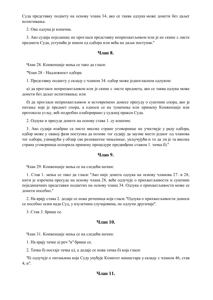Суда представку поднету на основу члана 34, ако се таква одлука може донети без даљег испитивања.

2. Ова одлука је коначна.

3. Ако судија појединац не прогласи представку неприхватљивом или је не скине с листе предмета Суда, уступиће је неком од одбора или већа на даљи поступак."

## **Члан 8.**

Члан 28. Конвенције мења се тако да гласи:

"Члан 28 - Надлежност одбора

1. Представку поднету у складу с чланом 34. одбор може једногласном одлуком:

а) да прогласи неприхватљивом или је скине с листе предмета, ако се таква одлука може донети без даљег испитивања; или

б) да прогласи неприхватљивом и истовремено донесе пресуду о суштини спора, ако је питање које је предмет спора, а односи се на тумачење или примену Конвенције или протокола уз њу, већ подробно елаборирано у судској пракси Суда.

2. Одлуке и пресуде донете на основу става 1. су коначне.

3. Ако судија изабран са листе високе стране уговорнице не учествује у раду одбора, одбор може у свакој фази поступка да позове тог судију да заузме место једног од чланова тог одбора, узимајући у обзир све релевантне чињенице, укључујући и то да ли је та висока страна уговорница оспорила примену процедуре предвиђене ставом 1. тачка б)."

## **Члан 9.**

Члан 29. Конвенције мења се на следећи начин:

1. Став 1. мења се тако да гласи: "Ако није донета одлука на основу чланова 27. и 28, нити је изречена пресуда на основу члана 28, веће одлучује о прихватљивости и суштини појединачних представки поднетих на основу члана 34. Одлука о прихватљивости може се донети посебно."

2. На крају става 2. додаје се нова реченица која гласи: "Одлука о прихватљивости доноси се посебно осим када Суд, у изузетним случајевима, не одлучи другачије".

3. Став 3. брише се.

## **Члан 10.**

Члан 31. Конвенције мења се на следећи начин:

1. На крају тачке а) реч "и" брише се.

2. Тачка б) постаје тачка ц), а додаје се нова тачка б) која гласи:

"б) одлучује о питањима која Суду упућује Комитет министара у складу с чланом 46, став 4; и".

## **Члан 11.**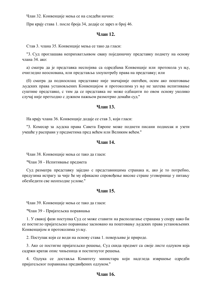Члан 32. Конвенције мења се на следећи начин:

При крају става 1. после броја 34, додаје се зарез и број 46.

## **Члан 12.**

Став 3. члана 35. Конвенције мења се тако да гласи:

"3. Суд проглашава неприхватљивом сваку појединачну представку поднету на основу члана 34. ако:

а) сматра да је представка неспојива са одредбама Конвенције или протокола уз њу, очигледно неоснована, или представља злоупотребу права на представку; или

(б) сматра да подносилац представке није значајније оштећен, осим ако поштовање људских права установљених Конвенцијом и протоколима уз њу не захтева испитивање суштине представке, с тим да се представка не може одбацити по овом основу уколико случај није претходно с дужном пажњом размотрио домаћи суд."

## **Члан 13.**

На крају члана 36. Конвенције додаје се став 3, који гласи:

"3. Комесар за људска права Савета Европе може поднети писани поднесак и узети учешће у расправи у предметима пред већем или Великим већем."

#### **Члан 14.**

Члан 38. Конвенције мења се тако да гласи:

"Члан 38 - Испитивање предмета

Суд разматра представку заједно с представницима странака и, ако је то потребно, предузима истрагу за чије ће му ефикасно спровођење високе стране уговорнице у питању обезбедити све неопходне услове."

#### **Члан 15.**

Члан 39. Конвенције мења се тако да гласи:

"Члан 39 - Пријатељска поравнања

1. У свакој фази поступка Суд се може ставити на располагање странама у спору како би се постигло пријатељско поравнање засновано на поштовању људских права установљених Конвенцијом и протоколима уз њу.

2. Поступак који се води на основу става 1. поверљиве је природе.

3. Ако се постигне пријатељско решење, Суд скида предмет са своје листе одлуком која садржи кратак опис чињеница и постигнутог решења.

4. Одлука се доставља Комитету министара који надгледа извршење одредби пријатељског поравнања предвиђених одлуком."

## **Члан 16.**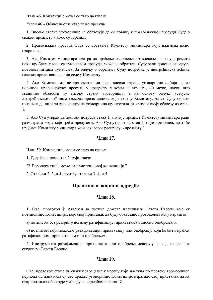Члан 46. Конвенције мења се тако да гласи:

"Члан 46 - Обавезност и извршење пресуда

1. Високе стране уговорнице се обавезују да се повинују правоснажној пресуди Суда у сваком предмету у коме су странке.

2. Правоснажна пресуда Суда се доставља Комитету министара који надгледа њено извршење.

3. Ако Комитет министара сматра да праћење извршења правоснажне пресуде ремети неки проблем у вези са тумачењем пресуде, може се обратити Суду ради доношења одлуке поводом питања тумачења. За одлуку о обраћању Суду потребна је двотрећинска већина гласова представника који седе у Комитету.

4. Ако Комитет министара сматра да нека висока страна уговорница одбија да се повинује правоснажној пресуди у предмету у којем је странка, он може, након што званично обавести ту високу страну уговорницу, а на основу одлуке усвојене двотрећинском већином гласова представника који седе у Комитету, да се Суду обрати питањем да ли је та висока страна уговорница пропустила да испуни своју обавезу из става 1.

5. Ако Суд утврди да постоји повреда става 1, упућује предмет Комитету министара ради разматрања мера које треба предузети. Ако Суд утврди да став 1. није прекршен, вратиће предмет Комитету министара који закључује расправу о предмету."

## **Члан 17.**

Члан 59. Конвенције мења се тако да гласи:

1. Додаје се нови став 2. који гласи:

"2. Европска унија може да приступи овој конвенцији."

2. Ставови 2, 3. и 4. постају ставови 3, 4. и 5.

#### **Прелазне и завршне одредбе**

## **Члан 18.**

1. Овај протокол је отворен за потпис држава чланицама Савета Европе које су потписнице Конвенције, које свој пристанак да буду обавезане протоколом могу изразити:

а) потписом без резерве у погледу ратификације, прихватања односно одобрења; и

б) потписом који подлеже ратификацији, прихватању или одобрењу, који ће бити праћен ратификацијом, прихватањем или одобрењем.

2. Инструменти ратификације, прихватања или одобрења депонују се код генералног секретара Савета Европе.

## **Члан 19.**

Овај протокол ступа на снагу првог дана у месецу који наступа по протеку тромесечног периода од дана када су све државе уговорнице Конвенције изразиле свој пристанак да их овај протокол обавезује у складу са одредбама члана 18.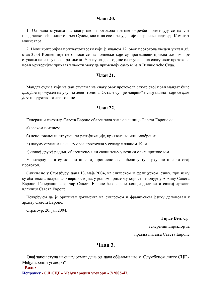### **Члан 20.**

1. Од дана ступања на снагу овог протокола његове одредбе примењују се на све представке већ поднете пред Судом, као и на све пресуде чије извршење надгледа Комитет министара.

2. Нови критеријум прихватљивости који је чланом 12. овог протокола уведен у члан 35, став 3. б) Конвенције не односи се на поднеске који су проглашени прихватљивим пре ступања на снагу овог протокола. У року од две године од ступања на снагу овог протокола нови критеријум прихватљивости могу да примењују само већа и Велико веће Суда.

## **Члан 21.**

Мандат судија који на дан ступања на снагу овог протокола служе свој први мандат биће *ipso jure* продужен на укупно девет година. Остале судије довршиће свој мандат који се *ipso jure* продужава за две године.

## **Члан 22.**

Генерални секретар Савета Европе обавештава земље чланице Савета Европе о:

а) сваком потпису;

б) депоновању инструмената ратификације, прихватања или одобрења;

в) датуму ступања на снагу овог протокола у складу с чланом 19; и

г) свакој другој радњи, обавештењу или саопштењу у вези са овим протоколом.

У потврду чега су долепотписани, прописно овлашћени у ту сврху, потписали овај протокол.

Сачињено у Стразбуру, дана 13. маја 2004, на енглеском и француском језику, при чему су оба текста подједнако веродостојна, у једном примерку који се депонује у Архиву Савета Европе. Генерални секретар Савета Европе ће оверене копије доставити свакој држави чланици Савета Европе.

Потврђујем да је оригинал документа на енглеском и француском језику депонован у архиву Савета Европе.

Стразбур, 20. јул 2004.

**Гиј де Вел**, с.р.

генерални директор за

правна питања Савета Европе

## **Члан 3.**

Овај закон ступа на снагу осмог дана од дана објављивања у "Службеном листу СЦГ - Међународни уговори".

**<sup>+</sup> Види:**

**Исправку - СЛ СЦГ - Међународни уговори - 7/2005-47.**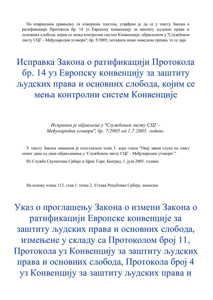По извршеном сравњењу са изворним текстом, утврђено је да се у тексту Закона о ратификацији Протокола бр. 14 уз Европску конвенцију за заштиту људских права и основних слобода, којим се мења контролни систем Конвенције, објављеном у "Службеном листу СЦГ - Међународни уговори", бр. 5/2005, поткрала ниже наведена грешка, те се даје

Исправка Закона о ратификацији Протокола бр. 14 уз Европску конвенцију за заштиту људских права и основних слобода, којим се мења контролни систем Конвенције

> *Исправка је објављена у "Службеном листу СЦГ - Међународни уговори", бр. 7/2005 од 1.7.2005. године.*

У тексту Закона омашком је изостављен члан 3. који гласи: "Овај закон ступа на снагу осмог дана од дана објављивања у 'Службеном листу СЦГ - Међународни уговори'."

Из Службе Скупштине Србије и Црне Горе, Београд, 1. јула 2005. године.

На основу члана 112. став 1. тачка 2. Устава Републике Србије, доносим

Указ о проглашењу Закона о измени Закона о ратификацији Европске конвенције за заштиту људских права и основних слобода, измењене у складу са Протоколом број 11, Протокола уз Конвенцију за заштиту људских права и основних слобода, Протокола број 4 уз Конвенцију за заштиту људских права и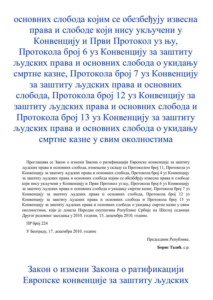основних слобода којим се обезбеђују извесна

права и слободе који нису укључени у

Конвенцију и Први Протокол уз њу, Протокола број 6 уз Конвенцију за заштиту људских права и основних слобода о укидању смртне казне, Протокола број 7 уз Конвенцију

за заштиту људских права и основних слобода, Протокола број 12 уз Конвенцију за заштиту људских права и основних слобода и Протокола број 13 уз Конвенцију за заштиту људских права и основних слобода о укидању смртне казне у свим околностима

Проглашава се Закон о измени Закона о ратификацији Европске конвенције за заштиту људских права и основних слобода, измењене у складу са Протоколом број 11, Протокола уз Конвенцију за заштиту људских права и основних слобода, Протокола број 4 уз Конвенцију за заштиту људских права и основних слобода којим се обезбеђују извесна права и слободе који нису укључени у Конвенцију и Први Протокол уз њу, Протокола број 6 уз Конвенцију за заштиту људских права и основних слобода о укидању смртне казне, Протокола број 7 уз Конвенцију за заштиту људских права и основних слобода, Протокола број 12 уз Конвенцију за заштиту људских права и основних слобода и Протокола број 13 уз Конвенцију за заштиту људских права и основних слобода о укидању смртне казне у свим околностима, који је донела Народна скупштина Републике Србије на Шестој седници Другог редовног заседања у 2010. години, 15. децембра 2010. године.

ПР број 224

У Београду, 17. децембра 2010. године

Председник Републике,

**Борис Тадић**, с.р.

Закон о измени Закона о ратификацији Европске конвенције за заштиту људских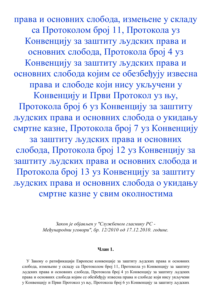права и основних слобода, измењене у складу са Протоколом број 11, Протокола уз Конвенцију за заштиту људских права и основних слобода, Протокола број 4 уз Конвенцију за заштиту људских права и основних слобода којим се обезбеђују извесна права и слободе који нису укључени у Конвенцију и Први Протокол уз њу, Протокола број 6 уз Конвенцију за заштиту људских права и основних слобода о укидању смртне казне, Протокола број 7 уз Конвенцију за заштиту људских права и основних слобода, Протокола број 12 уз Конвенцију за заштиту људских права и основних слобода и Протокола број 13 уз Конвенцију за заштиту људских права и основних слобода о укидању

смртне казне у свим околностима

*Закон је објављен у "Службеном гласнику РС - Међународни уговори", бр. 12/2010 од 17.12.2010. године.*

## **Члан 1.**

У Закону о ратификацији Европске конвенције за заштиту људских права и основних слобода, измењене у складу са Протоколом број 11, Протокола уз Конвенцију за заштиту људских права и основних слобода, Протокола број 4 уз Конвенцију за заштиту људских права и основних слобода којим се обезбеђују извесна права и слободе који нису укључени у Конвенцију и Први Протокол уз њу, Протокола број 6 уз Конвенцију за заштиту људских